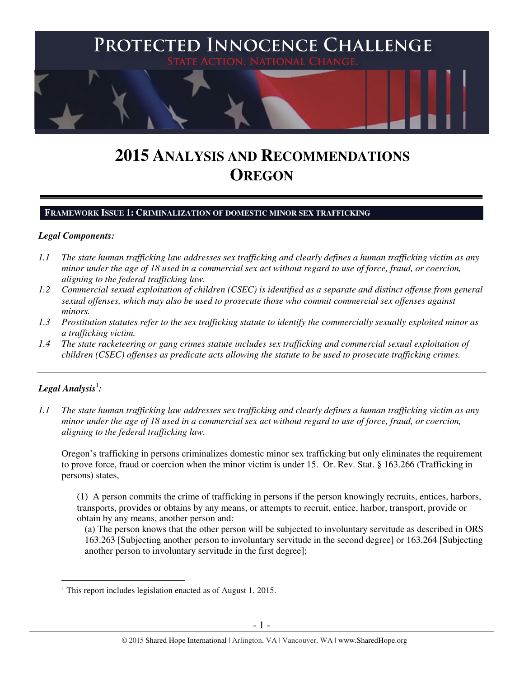

# **2015 ANALYSIS AND RECOMMENDATIONS OREGON**

#### **FRAMEWORK ISSUE 1: CRIMINALIZATION OF DOMESTIC MINOR SEX TRAFFICKING**

#### *Legal Components:*

- *1.1 The state human trafficking law addresses sex trafficking and clearly defines a human trafficking victim as any minor under the age of 18 used in a commercial sex act without regard to use of force, fraud, or coercion, aligning to the federal trafficking law.*
- *1.2 Commercial sexual exploitation of children (CSEC) is identified as a separate and distinct offense from general sexual offenses, which may also be used to prosecute those who commit commercial sex offenses against minors.*
- *1.3 Prostitution statutes refer to the sex trafficking statute to identify the commercially sexually exploited minor as a trafficking victim.*
- *1.4 The state racketeering or gang crimes statute includes sex trafficking and commercial sexual exploitation of children (CSEC) offenses as predicate acts allowing the statute to be used to prosecute trafficking crimes.*

## $\bm{L}$ egal Analysis $^1$ :

*1.1 The state human trafficking law addresses sex trafficking and clearly defines a human trafficking victim as any minor under the age of 18 used in a commercial sex act without regard to use of force, fraud, or coercion, aligning to the federal trafficking law.* 

Oregon's trafficking in persons criminalizes domestic minor sex trafficking but only eliminates the requirement to prove force, fraud or coercion when the minor victim is under 15. Or. Rev. Stat. § 163.266 (Trafficking in persons) states,

(1) A person commits the crime of trafficking in persons if the person knowingly recruits, entices, harbors, transports, provides or obtains by any means, or attempts to recruit, entice, harbor, transport, provide or obtain by any means, another person and:

(a) The person knows that the other person will be subjected to involuntary servitude as described in ORS 163.263 [Subjecting another person to involuntary servitude in the second degree] or 163.264 [Subjecting another person to involuntary servitude in the first degree];

 1 This report includes legislation enacted as of August 1, 2015.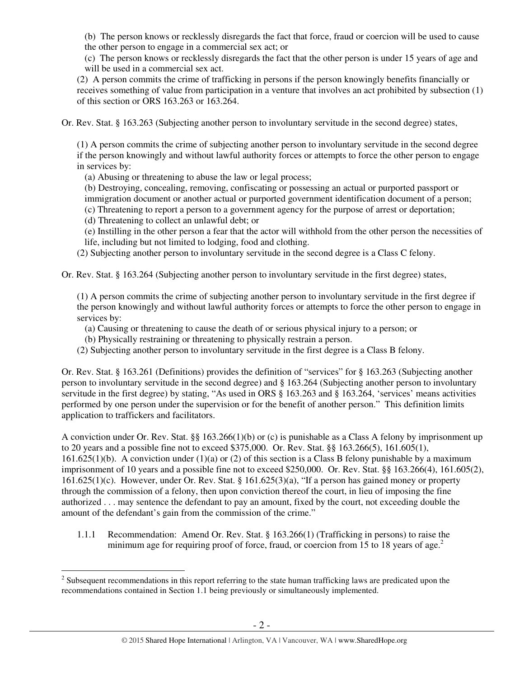(b) The person knows or recklessly disregards the fact that force, fraud or coercion will be used to cause the other person to engage in a commercial sex act; or

(c) The person knows or recklessly disregards the fact that the other person is under 15 years of age and will be used in a commercial sex act.

(2) A person commits the crime of trafficking in persons if the person knowingly benefits financially or receives something of value from participation in a venture that involves an act prohibited by subsection (1) of this section or ORS 163.263 or 163.264.

Or. Rev. Stat. § 163.263 (Subjecting another person to involuntary servitude in the second degree) states,

(1) A person commits the crime of subjecting another person to involuntary servitude in the second degree if the person knowingly and without lawful authority forces or attempts to force the other person to engage in services by:

(a) Abusing or threatening to abuse the law or legal process;

(b) Destroying, concealing, removing, confiscating or possessing an actual or purported passport or immigration document or another actual or purported government identification document of a person;

(c) Threatening to report a person to a government agency for the purpose of arrest or deportation;

(d) Threatening to collect an unlawful debt; or

l

(e) Instilling in the other person a fear that the actor will withhold from the other person the necessities of life, including but not limited to lodging, food and clothing.

(2) Subjecting another person to involuntary servitude in the second degree is a Class C felony.

Or. Rev. Stat. § 163.264 (Subjecting another person to involuntary servitude in the first degree) states,

(1) A person commits the crime of subjecting another person to involuntary servitude in the first degree if the person knowingly and without lawful authority forces or attempts to force the other person to engage in services by:

(a) Causing or threatening to cause the death of or serious physical injury to a person; or

(b) Physically restraining or threatening to physically restrain a person.

(2) Subjecting another person to involuntary servitude in the first degree is a Class B felony.

Or. Rev. Stat. § 163.261 (Definitions) provides the definition of "services" for § 163.263 (Subjecting another person to involuntary servitude in the second degree) and § 163.264 (Subjecting another person to involuntary servitude in the first degree) by stating, "As used in ORS § 163.263 and § 163.264, 'services' means activities performed by one person under the supervision or for the benefit of another person." This definition limits application to traffickers and facilitators.

A conviction under Or. Rev. Stat. §§ 163.266(1)(b) or (c) is punishable as a Class A felony by imprisonment up to 20 years and a possible fine not to exceed \$375,000. Or. Rev. Stat. §§ 163.266(5), 161.605(1), 161.625(1)(b). A conviction under (1)(a) or (2) of this section is a Class B felony punishable by a maximum imprisonment of 10 years and a possible fine not to exceed \$250,000. Or. Rev. Stat. §§ 163.266(4), 161.605(2), 161.625(1)(c). However, under Or. Rev. Stat. § 161.625(3)(a), "If a person has gained money or property through the commission of a felony, then upon conviction thereof the court, in lieu of imposing the fine authorized . . . may sentence the defendant to pay an amount, fixed by the court, not exceeding double the amount of the defendant's gain from the commission of the crime."

1.1.1 Recommendation: Amend Or. Rev. Stat. § 163.266(1) (Trafficking in persons) to raise the minimum age for requiring proof of force, fraud, or coercion from 15 to 18 years of age.<sup>2</sup>

 $2^{2}$  Subsequent recommendations in this report referring to the state human trafficking laws are predicated upon the recommendations contained in Section 1.1 being previously or simultaneously implemented.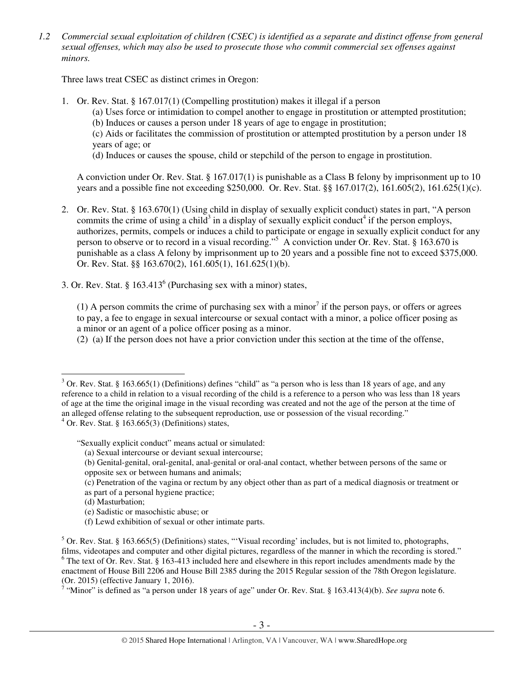*1.2 Commercial sexual exploitation of children (CSEC) is identified as a separate and distinct offense from general sexual offenses, which may also be used to prosecute those who commit commercial sex offenses against minors.* 

Three laws treat CSEC as distinct crimes in Oregon:

1. Or. Rev. Stat. § 167.017(1) (Compelling prostitution) makes it illegal if a person (a) Uses force or intimidation to compel another to engage in prostitution or attempted prostitution; (b) Induces or causes a person under 18 years of age to engage in prostitution; (c) Aids or facilitates the commission of prostitution or attempted prostitution by a person under 18 years of age; or (d) Induces or causes the spouse, child or stepchild of the person to engage in prostitution.

A conviction under Or. Rev. Stat. § 167.017(1) is punishable as a Class B felony by imprisonment up to 10 years and a possible fine not exceeding \$250,000. Or. Rev. Stat. §§ 167.017(2), 161.605(2), 161.625(1)(c).

- 2. Or. Rev. Stat. § 163.670(1) (Using child in display of sexually explicit conduct) states in part, "A person commits the crime of using a child<sup>3</sup> in a display of sexually explicit conduct<sup>4</sup> if the person employs, authorizes, permits, compels or induces a child to participate or engage in sexually explicit conduct for any person to observe or to record in a visual recording."<sup>5</sup> A conviction under Or. Rev. Stat. § 163.670 is punishable as a class A felony by imprisonment up to 20 years and a possible fine not to exceed \$375,000. Or. Rev. Stat. §§ 163.670(2), 161.605(1), 161.625(1)(b).
- 3. Or. Rev. Stat.  $§$  163.413<sup>6</sup> (Purchasing sex with a minor) states,

(1) A person commits the crime of purchasing sex with a minor<sup>7</sup> if the person pays, or offers or agrees to pay, a fee to engage in sexual intercourse or sexual contact with a minor, a police officer posing as a minor or an agent of a police officer posing as a minor.

(2) (a) If the person does not have a prior conviction under this section at the time of the offense,

<sup>&</sup>lt;sup>3</sup> Or. Rev. Stat. § 163.665(1) (Definitions) defines "child" as "a person who is less than 18 years of age, and any reference to a child in relation to a visual recording of the child is a reference to a person who was less than 18 years of age at the time the original image in the visual recording was created and not the age of the person at the time of an alleged offense relating to the subsequent reproduction, use or possession of the visual recording."

 $4$  Or. Rev. Stat. § 163.665(3) (Definitions) states,

<sup>&</sup>quot;Sexually explicit conduct" means actual or simulated:

<sup>(</sup>a) Sexual intercourse or deviant sexual intercourse;

<sup>(</sup>b) Genital-genital, oral-genital, anal-genital or oral-anal contact, whether between persons of the same or opposite sex or between humans and animals;

<sup>(</sup>c) Penetration of the vagina or rectum by any object other than as part of a medical diagnosis or treatment or as part of a personal hygiene practice;

<sup>(</sup>d) Masturbation;

<sup>(</sup>e) Sadistic or masochistic abuse; or

<sup>(</sup>f) Lewd exhibition of sexual or other intimate parts.

 $5$  Or. Rev. Stat. § 163.665(5) (Definitions) states, "'Visual recording' includes, but is not limited to, photographs, films, videotapes and computer and other digital pictures, regardless of the manner in which the recording is stored."  $6$  The text of Or. Rev. Stat. § 163-413 included here and elsewhere in this report includes amendments made by the enactment of House Bill 2206 and House Bill 2385 during the 2015 Regular session of the 78th Oregon legislature.

<sup>(</sup>Or. 2015) (effective January 1, 2016). 7 "Minor" is defined as "a person under 18 years of age" under Or. Rev. Stat. § 163.413(4)(b). *See supra* note 6.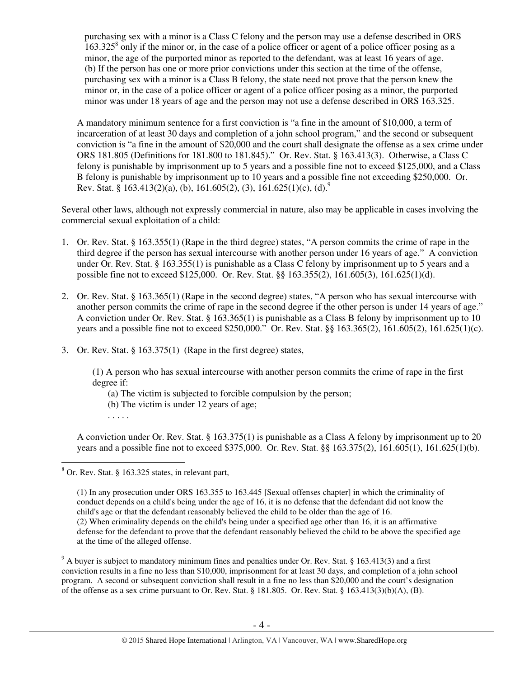purchasing sex with a minor is a Class C felony and the person may use a defense described in ORS  $163.325<sup>8</sup>$  only if the minor or, in the case of a police officer or agent of a police officer posing as a minor, the age of the purported minor as reported to the defendant, was at least 16 years of age. (b) If the person has one or more prior convictions under this section at the time of the offense, purchasing sex with a minor is a Class B felony, the state need not prove that the person knew the minor or, in the case of a police officer or agent of a police officer posing as a minor, the purported minor was under 18 years of age and the person may not use a defense described in ORS 163.325.

A mandatory minimum sentence for a first conviction is "a fine in the amount of \$10,000, a term of incarceration of at least 30 days and completion of a john school program," and the second or subsequent conviction is "a fine in the amount of \$20,000 and the court shall designate the offense as a sex crime under ORS 181.805 (Definitions for 181.800 to 181.845)." Or. Rev. Stat. § 163.413(3). Otherwise, a Class C felony is punishable by imprisonment up to 5 years and a possible fine not to exceed \$125,000, and a Class B felony is punishable by imprisonment up to 10 years and a possible fine not exceeding \$250,000. Or. Rev. Stat. § 163.413(2)(a), (b), 161.605(2), (3), 161.625(1)(c), (d).<sup>9</sup>

Several other laws, although not expressly commercial in nature, also may be applicable in cases involving the commercial sexual exploitation of a child:

- 1. Or. Rev. Stat. § 163.355(1) (Rape in the third degree) states, "A person commits the crime of rape in the third degree if the person has sexual intercourse with another person under 16 years of age." A conviction under Or. Rev. Stat. § 163.355(1) is punishable as a Class C felony by imprisonment up to 5 years and a possible fine not to exceed \$125,000. Or. Rev. Stat. §§ 163.355(2), 161.605(3), 161.625(1)(d).
- 2. Or. Rev. Stat. § 163.365(1) (Rape in the second degree) states, "A person who has sexual intercourse with another person commits the crime of rape in the second degree if the other person is under 14 years of age." A conviction under Or. Rev. Stat. § 163.365(1) is punishable as a Class B felony by imprisonment up to 10 years and a possible fine not to exceed \$250,000." Or. Rev. Stat. §§ 163.365(2), 161.605(2), 161.625(1)(c).
- 3. Or. Rev. Stat. § 163.375(1) (Rape in the first degree) states,

(1) A person who has sexual intercourse with another person commits the crime of rape in the first degree if:

- (a) The victim is subjected to forcible compulsion by the person;
- (b) The victim is under 12 years of age;
- . . . . .

A conviction under Or. Rev. Stat. § 163.375(1) is punishable as a Class A felony by imprisonment up to 20 years and a possible fine not to exceed \$375,000. Or. Rev. Stat. §§ 163.375(2), 161.605(1), 161.625(1)(b).

 8 Or. Rev. Stat. § 163.325 states, in relevant part,

<sup>(1)</sup> In any prosecution under ORS 163.355 to 163.445 [Sexual offenses chapter] in which the criminality of conduct depends on a child's being under the age of 16, it is no defense that the defendant did not know the child's age or that the defendant reasonably believed the child to be older than the age of 16. (2) When criminality depends on the child's being under a specified age other than 16, it is an affirmative defense for the defendant to prove that the defendant reasonably believed the child to be above the specified age at the time of the alleged offense.

 $9$  A buyer is subject to mandatory minimum fines and penalties under Or. Rev. Stat. § 163.413(3) and a first conviction results in a fine no less than \$10,000, imprisonment for at least 30 days, and completion of a john school program. A second or subsequent conviction shall result in a fine no less than \$20,000 and the court's designation of the offense as a sex crime pursuant to Or. Rev. Stat. § 181.805. Or. Rev. Stat. § 163.413(3)(b)(A), (B).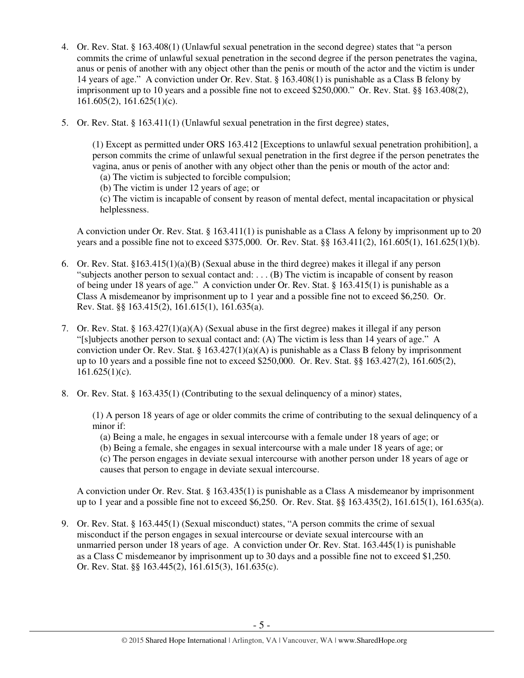- 4. Or. Rev. Stat. § 163.408(1) (Unlawful sexual penetration in the second degree) states that "a person commits the crime of unlawful sexual penetration in the second degree if the person penetrates the vagina, anus or penis of another with any object other than the penis or mouth of the actor and the victim is under 14 years of age." A conviction under Or. Rev. Stat. § 163.408(1) is punishable as a Class B felony by imprisonment up to 10 years and a possible fine not to exceed \$250,000." Or. Rev. Stat. §§ 163.408(2), 161.605(2), 161.625(1)(c).
- 5. Or. Rev. Stat. § 163.411(1) (Unlawful sexual penetration in the first degree) states,

(1) Except as permitted under ORS 163.412 [Exceptions to unlawful sexual penetration prohibition], a person commits the crime of unlawful sexual penetration in the first degree if the person penetrates the vagina, anus or penis of another with any object other than the penis or mouth of the actor and: (a) The victim is subjected to forcible compulsion;

(b) The victim is under 12 years of age; or

(c) The victim is incapable of consent by reason of mental defect, mental incapacitation or physical helplessness.

A conviction under Or. Rev. Stat. § 163.411(1) is punishable as a Class A felony by imprisonment up to 20 years and a possible fine not to exceed \$375,000. Or. Rev. Stat. §§ 163.411(2), 161.605(1), 161.625(1)(b).

- 6. Or. Rev. Stat. §163.415(1)(a)(B) (Sexual abuse in the third degree) makes it illegal if any person "subjects another person to sexual contact and: . . . (B) The victim is incapable of consent by reason of being under 18 years of age." A conviction under Or. Rev. Stat. § 163.415(1) is punishable as a Class A misdemeanor by imprisonment up to 1 year and a possible fine not to exceed \$6,250. Or. Rev. Stat. §§ 163.415(2), 161.615(1), 161.635(a).
- 7. Or. Rev. Stat. § 163.427(1)(a)(A) (Sexual abuse in the first degree) makes it illegal if any person "[s]ubjects another person to sexual contact and: (A) The victim is less than 14 years of age." A conviction under Or. Rev. Stat. §  $163.427(1)(a)(A)$  is punishable as a Class B felony by imprisonment up to 10 years and a possible fine not to exceed \$250,000. Or. Rev. Stat. §§ 163.427(2), 161.605(2),  $161.625(1)(c)$ .
- 8. Or. Rev. Stat. § 163.435(1) (Contributing to the sexual delinquency of a minor) states,

(1) A person 18 years of age or older commits the crime of contributing to the sexual delinquency of a minor if:

(a) Being a male, he engages in sexual intercourse with a female under 18 years of age; or

(b) Being a female, she engages in sexual intercourse with a male under 18 years of age; or (c) The person engages in deviate sexual intercourse with another person under 18 years of age or

causes that person to engage in deviate sexual intercourse.

A conviction under Or. Rev. Stat. § 163.435(1) is punishable as a Class A misdemeanor by imprisonment up to 1 year and a possible fine not to exceed \$6,250. Or. Rev. Stat. §§ 163.435(2), 161.615(1), 161.635(a).

9. Or. Rev. Stat. § 163.445(1) (Sexual misconduct) states, "A person commits the crime of sexual misconduct if the person engages in sexual intercourse or deviate sexual intercourse with an unmarried person under 18 years of age. A conviction under Or. Rev. Stat. 163.445(1) is punishable as a Class C misdemeanor by imprisonment up to 30 days and a possible fine not to exceed \$1,250. Or. Rev. Stat. §§ 163.445(2), 161.615(3), 161.635(c).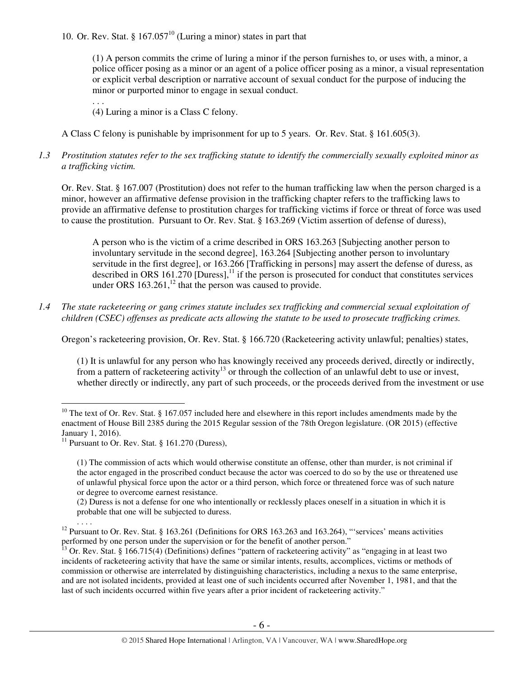10. Or. Rev. Stat. §  $167.057^{10}$  (Luring a minor) states in part that

(1) A person commits the crime of luring a minor if the person furnishes to, or uses with, a minor, a police officer posing as a minor or an agent of a police officer posing as a minor, a visual representation or explicit verbal description or narrative account of sexual conduct for the purpose of inducing the minor or purported minor to engage in sexual conduct.

. . .

(4) Luring a minor is a Class C felony.

A Class C felony is punishable by imprisonment for up to 5 years. Or. Rev. Stat. § 161.605(3).

## *1.3 Prostitution statutes refer to the sex trafficking statute to identify the commercially sexually exploited minor as a trafficking victim.*

Or. Rev. Stat. § 167.007 (Prostitution) does not refer to the human trafficking law when the person charged is a minor, however an affirmative defense provision in the trafficking chapter refers to the trafficking laws to provide an affirmative defense to prostitution charges for trafficking victims if force or threat of force was used to cause the prostitution. Pursuant to Or. Rev. Stat. § 163.269 (Victim assertion of defense of duress),

A person who is the victim of a crime described in ORS 163.263 [Subjecting another person to involuntary servitude in the second degree], 163.264 [Subjecting another person to involuntary servitude in the first degree], or 163.266 [Trafficking in persons] may assert the defense of duress, as described in ORS 161.270 [Duress], $<sup>11</sup>$  if the person is prosecuted for conduct that constitutes services</sup> under ORS  $163.261$ ,<sup>12</sup> that the person was caused to provide.

*1.4 The state racketeering or gang crimes statute includes sex trafficking and commercial sexual exploitation of children (CSEC) offenses as predicate acts allowing the statute to be used to prosecute trafficking crimes.* 

Oregon's racketeering provision, Or. Rev. Stat. § 166.720 (Racketeering activity unlawful; penalties) states,

(1) It is unlawful for any person who has knowingly received any proceeds derived, directly or indirectly, from a pattern of racketeering activity<sup>13</sup> or through the collection of an unlawful debt to use or invest, whether directly or indirectly, any part of such proceeds, or the proceeds derived from the investment or use

(2) Duress is not a defense for one who intentionally or recklessly places oneself in a situation in which it is probable that one will be subjected to duress.

 $\overline{a}$  $10$  The text of Or. Rev. Stat. § 167.057 included here and elsewhere in this report includes amendments made by the enactment of House Bill 2385 during the 2015 Regular session of the 78th Oregon legislature. (OR 2015) (effective January 1, 2016).

<sup>&</sup>lt;sup>11</sup> Pursuant to Or. Rev. Stat. § 161.270 (Duress),

<sup>(1)</sup> The commission of acts which would otherwise constitute an offense, other than murder, is not criminal if the actor engaged in the proscribed conduct because the actor was coerced to do so by the use or threatened use of unlawful physical force upon the actor or a third person, which force or threatened force was of such nature or degree to overcome earnest resistance.

<sup>. . . .</sup>  <sup>12</sup> Pursuant to Or. Rev. Stat. § 163.261 (Definitions for ORS 163.263 and 163.264), "'services' means activities performed by one person under the supervision or for the benefit of another person."<br><sup>13</sup> One Person."

 $3$  Or. Rev. Stat. § 166.715(4) (Definitions) defines "pattern of racketeering activity" as "engaging in at least two incidents of racketeering activity that have the same or similar intents, results, accomplices, victims or methods of commission or otherwise are interrelated by distinguishing characteristics, including a nexus to the same enterprise, and are not isolated incidents, provided at least one of such incidents occurred after November 1, 1981, and that the last of such incidents occurred within five years after a prior incident of racketeering activity."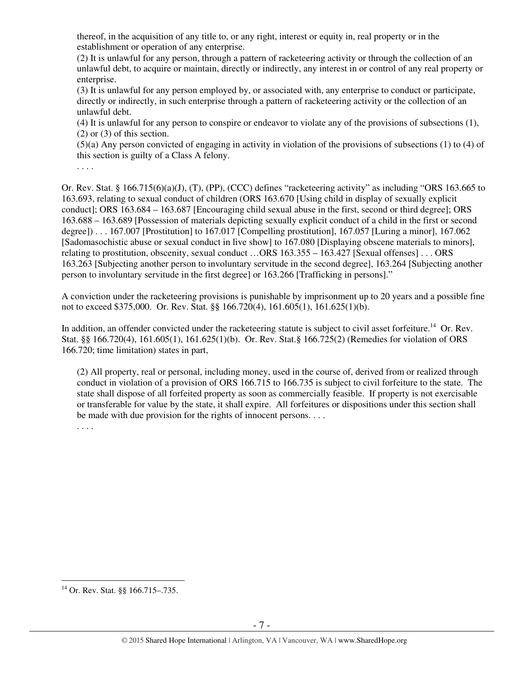thereof, in the acquisition of any title to, or any right, interest or equity in, real property or in the establishment or operation of any enterprise.

(2) It is unlawful for any person, through a pattern of racketeering activity or through the collection of an unlawful debt, to acquire or maintain, directly or indirectly, any interest in or control of any real property or enterprise.

(3) It is unlawful for any person employed by, or associated with, any enterprise to conduct or participate, directly or indirectly, in such enterprise through a pattern of racketeering activity or the collection of an unlawful debt.

(4) It is unlawful for any person to conspire or endeavor to violate any of the provisions of subsections (1), (2) or (3) of this section.

(5)(a) Any person convicted of engaging in activity in violation of the provisions of subsections (1) to (4) of this section is guilty of a Class A felony.

. . . .

Or. Rev. Stat. § 166.715(6)(a)(J), (T), (PP), (CCC) defines "racketeering activity" as including "ORS 163.665 to 163.693, relating to sexual conduct of children (ORS 163.670 [Using child in display of sexually explicit conduct]; ORS 163.684 – 163.687 [Encouraging child sexual abuse in the first, second or third degree]; ORS 163.688 – 163.689 [Possession of materials depicting sexually explicit conduct of a child in the first or second degree]) . . . 167.007 [Prostitution] to 167.017 [Compelling prostitution], 167.057 [Luring a minor], 167.062 [Sadomasochistic abuse or sexual conduct in live show] to 167.080 [Displaying obscene materials to minors], relating to prostitution, obscenity, sexual conduct …ORS 163.355 – 163.427 [Sexual offenses] . . . ORS 163.263 [Subjecting another person to involuntary servitude in the second degree], 163.264 [Subjecting another person to involuntary servitude in the first degree] or 163.266 [Trafficking in persons]."

A conviction under the racketeering provisions is punishable by imprisonment up to 20 years and a possible fine not to exceed \$375,000. Or. Rev. Stat. §§ 166.720(4), 161.605(1), 161.625(1)(b).

In addition, an offender convicted under the racketeering statute is subject to civil asset forfeiture.<sup>14</sup> Or. Rev. Stat. §§ 166.720(4), 161.605(1), 161.625(1)(b). Or. Rev. Stat.§ 166.725(2) (Remedies for violation of ORS 166.720; time limitation) states in part,

(2) All property, real or personal, including money, used in the course of, derived from or realized through conduct in violation of a provision of ORS 166.715 to 166.735 is subject to civil forfeiture to the state. The state shall dispose of all forfeited property as soon as commercially feasible. If property is not exercisable or transferable for value by the state, it shall expire. All forfeitures or dispositions under this section shall be made with due provision for the rights of innocent persons. . . .

. . . .

 $\overline{a}$ <sup>14</sup> Or. Rev. Stat. §§ 166.715–.735.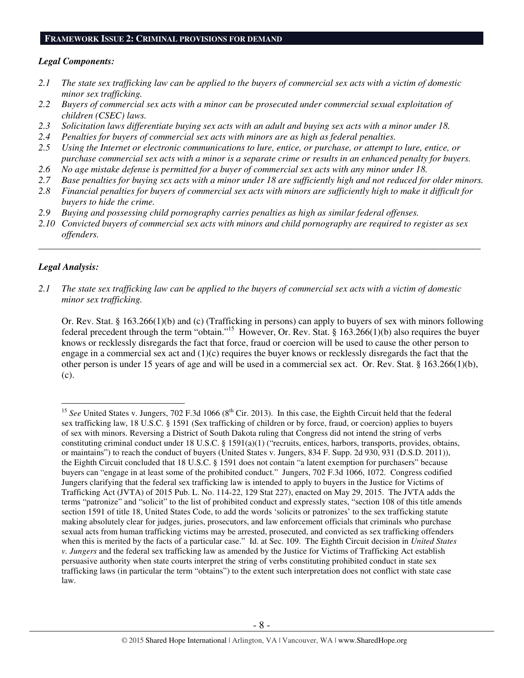#### **FRAMEWORK ISSUE 2: CRIMINAL PROVISIONS FOR DEMAND**

#### *Legal Components:*

- *2.1 The state sex trafficking law can be applied to the buyers of commercial sex acts with a victim of domestic minor sex trafficking.*
- *2.2 Buyers of commercial sex acts with a minor can be prosecuted under commercial sexual exploitation of children (CSEC) laws.*
- *2.3 Solicitation laws differentiate buying sex acts with an adult and buying sex acts with a minor under 18.*
- *2.4 Penalties for buyers of commercial sex acts with minors are as high as federal penalties.*
- *2.5 Using the Internet or electronic communications to lure, entice, or purchase, or attempt to lure, entice, or purchase commercial sex acts with a minor is a separate crime or results in an enhanced penalty for buyers.*
- *2.6 No age mistake defense is permitted for a buyer of commercial sex acts with any minor under 18.*
- *2.7 Base penalties for buying sex acts with a minor under 18 are sufficiently high and not reduced for older minors.*
- *2.8 Financial penalties for buyers of commercial sex acts with minors are sufficiently high to make it difficult for buyers to hide the crime.*
- *2.9 Buying and possessing child pornography carries penalties as high as similar federal offenses.*
- *2.10 Convicted buyers of commercial sex acts with minors and child pornography are required to register as sex offenders.*

\_\_\_\_\_\_\_\_\_\_\_\_\_\_\_\_\_\_\_\_\_\_\_\_\_\_\_\_\_\_\_\_\_\_\_\_\_\_\_\_\_\_\_\_\_\_\_\_\_\_\_\_\_\_\_\_\_\_\_\_\_\_\_\_\_\_\_\_\_\_\_\_\_\_\_\_\_\_\_\_\_\_\_\_\_\_\_\_\_\_\_\_\_\_

#### *Legal Analysis:*

 $\overline{a}$ 

*2.1 The state sex trafficking law can be applied to the buyers of commercial sex acts with a victim of domestic minor sex trafficking.* 

Or. Rev. Stat. § 163.266(1)(b) and (c) (Trafficking in persons) can apply to buyers of sex with minors following federal precedent through the term "obtain."<sup>15</sup> However, Or. Rev. Stat. § 163.266(1)(b) also requires the buyer knows or recklessly disregards the fact that force, fraud or coercion will be used to cause the other person to engage in a commercial sex act and (1)(c) requires the buyer knows or recklessly disregards the fact that the other person is under 15 years of age and will be used in a commercial sex act. Or. Rev. Stat. § 163.266(1)(b), (c).

<sup>&</sup>lt;sup>15</sup> See United States v. Jungers, 702 F.3d 1066 (8<sup>th</sup> Cir. 2013). In this case, the Eighth Circuit held that the federal sex trafficking law, 18 U.S.C. § 1591 (Sex trafficking of children or by force, fraud, or coercion) applies to buyers of sex with minors. Reversing a District of South Dakota ruling that Congress did not intend the string of verbs constituting criminal conduct under 18 U.S.C. § 1591(a)(1) ("recruits, entices, harbors, transports, provides, obtains, or maintains") to reach the conduct of buyers (United States v. Jungers, 834 F. Supp. 2d 930, 931 (D.S.D. 2011)), the Eighth Circuit concluded that 18 U.S.C. § 1591 does not contain "a latent exemption for purchasers" because buyers can "engage in at least some of the prohibited conduct." Jungers, 702 F.3d 1066, 1072. Congress codified Jungers clarifying that the federal sex trafficking law is intended to apply to buyers in the Justice for Victims of Trafficking Act (JVTA) of 2015 Pub. L. No. 114-22, 129 Stat 227), enacted on May 29, 2015. The JVTA adds the terms "patronize" and "solicit" to the list of prohibited conduct and expressly states, "section 108 of this title amends section 1591 of title 18, United States Code, to add the words 'solicits or patronizes' to the sex trafficking statute making absolutely clear for judges, juries, prosecutors, and law enforcement officials that criminals who purchase sexual acts from human trafficking victims may be arrested, prosecuted, and convicted as sex trafficking offenders when this is merited by the facts of a particular case." Id. at Sec. 109. The Eighth Circuit decision in *United States v. Jungers* and the federal sex trafficking law as amended by the Justice for Victims of Trafficking Act establish persuasive authority when state courts interpret the string of verbs constituting prohibited conduct in state sex trafficking laws (in particular the term "obtains") to the extent such interpretation does not conflict with state case law.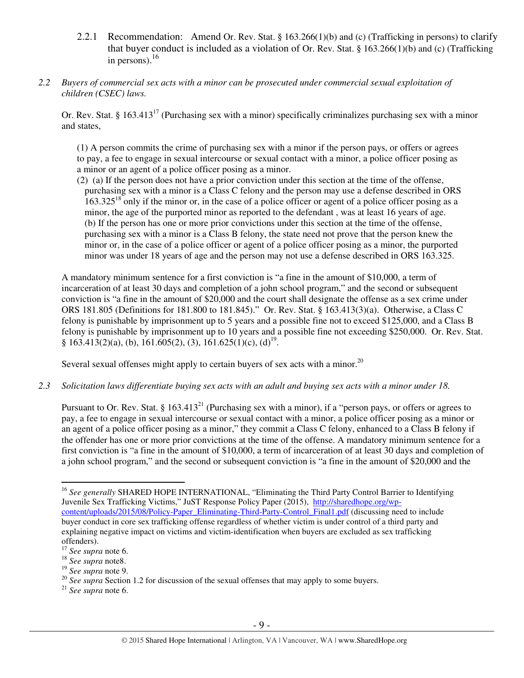- 2.2.1 Recommendation: Amend Or. Rev. Stat. § 163.266(1)(b) and (c) (Trafficking in persons) to clarify that buyer conduct is included as a violation of Or. Rev. Stat. § 163.266(1)(b) and (c) (Trafficking in persons). 16
- *2.2 Buyers of commercial sex acts with a minor can be prosecuted under commercial sexual exploitation of children (CSEC) laws.*

Or. Rev. Stat. § 163.413<sup>17</sup> (Purchasing sex with a minor) specifically criminalizes purchasing sex with a minor and states,

(1) A person commits the crime of purchasing sex with a minor if the person pays, or offers or agrees to pay, a fee to engage in sexual intercourse or sexual contact with a minor, a police officer posing as a minor or an agent of a police officer posing as a minor.

(2) (a) If the person does not have a prior conviction under this section at the time of the offense, purchasing sex with a minor is a Class C felony and the person may use a defense described in ORS  $163.325^{18}$  only if the minor or, in the case of a police officer or agent of a police officer posing as a minor, the age of the purported minor as reported to the defendant , was at least 16 years of age. (b) If the person has one or more prior convictions under this section at the time of the offense, purchasing sex with a minor is a Class B felony, the state need not prove that the person knew the minor or, in the case of a police officer or agent of a police officer posing as a minor, the purported minor was under 18 years of age and the person may not use a defense described in ORS 163.325.

A mandatory minimum sentence for a first conviction is "a fine in the amount of \$10,000, a term of incarceration of at least 30 days and completion of a john school program," and the second or subsequent conviction is "a fine in the amount of \$20,000 and the court shall designate the offense as a sex crime under ORS 181.805 (Definitions for 181.800 to 181.845)." Or. Rev. Stat. § 163.413(3)(a). Otherwise, a Class C felony is punishable by imprisonment up to 5 years and a possible fine not to exceed \$125,000, and a Class B felony is punishable by imprisonment up to 10 years and a possible fine not exceeding \$250,000. Or. Rev. Stat.  $§ 163.413(2)(a), (b), 161.605(2), (3), 161.625(1)(c), (d)<sup>19</sup>.$ 

Several sexual offenses might apply to certain buyers of sex acts with a minor.<sup>20</sup>

*2.3 Solicitation laws differentiate buying sex acts with an adult and buying sex acts with a minor under 18.* 

Pursuant to Or. Rev. Stat. § 163.413<sup>21</sup> (Purchasing sex with a minor), if a "person pays, or offers or agrees to pay, a fee to engage in sexual intercourse or sexual contact with a minor, a police officer posing as a minor or an agent of a police officer posing as a minor," they commit a Class C felony, enhanced to a Class B felony if the offender has one or more prior convictions at the time of the offense. A mandatory minimum sentence for a first conviction is "a fine in the amount of \$10,000, a term of incarceration of at least 30 days and completion of a john school program," and the second or subsequent conviction is "a fine in the amount of \$20,000 and the

<sup>19</sup> *See supra* note 9.

<sup>21</sup> *See supra* note 6.

 $\overline{a}$ <sup>16</sup> See generally SHARED HOPE INTERNATIONAL, "Eliminating the Third Party Control Barrier to Identifying Juvenile Sex Trafficking Victims," JuST Response Policy Paper (2015), http://sharedhope.org/wpcontent/uploads/2015/08/Policy-Paper\_Eliminating-Third-Party-Control\_Final1.pdf (discussing need to include buyer conduct in core sex trafficking offense regardless of whether victim is under control of a third party and explaining negative impact on victims and victim-identification when buyers are excluded as sex trafficking offenders).

<sup>17</sup> *See supra* note 6.

<sup>18</sup> *See supra* note8.

<sup>&</sup>lt;sup>20</sup> See supra Section 1.2 for discussion of the sexual offenses that may apply to some buyers.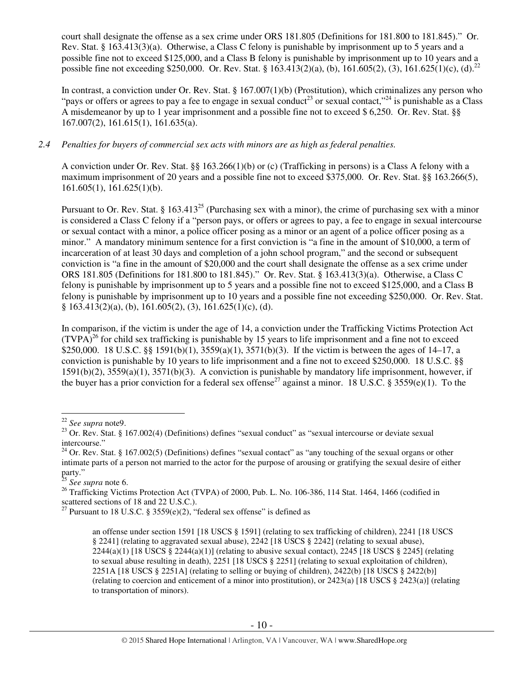court shall designate the offense as a sex crime under ORS 181.805 (Definitions for 181.800 to 181.845)." Or. Rev. Stat. § 163.413(3)(a). Otherwise, a Class C felony is punishable by imprisonment up to 5 years and a possible fine not to exceed \$125,000, and a Class B felony is punishable by imprisonment up to 10 years and a possible fine not exceeding \$250,000. Or. Rev. Stat. § 163.413(2)(a), (b), 161.605(2), (3), 161.625(1)(c), (d).<sup>22</sup>

In contrast, a conviction under Or. Rev. Stat. § 167.007(1)(b) (Prostitution), which criminalizes any person who "pays or offers or agrees to pay a fee to engage in sexual conduct<sup>23</sup> or sexual contact,"<sup>24</sup> is punishable as a Class A misdemeanor by up to 1 year imprisonment and a possible fine not to exceed \$ 6,250. Or. Rev. Stat. §§ 167.007(2), 161.615(1), 161.635(a).

## *2.4 Penalties for buyers of commercial sex acts with minors are as high as federal penalties.*

A conviction under Or. Rev. Stat. §§ 163.266(1)(b) or (c) (Trafficking in persons) is a Class A felony with a maximum imprisonment of 20 years and a possible fine not to exceed \$375,000. Or. Rev. Stat. §§ 163.266(5), 161.605(1), 161.625(1)(b).

Pursuant to Or. Rev. Stat. § 163.413<sup>25</sup> (Purchasing sex with a minor), the crime of purchasing sex with a minor is considered a Class C felony if a "person pays, or offers or agrees to pay, a fee to engage in sexual intercourse or sexual contact with a minor, a police officer posing as a minor or an agent of a police officer posing as a minor." A mandatory minimum sentence for a first conviction is "a fine in the amount of \$10,000, a term of incarceration of at least 30 days and completion of a john school program," and the second or subsequent conviction is "a fine in the amount of \$20,000 and the court shall designate the offense as a sex crime under ORS 181.805 (Definitions for 181.800 to 181.845)." Or. Rev. Stat. § 163.413(3)(a). Otherwise, a Class C felony is punishable by imprisonment up to 5 years and a possible fine not to exceed \$125,000, and a Class B felony is punishable by imprisonment up to 10 years and a possible fine not exceeding \$250,000. Or. Rev. Stat. § 163.413(2)(a), (b), 161.605(2), (3), 161.625(1)(c), (d).

In comparison, if the victim is under the age of 14, a conviction under the Trafficking Victims Protection Act  $(TVPA)<sup>26</sup>$  for child sex trafficking is punishable by 15 years to life imprisonment and a fine not to exceed \$250,000. 18 U.S.C. §§ 1591(b)(1),  $3559(a)(1)$ ,  $3571(b)(3)$ . If the victim is between the ages of 14–17, a conviction is punishable by 10 years to life imprisonment and a fine not to exceed \$250,000. 18 U.S.C. §§ 1591(b)(2), 3559(a)(1), 3571(b)(3). A conviction is punishable by mandatory life imprisonment, however, if the buyer has a prior conviction for a federal sex offense<sup>27</sup> against a minor. 18 U.S.C. § 3559(e)(1). To the

<sup>22</sup> *See supra* note9.

<sup>&</sup>lt;sup>23</sup> Or. Rev. Stat. § 167.002(4) (Definitions) defines "sexual conduct" as "sexual intercourse or deviate sexual intercourse."

 $^{24}$  Or. Rev. Stat. § 167.002(5) (Definitions) defines "sexual contact" as "any touching of the sexual organs or other intimate parts of a person not married to the actor for the purpose of arousing or gratifying the sexual desire of either party."

<sup>25</sup> *See supra* note 6.

<sup>&</sup>lt;sup>26</sup> Trafficking Victims Protection Act (TVPA) of 2000, Pub. L. No. 106-386, 114 Stat. 1464, 1466 (codified in scattered sections of 18 and 22 U.S.C.).

<sup>&</sup>lt;sup>27</sup> Pursuant to 18 U.S.C. § 3559 $(e)(2)$ , "federal sex offense" is defined as

an offense under section 1591 [18 USCS § 1591] (relating to sex trafficking of children), 2241 [18 USCS § 2241] (relating to aggravated sexual abuse), 2242 [18 USCS § 2242] (relating to sexual abuse),  $2244(a)(1)$  [18 USCS § 2244(a)(1)] (relating to abusive sexual contact), 2245 [18 USCS § 2245] (relating to sexual abuse resulting in death), 2251 [18 USCS § 2251] (relating to sexual exploitation of children), 2251A [18 USCS § 2251A] (relating to selling or buying of children), 2422(b) [18 USCS § 2422(b)] (relating to coercion and enticement of a minor into prostitution), or 2423(a) [18 USCS § 2423(a)] (relating to transportation of minors).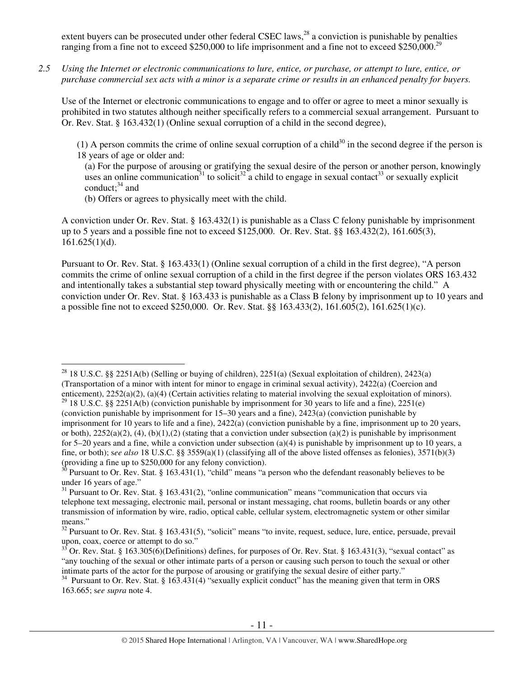extent buyers can be prosecuted under other federal CSEC laws, $^{28}$  a conviction is punishable by penalties ranging from a fine not to exceed \$250,000 to life imprisonment and a fine not to exceed \$250,000.<sup>29</sup>

*2.5 Using the Internet or electronic communications to lure, entice, or purchase, or attempt to lure, entice, or purchase commercial sex acts with a minor is a separate crime or results in an enhanced penalty for buyers.* 

Use of the Internet or electronic communications to engage and to offer or agree to meet a minor sexually is prohibited in two statutes although neither specifically refers to a commercial sexual arrangement. Pursuant to Or. Rev. Stat. § 163.432(1) (Online sexual corruption of a child in the second degree),

(1) A person commits the crime of online sexual corruption of a child<sup>30</sup> in the second degree if the person is 18 years of age or older and:

(a) For the purpose of arousing or gratifying the sexual desire of the person or another person, knowingly uses an online communication<sup>31</sup> to solicit<sup>32</sup> a child to engage in sexual contact<sup>33</sup> or sexually explicit conduct: $34$  and

(b) Offers or agrees to physically meet with the child.

A conviction under Or. Rev. Stat. § 163.432(1) is punishable as a Class C felony punishable by imprisonment up to 5 years and a possible fine not to exceed \$125,000. Or. Rev. Stat. §§ 163.432(2), 161.605(3), 161.625(1)(d).

Pursuant to Or. Rev. Stat. § 163.433(1) (Online sexual corruption of a child in the first degree), "A person commits the crime of online sexual corruption of a child in the first degree if the person violates ORS 163.432 and intentionally takes a substantial step toward physically meeting with or encountering the child." A conviction under Or. Rev. Stat. § 163.433 is punishable as a Class B felony by imprisonment up to 10 years and a possible fine not to exceed \$250,000. Or. Rev. Stat. §§ 163.433(2), 161.605(2), 161.625(1)(c).

 $\overline{a}$ <sup>28</sup> 18 U.S.C. §§ 2251A(b) (Selling or buying of children), 2251(a) (Sexual exploitation of children), 2423(a) (Transportation of a minor with intent for minor to engage in criminal sexual activity), 2422(a) (Coercion and enticement), 2252(a)(2), (a)(4) (Certain activities relating to material involving the sexual exploitation of minors).

<sup>&</sup>lt;sup>29</sup> 18 U.S.C. §§ 2251A(b) (conviction punishable by imprisonment for 30 years to life and a fine), 2251(e) (conviction punishable by imprisonment for 15–30 years and a fine), 2423(a) (conviction punishable by imprisonment for 10 years to life and a fine), 2422(a) (conviction punishable by a fine, imprisonment up to 20 years, or both),  $2252(a)(2)$ , (4), (b)(1),(2) (stating that a conviction under subsection (a)(2) is punishable by imprisonment for 5–20 years and a fine, while a conviction under subsection  $(a)(4)$  is punishable by imprisonment up to 10 years, a fine, or both); s*ee also* 18 U.S.C. §§ 3559(a)(1) (classifying all of the above listed offenses as felonies), 3571(b)(3) (providing a fine up to \$250,000 for any felony conviction).

 $30$  Pursuant to Or. Rev. Stat. § 163.431(1), "child" means "a person who the defendant reasonably believes to be under 16 years of age."

<sup>&</sup>lt;sup>31</sup> Pursuant to Or. Rev. Stat. § 163.431(2), "online communication" means "communication that occurs via telephone text messaging, electronic mail, personal or instant messaging, chat rooms, bulletin boards or any other transmission of information by wire, radio, optical cable, cellular system, electromagnetic system or other similar means."

<sup>&</sup>lt;sup>32</sup> Pursuant to Or. Rev. Stat. § 163.431(5), "solicit" means "to invite, request, seduce, lure, entice, persuade, prevail upon, coax, coerce or attempt to do so."

 $\overline{S}$  Or. Rev. Stat. § 163.305(6)(Definitions) defines, for purposes of Or. Rev. Stat. § 163.431(3), "sexual contact" as "any touching of the sexual or other intimate parts of a person or causing such person to touch the sexual or other intimate parts of the actor for the purpose of arousing or gratifying the sexual desire of either party."

<sup>34</sup> Pursuant to Or. Rev. Stat. § 163.431(4) "sexually explicit conduct" has the meaning given that term in ORS 163.665; s*ee supra* note 4.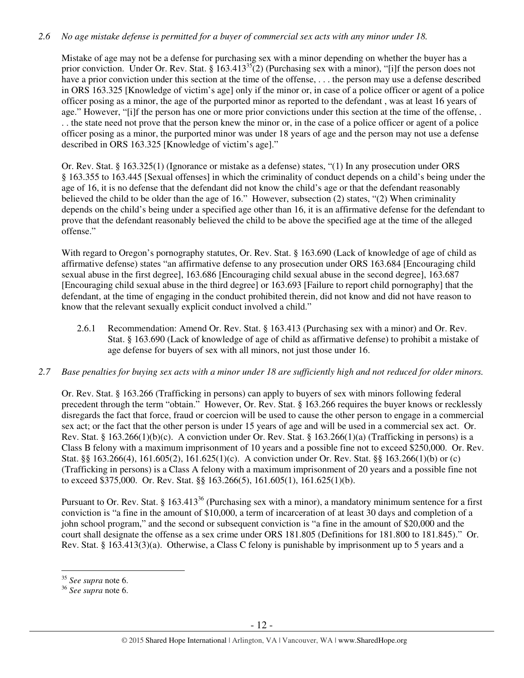## *2.6 No age mistake defense is permitted for a buyer of commercial sex acts with any minor under 18.*

Mistake of age may not be a defense for purchasing sex with a minor depending on whether the buyer has a prior conviction. Under Or. Rev. Stat. §  $163.413^{35}$ (2) (Purchasing sex with a minor), "[i]f the person does not have a prior conviction under this section at the time of the offense, ... the person may use a defense described in ORS 163.325 [Knowledge of victim's age] only if the minor or, in case of a police officer or agent of a police officer posing as a minor, the age of the purported minor as reported to the defendant , was at least 16 years of age." However, "[i]f the person has one or more prior convictions under this section at the time of the offense, . . . the state need not prove that the person knew the minor or, in the case of a police officer or agent of a police officer posing as a minor, the purported minor was under 18 years of age and the person may not use a defense described in ORS 163.325 [Knowledge of victim's age]."

Or. Rev. Stat. § 163.325(1) (Ignorance or mistake as a defense) states, "(1) In any prosecution under ORS § 163.355 to 163.445 [Sexual offenses] in which the criminality of conduct depends on a child's being under the age of 16, it is no defense that the defendant did not know the child's age or that the defendant reasonably believed the child to be older than the age of 16." However, subsection (2) states, "(2) When criminality depends on the child's being under a specified age other than 16, it is an affirmative defense for the defendant to prove that the defendant reasonably believed the child to be above the specified age at the time of the alleged offense."

With regard to Oregon's pornography statutes, Or. Rev. Stat. § 163.690 (Lack of knowledge of age of child as affirmative defense) states "an affirmative defense to any prosecution under ORS 163.684 [Encouraging child sexual abuse in the first degree], 163.686 [Encouraging child sexual abuse in the second degree], 163.687 [Encouraging child sexual abuse in the third degree] or 163.693 [Failure to report child pornography] that the defendant, at the time of engaging in the conduct prohibited therein, did not know and did not have reason to know that the relevant sexually explicit conduct involved a child."

2.6.1 Recommendation: Amend Or. Rev. Stat. § 163.413 (Purchasing sex with a minor) and Or. Rev. Stat. § 163.690 (Lack of knowledge of age of child as affirmative defense) to prohibit a mistake of age defense for buyers of sex with all minors, not just those under 16.

#### *2.7 Base penalties for buying sex acts with a minor under 18 are sufficiently high and not reduced for older minors.*

Or. Rev. Stat. § 163.266 (Trafficking in persons) can apply to buyers of sex with minors following federal precedent through the term "obtain." However, Or. Rev. Stat. § 163.266 requires the buyer knows or recklessly disregards the fact that force, fraud or coercion will be used to cause the other person to engage in a commercial sex act; or the fact that the other person is under 15 years of age and will be used in a commercial sex act. Or. Rev. Stat. §  $163.266(1)(b)(c)$ . A conviction under Or. Rev. Stat. §  $163.266(1)(a)$  (Trafficking in persons) is a Class B felony with a maximum imprisonment of 10 years and a possible fine not to exceed \$250,000. Or. Rev. Stat. §§ 163.266(4), 161.605(2), 161.625(1)(c). A conviction under Or. Rev. Stat. §§ 163.266(1)(b) or (c) (Trafficking in persons) is a Class A felony with a maximum imprisonment of 20 years and a possible fine not to exceed \$375,000. Or. Rev. Stat. §§ 163.266(5), 161.605(1), 161.625(1)(b).

Pursuant to Or. Rev. Stat. § 163.413<sup>36</sup> (Purchasing sex with a minor), a mandatory minimum sentence for a first conviction is "a fine in the amount of \$10,000, a term of incarceration of at least 30 days and completion of a john school program," and the second or subsequent conviction is "a fine in the amount of \$20,000 and the court shall designate the offense as a sex crime under ORS 181.805 (Definitions for 181.800 to 181.845)." Or. Rev. Stat. § 163.413(3)(a). Otherwise, a Class C felony is punishable by imprisonment up to 5 years and a

l <sup>35</sup> *See supra* note 6.

<sup>36</sup> *See supra* note 6.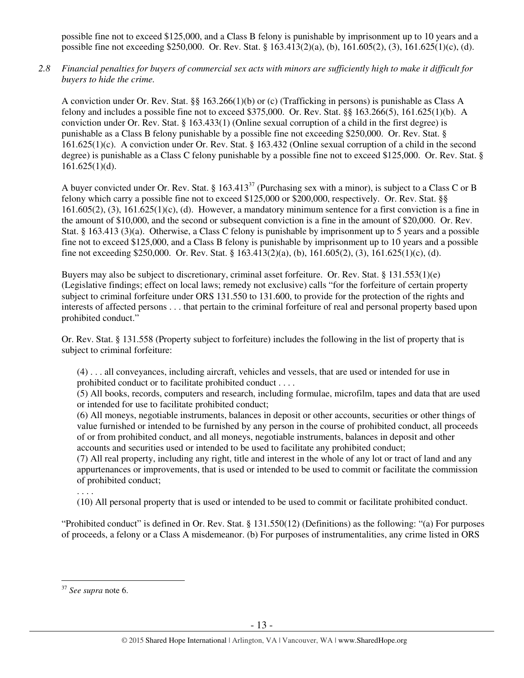possible fine not to exceed \$125,000, and a Class B felony is punishable by imprisonment up to 10 years and a possible fine not exceeding \$250,000. Or. Rev. Stat. § 163.413(2)(a), (b), 161.605(2), (3), 161.625(1)(c), (d).

*2.8 Financial penalties for buyers of commercial sex acts with minors are sufficiently high to make it difficult for buyers to hide the crime.* 

A conviction under Or. Rev. Stat. §§ 163.266(1)(b) or (c) (Trafficking in persons) is punishable as Class A felony and includes a possible fine not to exceed \$375,000. Or. Rev. Stat. §§ 163.266(5), 161.625(1)(b). A conviction under Or. Rev. Stat. § 163.433(1) (Online sexual corruption of a child in the first degree) is punishable as a Class B felony punishable by a possible fine not exceeding \$250,000. Or. Rev. Stat. § 161.625(1)(c). A conviction under Or. Rev. Stat. § 163.432 (Online sexual corruption of a child in the second degree) is punishable as a Class C felony punishable by a possible fine not to exceed \$125,000. Or. Rev. Stat. §  $161.625(1)(d)$ .

A buyer convicted under Or. Rev. Stat. § 163.413<sup>37</sup> (Purchasing sex with a minor), is subject to a Class C or B felony which carry a possible fine not to exceed \$125,000 or \$200,000, respectively. Or. Rev. Stat. §§  $161.605(2)$ , (3),  $161.625(1)(c)$ , (d). However, a mandatory minimum sentence for a first conviction is a fine in the amount of \$10,000, and the second or subsequent conviction is a fine in the amount of \$20,000. Or. Rev. Stat. § 163.413 (3)(a). Otherwise, a Class C felony is punishable by imprisonment up to 5 years and a possible fine not to exceed \$125,000, and a Class B felony is punishable by imprisonment up to 10 years and a possible fine not exceeding \$250,000. Or. Rev. Stat. § 163.413(2)(a), (b), 161.605(2), (3), 161.625(1)(c), (d).

Buyers may also be subject to discretionary, criminal asset forfeiture. Or. Rev. Stat. § 131.553(1)(e) (Legislative findings; effect on local laws; remedy not exclusive) calls "for the forfeiture of certain property subject to criminal forfeiture under ORS 131.550 to 131.600, to provide for the protection of the rights and interests of affected persons . . . that pertain to the criminal forfeiture of real and personal property based upon prohibited conduct."

Or. Rev. Stat. § 131.558 (Property subject to forfeiture) includes the following in the list of property that is subject to criminal forfeiture:

(4) . . . all conveyances, including aircraft, vehicles and vessels, that are used or intended for use in prohibited conduct or to facilitate prohibited conduct . . . .

(5) All books, records, computers and research, including formulae, microfilm, tapes and data that are used or intended for use to facilitate prohibited conduct;

(6) All moneys, negotiable instruments, balances in deposit or other accounts, securities or other things of value furnished or intended to be furnished by any person in the course of prohibited conduct, all proceeds of or from prohibited conduct, and all moneys, negotiable instruments, balances in deposit and other accounts and securities used or intended to be used to facilitate any prohibited conduct;

(7) All real property, including any right, title and interest in the whole of any lot or tract of land and any appurtenances or improvements, that is used or intended to be used to commit or facilitate the commission of prohibited conduct;

(10) All personal property that is used or intended to be used to commit or facilitate prohibited conduct.

"Prohibited conduct" is defined in Or. Rev. Stat. § 131.550(12) (Definitions) as the following: "(a) For purposes of proceeds, a felony or a Class A misdemeanor. (b) For purposes of instrumentalities, any crime listed in ORS

. . . .

 $\overline{a}$ <sup>37</sup> *See supra* note 6.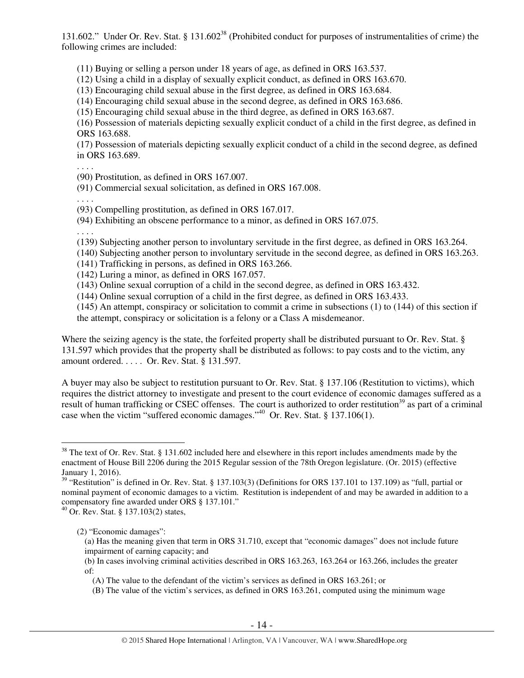131.602." Under Or. Rev. Stat. § 131.602<sup>38</sup> (Prohibited conduct for purposes of instrumentalities of crime) the following crimes are included:

(11) Buying or selling a person under 18 years of age, as defined in ORS 163.537.

(12) Using a child in a display of sexually explicit conduct, as defined in ORS 163.670.

(13) Encouraging child sexual abuse in the first degree, as defined in ORS 163.684.

(14) Encouraging child sexual abuse in the second degree, as defined in ORS 163.686.

(15) Encouraging child sexual abuse in the third degree, as defined in ORS 163.687.

(16) Possession of materials depicting sexually explicit conduct of a child in the first degree, as defined in ORS 163.688.

(17) Possession of materials depicting sexually explicit conduct of a child in the second degree, as defined in ORS 163.689.

(90) Prostitution, as defined in ORS 167.007.

(91) Commercial sexual solicitation, as defined in ORS 167.008.

. . . .

. . . .

(93) Compelling prostitution, as defined in ORS 167.017.

(94) Exhibiting an obscene performance to a minor, as defined in ORS 167.075.

. . . .

 $\overline{a}$ 

(139) Subjecting another person to involuntary servitude in the first degree, as defined in ORS 163.264.

(140) Subjecting another person to involuntary servitude in the second degree, as defined in ORS 163.263.

(141) Trafficking in persons, as defined in ORS 163.266.

- (142) Luring a minor, as defined in ORS 167.057.
- (143) Online sexual corruption of a child in the second degree, as defined in ORS 163.432.
- (144) Online sexual corruption of a child in the first degree, as defined in ORS 163.433.

(145) An attempt, conspiracy or solicitation to commit a crime in subsections (1) to (144) of this section if the attempt, conspiracy or solicitation is a felony or a Class A misdemeanor.

Where the seizing agency is the state, the forfeited property shall be distributed pursuant to Or. Rev. Stat. § 131.597 which provides that the property shall be distributed as follows: to pay costs and to the victim, any amount ordered. . . . . Or. Rev. Stat. § 131.597.

A buyer may also be subject to restitution pursuant to Or. Rev. Stat. § 137.106 (Restitution to victims), which requires the district attorney to investigate and present to the court evidence of economic damages suffered as a result of human trafficking or CSEC offenses. The court is authorized to order restitution<sup>39</sup> as part of a criminal case when the victim "suffered economic damages."<sup>40</sup> Or. Rev. Stat. § 137.106(1).

<sup>40</sup> Or. Rev. Stat. § 137.103(2) states,

(a) Has the meaning given that term in ORS 31.710, except that "economic damages" does not include future impairment of earning capacity; and

 $38$  The text of Or. Rev. Stat. § 131.602 included here and elsewhere in this report includes amendments made by the enactment of House Bill 2206 during the 2015 Regular session of the 78th Oregon legislature. (Or. 2015) (effective January 1, 2016).

 $39$  "Restitution" is defined in Or. Rev. Stat. § 137.103(3) (Definitions for ORS 137.101 to 137.109) as "full, partial or nominal payment of economic damages to a victim. Restitution is independent of and may be awarded in addition to a compensatory fine awarded under ORS § 137.101."

<sup>(2) &</sup>quot;Economic damages":

<sup>(</sup>b) In cases involving criminal activities described in ORS 163.263, 163.264 or 163.266, includes the greater of:

<sup>(</sup>A) The value to the defendant of the victim's services as defined in ORS 163.261; or

<sup>(</sup>B) The value of the victim's services, as defined in ORS 163.261, computed using the minimum wage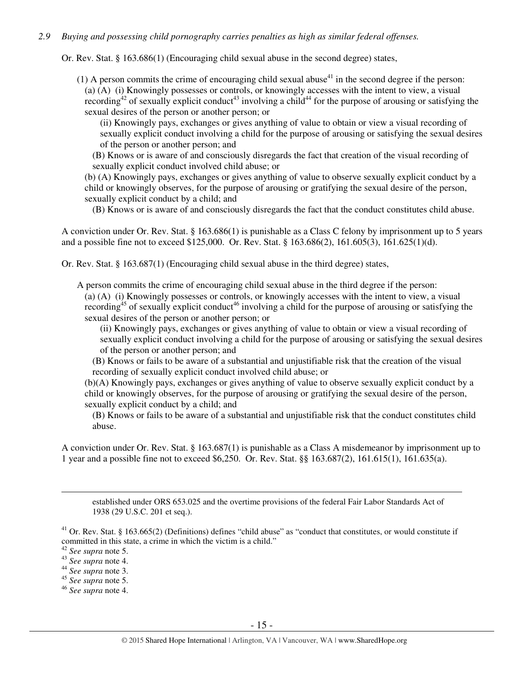## *2.9 Buying and possessing child pornography carries penalties as high as similar federal offenses.*

Or. Rev. Stat. § 163.686(1) (Encouraging child sexual abuse in the second degree) states,

(1) A person commits the crime of encouraging child sexual abuse<sup>41</sup> in the second degree if the person: (a) (A) (i) Knowingly possesses or controls, or knowingly accesses with the intent to view, a visual recording<sup>42</sup> of sexually explicit conduct<sup>43</sup> involving a child<sup>44</sup> for the purpose of arousing or satisfying the sexual desires of the person or another person; or

(ii) Knowingly pays, exchanges or gives anything of value to obtain or view a visual recording of sexually explicit conduct involving a child for the purpose of arousing or satisfying the sexual desires of the person or another person; and

(B) Knows or is aware of and consciously disregards the fact that creation of the visual recording of sexually explicit conduct involved child abuse; or

(b) (A) Knowingly pays, exchanges or gives anything of value to observe sexually explicit conduct by a child or knowingly observes, for the purpose of arousing or gratifying the sexual desire of the person, sexually explicit conduct by a child; and

(B) Knows or is aware of and consciously disregards the fact that the conduct constitutes child abuse.

A conviction under Or. Rev. Stat. § 163.686(1) is punishable as a Class C felony by imprisonment up to 5 years and a possible fine not to exceed \$125,000. Or. Rev. Stat. § 163.686(2), 161.605(3), 161.625(1)(d).

Or. Rev. Stat. § 163.687(1) (Encouraging child sexual abuse in the third degree) states,

A person commits the crime of encouraging child sexual abuse in the third degree if the person: (a) (A) (i) Knowingly possesses or controls, or knowingly accesses with the intent to view, a visual recording<sup>45</sup> of sexually explicit conduct<sup>46</sup> involving a child for the purpose of arousing or satisfying the sexual desires of the person or another person; or

(ii) Knowingly pays, exchanges or gives anything of value to obtain or view a visual recording of sexually explicit conduct involving a child for the purpose of arousing or satisfying the sexual desires of the person or another person; and

(B) Knows or fails to be aware of a substantial and unjustifiable risk that the creation of the visual recording of sexually explicit conduct involved child abuse; or

(b)(A) Knowingly pays, exchanges or gives anything of value to observe sexually explicit conduct by a child or knowingly observes, for the purpose of arousing or gratifying the sexual desire of the person, sexually explicit conduct by a child; and

(B) Knows or fails to be aware of a substantial and unjustifiable risk that the conduct constitutes child abuse.

A conviction under Or. Rev. Stat. § 163.687(1) is punishable as a Class A misdemeanor by imprisonment up to 1 year and a possible fine not to exceed \$6,250. Or. Rev. Stat. §§ 163.687(2), 161.615(1), 161.635(a).

established under ORS 653.025 and the overtime provisions of the federal Fair Labor Standards Act of 1938 (29 U.S.C. 201 et seq.).

 $41$  Or. Rev. Stat. § 163.665(2) (Definitions) defines "child abuse" as "conduct that constitutes, or would constitute if committed in this state, a crime in which the victim is a child."

<sup>42</sup> *See supra* note 5.

<sup>43</sup> *See supra* note 4.

<sup>44</sup> *See supra* note 3.

<sup>45</sup> *See supra* note 5.

<sup>46</sup> *See supra* note 4.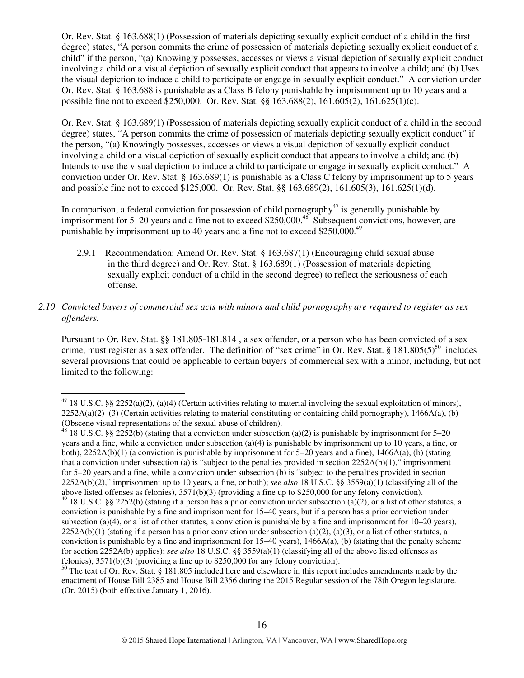Or. Rev. Stat. § 163.688(1) (Possession of materials depicting sexually explicit conduct of a child in the first degree) states, "A person commits the crime of possession of materials depicting sexually explicit conduct of a child" if the person, "(a) Knowingly possesses, accesses or views a visual depiction of sexually explicit conduct involving a child or a visual depiction of sexually explicit conduct that appears to involve a child; and (b) Uses the visual depiction to induce a child to participate or engage in sexually explicit conduct." A conviction under Or. Rev. Stat. § 163.688 is punishable as a Class B felony punishable by imprisonment up to 10 years and a possible fine not to exceed \$250,000. Or. Rev. Stat. §§ 163.688(2), 161.605(2), 161.625(1)(c).

Or. Rev. Stat. § 163.689(1) (Possession of materials depicting sexually explicit conduct of a child in the second degree) states, "A person commits the crime of possession of materials depicting sexually explicit conduct" if the person, "(a) Knowingly possesses, accesses or views a visual depiction of sexually explicit conduct involving a child or a visual depiction of sexually explicit conduct that appears to involve a child; and (b) Intends to use the visual depiction to induce a child to participate or engage in sexually explicit conduct." A conviction under Or. Rev. Stat. § 163.689(1) is punishable as a Class C felony by imprisonment up to 5 years and possible fine not to exceed \$125,000. Or. Rev. Stat. §§ 163.689(2), 161.605(3), 161.625(1)(d).

In comparison, a federal conviction for possession of child pornography<sup>47</sup> is generally punishable by imprisonment for 5–20 years and a fine not to exceed \$250,000.<sup>48</sup> Subsequent convictions, however, are punishable by imprisonment up to 40 years and a fine not to exceed \$250,000.<sup>49</sup>

- 2.9.1 Recommendation: Amend Or. Rev. Stat. § 163.687(1) (Encouraging child sexual abuse in the third degree) and Or. Rev. Stat. § 163.689(1) (Possession of materials depicting sexually explicit conduct of a child in the second degree) to reflect the seriousness of each offense.
- *2.10 Convicted buyers of commercial sex acts with minors and child pornography are required to register as sex offenders.*

Pursuant to Or. Rev. Stat. §§ 181.805-181.814 , a sex offender, or a person who has been convicted of a sex crime, must register as a sex offender. The definition of "sex crime" in Or. Rev. Stat. § 181.805(5)<sup>50</sup> includes several provisions that could be applicable to certain buyers of commercial sex with a minor, including, but not limited to the following:

l

<sup>&</sup>lt;sup>47</sup> 18 U.S.C. §§ 2252(a)(2), (a)(4) (Certain activities relating to material involving the sexual exploitation of minors),  $2252A(a)(2)$ –(3) (Certain activities relating to material constituting or containing child pornography), 1466A(a), (b) (Obscene visual representations of the sexual abuse of children).

<sup>&</sup>lt;sup>48</sup> 18 U.S.C. §§ 2252(b) (stating that a conviction under subsection (a)(2) is punishable by imprisonment for 5–20 years and a fine, while a conviction under subsection (a)(4) is punishable by imprisonment up to 10 years, a fine, or both), 2252A(b)(1) (a conviction is punishable by imprisonment for 5–20 years and a fine), 1466A(a), (b) (stating that a conviction under subsection (a) is "subject to the penalties provided in section 2252A(b)(1)," imprisonment for 5–20 years and a fine, while a conviction under subsection (b) is "subject to the penalties provided in section 2252A(b)(2)," imprisonment up to 10 years, a fine, or both); *see also* 18 U.S.C. §§ 3559(a)(1) (classifying all of the above listed offenses as felonies), 3571(b)(3) (providing a fine up to \$250,000 for any felony conviction).

 $49$  18 U.S.C. §§ 2252(b) (stating if a person has a prior conviction under subsection (a)(2), or a list of other statutes, a conviction is punishable by a fine and imprisonment for 15–40 years, but if a person has a prior conviction under subsection (a)(4), or a list of other statutes, a conviction is punishable by a fine and imprisonment for  $10-20$  years),  $2252A(b)(1)$  (stating if a person has a prior conviction under subsection (a)(2), (a)(3), or a list of other statutes, a conviction is punishable by a fine and imprisonment for  $15-40$  years),  $1466A(a)$ , (b) (stating that the penalty scheme for section 2252A(b) applies); *see also* 18 U.S.C. §§ 3559(a)(1) (classifying all of the above listed offenses as felonies), 3571(b)(3) (providing a fine up to \$250,000 for any felony conviction).

<sup>&</sup>lt;sup>50</sup> The text of Or. Rev. Stat. § 181.805 included here and elsewhere in this report includes amendments made by the enactment of House Bill 2385 and House Bill 2356 during the 2015 Regular session of the 78th Oregon legislature. (Or. 2015) (both effective January 1, 2016).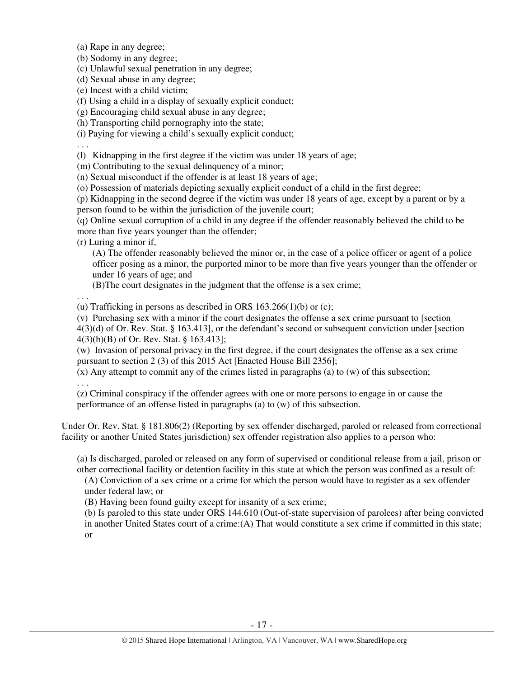(a) Rape in any degree;

(b) Sodomy in any degree;

(c) Unlawful sexual penetration in any degree;

(d) Sexual abuse in any degree;

(e) Incest with a child victim;

(f) Using a child in a display of sexually explicit conduct;

(g) Encouraging child sexual abuse in any degree;

(h) Transporting child pornography into the state;

(i) Paying for viewing a child's sexually explicit conduct;

. . .

(l) Kidnapping in the first degree if the victim was under 18 years of age;

(m) Contributing to the sexual delinquency of a minor;

(n) Sexual misconduct if the offender is at least 18 years of age;

(o) Possession of materials depicting sexually explicit conduct of a child in the first degree;

(p) Kidnapping in the second degree if the victim was under 18 years of age, except by a parent or by a person found to be within the jurisdiction of the juvenile court;

(q) Online sexual corruption of a child in any degree if the offender reasonably believed the child to be more than five years younger than the offender;

(r) Luring a minor if,

(A) The offender reasonably believed the minor or, in the case of a police officer or agent of a police officer posing as a minor, the purported minor to be more than five years younger than the offender or under 16 years of age; and

(B)The court designates in the judgment that the offense is a sex crime;

. . .

(u) Trafficking in persons as described in ORS  $163.266(1)(b)$  or (c);

(v) Purchasing sex with a minor if the court designates the offense a sex crime pursuant to [section

4(3)(d) of Or. Rev. Stat. § 163.413], or the defendant's second or subsequent conviction under [section 4(3)(b)(B) of Or. Rev. Stat. § 163.413];

(w) Invasion of personal privacy in the first degree, if the court designates the offense as a sex crime pursuant to section 2 (3) of this 2015 Act [Enacted House Bill 2356];

(x) Any attempt to commit any of the crimes listed in paragraphs (a) to (w) of this subsection; . . .

(z) Criminal conspiracy if the offender agrees with one or more persons to engage in or cause the performance of an offense listed in paragraphs (a) to (w) of this subsection.

Under Or. Rev. Stat. § 181.806(2) (Reporting by sex offender discharged, paroled or released from correctional facility or another United States jurisdiction) sex offender registration also applies to a person who:

(a) Is discharged, paroled or released on any form of supervised or conditional release from a jail, prison or other correctional facility or detention facility in this state at which the person was confined as a result of:

(A) Conviction of a sex crime or a crime for which the person would have to register as a sex offender under federal law; or

(B) Having been found guilty except for insanity of a sex crime;

(b) Is paroled to this state under ORS 144.610 (Out-of-state supervision of parolees) after being convicted in another United States court of a crime:(A) That would constitute a sex crime if committed in this state; or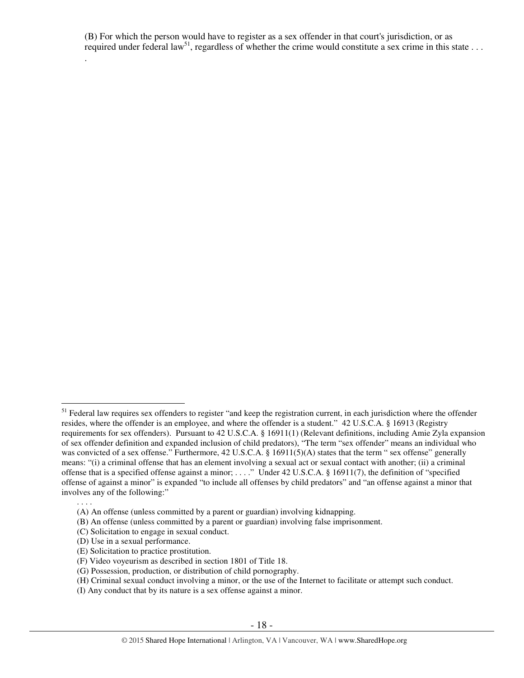(B) For which the person would have to register as a sex offender in that court's jurisdiction, or as required under federal law<sup>51</sup>, regardless of whether the crime would constitute a sex crime in this state  $\dots$ 

. . . .

.

 $\overline{a}$ <sup>51</sup> Federal law requires sex offenders to register "and keep the registration current, in each jurisdiction where the offender resides, where the offender is an employee, and where the offender is a student." 42 U.S.C.A. § 16913 (Registry requirements for sex offenders). Pursuant to 42 U.S.C.A. § 16911(1) (Relevant definitions, including Amie Zyla expansion of sex offender definition and expanded inclusion of child predators), "The term "sex offender" means an individual who was convicted of a sex offense." Furthermore, 42 U.S.C.A. § 16911(5)(A) states that the term " sex offense" generally means: "(i) a criminal offense that has an element involving a sexual act or sexual contact with another; (ii) a criminal offense that is a specified offense against a minor; . . . ." Under 42 U.S.C.A. § 16911(7), the definition of "specified offense of against a minor" is expanded "to include all offenses by child predators" and "an offense against a minor that involves any of the following:"

<sup>(</sup>A) An offense (unless committed by a parent or guardian) involving kidnapping.

<sup>(</sup>B) An offense (unless committed by a parent or guardian) involving false imprisonment.

<sup>(</sup>C) Solicitation to engage in sexual conduct.

<sup>(</sup>D) Use in a sexual performance.

<sup>(</sup>E) Solicitation to practice prostitution.

<sup>(</sup>F) Video voyeurism as described in section 1801 of Title 18.

<sup>(</sup>G) Possession, production, or distribution of child pornography.

<sup>(</sup>H) Criminal sexual conduct involving a minor, or the use of the Internet to facilitate or attempt such conduct.

<sup>(</sup>I) Any conduct that by its nature is a sex offense against a minor.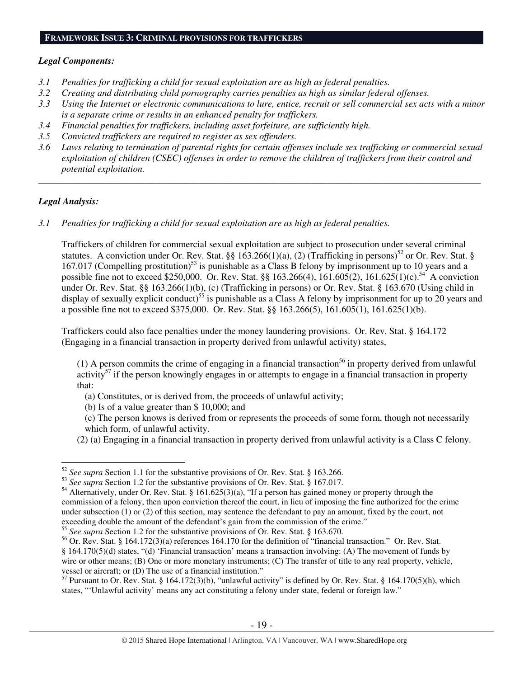## **FRAMEWORK ISSUE 3: CRIMINAL PROVISIONS FOR TRAFFICKERS**

#### *Legal Components:*

- *3.1 Penalties for trafficking a child for sexual exploitation are as high as federal penalties.*
- *3.2 Creating and distributing child pornography carries penalties as high as similar federal offenses.*
- *3.3 Using the Internet or electronic communications to lure, entice, recruit or sell commercial sex acts with a minor is a separate crime or results in an enhanced penalty for traffickers.*
- *3.4 Financial penalties for traffickers, including asset forfeiture, are sufficiently high.*
- *3.5 Convicted traffickers are required to register as sex offenders.*
- *3.6 Laws relating to termination of parental rights for certain offenses include sex trafficking or commercial sexual exploitation of children (CSEC) offenses in order to remove the children of traffickers from their control and potential exploitation.*

*\_\_\_\_\_\_\_\_\_\_\_\_\_\_\_\_\_\_\_\_\_\_\_\_\_\_\_\_\_\_\_\_\_\_\_\_\_\_\_\_\_\_\_\_\_\_\_\_\_\_\_\_\_\_\_\_\_\_\_\_\_\_\_\_\_\_\_\_\_\_\_\_\_\_\_\_\_\_\_\_\_\_\_\_\_\_\_\_\_\_\_\_\_\_* 

## *Legal Analysis:*

 $\overline{a}$ 

*3.1 Penalties for trafficking a child for sexual exploitation are as high as federal penalties.* 

Traffickers of children for commercial sexual exploitation are subject to prosecution under several criminal statutes. A conviction under Or. Rev. Stat. §§ 163.266(1)(a), (2) (Trafficking in persons)<sup>52</sup> or Or. Rev. Stat. § 167.017 (Compelling prostitution)<sup>53</sup> is punishable as a Class B felony by imprisonment up to 10 years and a possible fine not to exceed \$250,000. Or. Rev. Stat. §§ 163.266(4), 161.605(2), 161.625(1)(c).<sup>54</sup> A conviction under Or. Rev. Stat. §§ 163.266(1)(b), (c) (Trafficking in persons) or Or. Rev. Stat. § 163.670 (Using child in display of sexually explicit conduct)<sup>55</sup> is punishable as a Class A felony by imprisonment for up to 20 years and a possible fine not to exceed \$375,000. Or. Rev. Stat. §§ 163.266(5), 161.605(1), 161.625(1)(b).

Traffickers could also face penalties under the money laundering provisions. Or. Rev. Stat. § 164.172 (Engaging in a financial transaction in property derived from unlawful activity) states,

(1) A person commits the crime of engaging in a financial transaction<sup>56</sup> in property derived from unlawful  $\arct{activity}^{57}$  if the person knowingly engages in or attempts to engage in a financial transaction in property that:

- (a) Constitutes, or is derived from, the proceeds of unlawful activity;
- (b) Is of a value greater than \$ 10,000; and
- (c) The person knows is derived from or represents the proceeds of some form, though not necessarily which form, of unlawful activity.
- (2) (a) Engaging in a financial transaction in property derived from unlawful activity is a Class C felony.

<sup>55</sup> *See supra* Section 1.2 for the substantive provisions of Or. Rev. Stat. § 163.670.

<sup>52</sup> *See supra* Section 1.1 for the substantive provisions of Or. Rev. Stat. § 163.266.

<sup>&</sup>lt;sup>53</sup> *See supra* Section 1.2 for the substantive provisions of Or. Rev. Stat. § 167.017.

<sup>&</sup>lt;sup>54</sup> Alternatively, under Or. Rev. Stat. § 161.625(3)(a), "If a person has gained money or property through the commission of a felony, then upon conviction thereof the court, in lieu of imposing the fine authorized for the crime under subsection (1) or (2) of this section, may sentence the defendant to pay an amount, fixed by the court, not exceeding double the amount of the defendant's gain from the commission of the crime."

<sup>56</sup> Or. Rev. Stat. § 164.172(3)(a) references 164.170 for the definition of "financial transaction." Or. Rev. Stat. § 164.170(5)(d) states, "(d) 'Financial transaction' means a transaction involving: (A) The movement of funds by wire or other means; (B) One or more monetary instruments; (C) The transfer of title to any real property, vehicle, vessel or aircraft; or (D) The use of a financial institution."

 $57$  Pursuant to Or. Rev. Stat. § 164.172(3)(b), "unlawful activity" is defined by Or. Rev. Stat. § 164.170(5)(h), which states, "'Unlawful activity' means any act constituting a felony under state, federal or foreign law."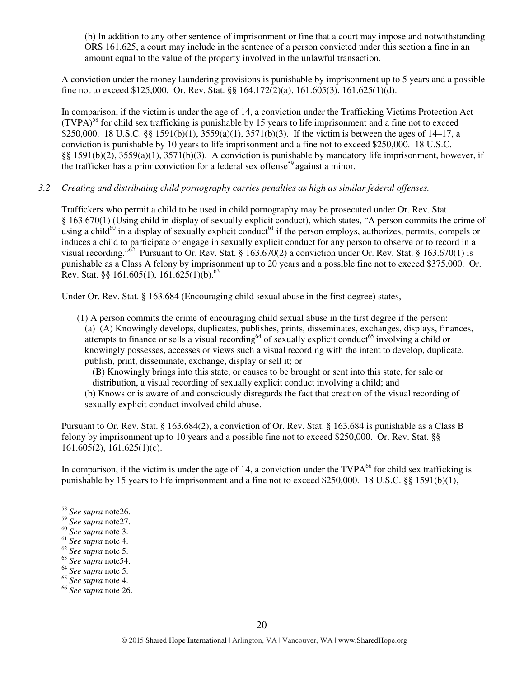(b) In addition to any other sentence of imprisonment or fine that a court may impose and notwithstanding ORS 161.625, a court may include in the sentence of a person convicted under this section a fine in an amount equal to the value of the property involved in the unlawful transaction.

A conviction under the money laundering provisions is punishable by imprisonment up to 5 years and a possible fine not to exceed \$125,000. Or. Rev. Stat. §§ 164.172(2)(a), 161.605(3), 161.625(1)(d).

In comparison, if the victim is under the age of 14, a conviction under the Trafficking Victims Protection Act  $(TVPA)<sup>58</sup>$  for child sex trafficking is punishable by 15 years to life imprisonment and a fine not to exceed \$250,000. 18 U.S.C. §§ 1591(b)(1), 3559(a)(1), 3571(b)(3). If the victim is between the ages of 14–17, a conviction is punishable by 10 years to life imprisonment and a fine not to exceed \$250,000. 18 U.S.C. §§ 1591(b)(2), 3559(a)(1), 3571(b)(3). A conviction is punishable by mandatory life imprisonment, however, if the trafficker has a prior conviction for a federal sex offense<sup>59</sup> against a minor.

*3.2 Creating and distributing child pornography carries penalties as high as similar federal offenses.* 

Traffickers who permit a child to be used in child pornography may be prosecuted under Or. Rev. Stat. § 163.670(1) (Using child in display of sexually explicit conduct), which states, "A person commits the crime of using a child<sup>60</sup> in a display of sexually explicit conduct<sup>61</sup> if the person employs, authorizes, permits, compels or induces a child to participate or engage in sexually explicit conduct for any person to observe or to record in a visual recording."<sup>62</sup> Pursuant to Or. Rev. Stat. § 163.670(2) a conviction under Or. Rev. Stat. § 163.670(1) is punishable as a Class A felony by imprisonment up to 20 years and a possible fine not to exceed \$375,000. Or. Rev. Stat. §§ 161.605(1), 161.625(1)(b).<sup>63</sup>

Under Or. Rev. Stat. § 163.684 (Encouraging child sexual abuse in the first degree) states,

(1) A person commits the crime of encouraging child sexual abuse in the first degree if the person: (a) (A) Knowingly develops, duplicates, publishes, prints, disseminates, exchanges, displays, finances, attempts to finance or sells a visual recording<sup>64</sup> of sexually explicit conduct<sup>65</sup> involving a child or knowingly possesses, accesses or views such a visual recording with the intent to develop, duplicate, publish, print, disseminate, exchange, display or sell it; or

(B) Knowingly brings into this state, or causes to be brought or sent into this state, for sale or distribution, a visual recording of sexually explicit conduct involving a child; and

(b) Knows or is aware of and consciously disregards the fact that creation of the visual recording of sexually explicit conduct involved child abuse.

Pursuant to Or. Rev. Stat. § 163.684(2), a conviction of Or. Rev. Stat. § 163.684 is punishable as a Class B felony by imprisonment up to 10 years and a possible fine not to exceed \$250,000. Or. Rev. Stat. §§  $161.605(2)$ ,  $161.625(1)(c)$ .

In comparison, if the victim is under the age of 14, a conviction under the  $TVPA^{66}$  for child sex trafficking is punishable by 15 years to life imprisonment and a fine not to exceed \$250,000. 18 U.S.C. §§ 1591(b)(1),

<sup>58</sup> *See supra* note26.

<sup>59</sup> *See supra* note27.

<sup>60</sup> *See supra* note 3.

<sup>61</sup> *See supra* note 4.

<sup>62</sup> *See supra* note 5.

<sup>63</sup> *See supra* note54.

<sup>64</sup> *See supra* note 5.

<sup>65</sup> *See supra* note 4.

<sup>66</sup> *See supra* note 26.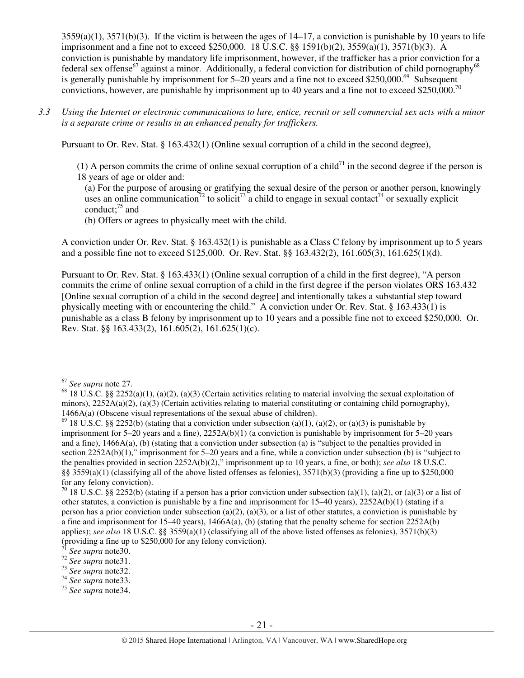$3559(a)(1)$ ,  $3571(b)(3)$ . If the victim is between the ages of  $14-17$ , a conviction is punishable by 10 years to life imprisonment and a fine not to exceed \$250,000. 18 U.S.C. §§ 1591(b)(2), 3559(a)(1), 3571(b)(3). A conviction is punishable by mandatory life imprisonment, however, if the trafficker has a prior conviction for a federal sex offense<sup>67</sup> against a minor. Additionally, a federal conviction for distribution of child pornography<sup>68</sup> is generally punishable by imprisonment for  $5-20$  years and a fine not to exceed \$250,000.<sup>69</sup> Subsequent convictions, however, are punishable by imprisonment up to 40 years and a fine not to exceed \$250,000.<sup>70</sup>

*3.3 Using the Internet or electronic communications to lure, entice, recruit or sell commercial sex acts with a minor is a separate crime or results in an enhanced penalty for traffickers.* 

Pursuant to Or. Rev. Stat. § 163.432(1) (Online sexual corruption of a child in the second degree),

(1) A person commits the crime of online sexual corruption of a child<sup>71</sup> in the second degree if the person is 18 years of age or older and:

(a) For the purpose of arousing or gratifying the sexual desire of the person or another person, knowingly uses an online communication<sup>72</sup> to solicit<sup>73</sup> a child to engage in sexual contact<sup>74</sup> or sexually explicit conduct: $75$  and

(b) Offers or agrees to physically meet with the child.

A conviction under Or. Rev. Stat. § 163.432(1) is punishable as a Class C felony by imprisonment up to 5 years and a possible fine not to exceed \$125,000. Or. Rev. Stat. §§ 163.432(2), 161.605(3), 161.625(1)(d).

Pursuant to Or. Rev. Stat. § 163.433(1) (Online sexual corruption of a child in the first degree), "A person commits the crime of online sexual corruption of a child in the first degree if the person violates ORS 163.432 [Online sexual corruption of a child in the second degree] and intentionally takes a substantial step toward physically meeting with or encountering the child." A conviction under Or. Rev. Stat. § 163.433(1) is punishable as a class B felony by imprisonment up to 10 years and a possible fine not to exceed \$250,000. Or. Rev. Stat. §§ 163.433(2), 161.605(2), 161.625(1)(c).

 $\overline{a}$ <sup>67</sup> *See supra* note 27.

<sup>&</sup>lt;sup>68</sup> 18 U.S.C. §§ 2252(a)(1), (a)(2), (a)(3) (Certain activities relating to material involving the sexual exploitation of minors),  $2252A(a)(2)$ ,  $(a)(3)$  (Certain activities relating to material constituting or containing child pornography), 1466A(a) (Obscene visual representations of the sexual abuse of children).

<sup>&</sup>lt;sup>69</sup> 18 U.S.C. §§ 2252(b) (stating that a conviction under subsection (a)(1), (a)(2), or (a)(3) is punishable by imprisonment for 5–20 years and a fine), 2252A(b)(1) (a conviction is punishable by imprisonment for 5–20 years and a fine), 1466A(a), (b) (stating that a conviction under subsection (a) is "subject to the penalties provided in section 2252A(b)(1)," imprisonment for 5–20 years and a fine, while a conviction under subsection (b) is "subject to the penalties provided in section 2252A(b)(2)," imprisonment up to 10 years, a fine, or both); *see also* 18 U.S.C. §§ 3559(a)(1) (classifying all of the above listed offenses as felonies),  $3571(b)(3)$  (providing a fine up to \$250,000 for any felony conviction).

<sup>&</sup>lt;sup>70</sup> 18 U.S.C. §§ 2252(b) (stating if a person has a prior conviction under subsection (a)(1), (a)(2), or (a)(3) or a list of other statutes, a conviction is punishable by a fine and imprisonment for  $15-40$  years),  $2252A(b)(1)$  (stating if a person has a prior conviction under subsection (a)(2), (a)(3), or a list of other statutes, a conviction is punishable by a fine and imprisonment for 15–40 years),  $1466A(a)$ , (b) (stating that the penalty scheme for section 2252A(b) applies); *see also* 18 U.S.C. §§ 3559(a)(1) (classifying all of the above listed offenses as felonies), 3571(b)(3) (providing a fine up to \$250,000 for any felony conviction).

<sup>71</sup> *See supra* note30.

<sup>72</sup> *See supra* note31.

<sup>73</sup> *See supra* note32.

<sup>74</sup> *See supra* note33.

<sup>75</sup> *See supra* note34.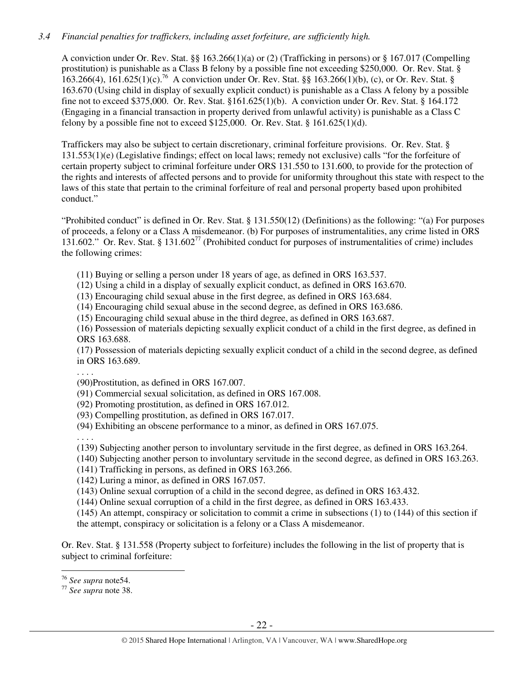## *3.4 Financial penalties for traffickers, including asset forfeiture, are sufficiently high.*

A conviction under Or. Rev. Stat. §§ 163.266(1)(a) or (2) (Trafficking in persons) or § 167.017 (Compelling prostitution) is punishable as a Class B felony by a possible fine not exceeding \$250,000. Or. Rev. Stat. § 163.266(4), 161.625(1)(c).<sup>76</sup> A conviction under Or. Rev. Stat. §§ 163.266(1)(b), (c), or Or. Rev. Stat. § 163.670 (Using child in display of sexually explicit conduct) is punishable as a Class A felony by a possible fine not to exceed \$375,000. Or. Rev. Stat. §161.625(1)(b). A conviction under Or. Rev. Stat. § 164.172 (Engaging in a financial transaction in property derived from unlawful activity) is punishable as a Class C felony by a possible fine not to exceed \$125,000. Or. Rev. Stat.  $§$  161.625(1)(d).

Traffickers may also be subject to certain discretionary, criminal forfeiture provisions. Or. Rev. Stat. § 131.553(1)(e) (Legislative findings; effect on local laws; remedy not exclusive) calls "for the forfeiture of certain property subject to criminal forfeiture under ORS 131.550 to 131.600, to provide for the protection of the rights and interests of affected persons and to provide for uniformity throughout this state with respect to the laws of this state that pertain to the criminal forfeiture of real and personal property based upon prohibited conduct."

"Prohibited conduct" is defined in Or. Rev. Stat. § 131.550(12) (Definitions) as the following: "(a) For purposes of proceeds, a felony or a Class A misdemeanor. (b) For purposes of instrumentalities, any crime listed in ORS 131.602." Or. Rev. Stat. § 131.602<sup>77</sup> (Prohibited conduct for purposes of instrumentalities of crime) includes the following crimes:

- (11) Buying or selling a person under 18 years of age, as defined in ORS 163.537.
- (12) Using a child in a display of sexually explicit conduct, as defined in ORS 163.670.
- (13) Encouraging child sexual abuse in the first degree, as defined in ORS 163.684.
- (14) Encouraging child sexual abuse in the second degree, as defined in ORS 163.686.
- (15) Encouraging child sexual abuse in the third degree, as defined in ORS 163.687.

(16) Possession of materials depicting sexually explicit conduct of a child in the first degree, as defined in ORS 163.688.

(17) Possession of materials depicting sexually explicit conduct of a child in the second degree, as defined in ORS 163.689.

. . . .

- (90)Prostitution, as defined in ORS 167.007.
- (91) Commercial sexual solicitation, as defined in ORS 167.008.
- (92) Promoting prostitution, as defined in ORS 167.012.
- (93) Compelling prostitution, as defined in ORS 167.017.
- (94) Exhibiting an obscene performance to a minor, as defined in ORS 167.075.

. . . .

- (139) Subjecting another person to involuntary servitude in the first degree, as defined in ORS 163.264.
- (140) Subjecting another person to involuntary servitude in the second degree, as defined in ORS 163.263.
- (141) Trafficking in persons, as defined in ORS 163.266.

(142) Luring a minor, as defined in ORS 167.057.

(143) Online sexual corruption of a child in the second degree, as defined in ORS 163.432.

(144) Online sexual corruption of a child in the first degree, as defined in ORS 163.433.

(145) An attempt, conspiracy or solicitation to commit a crime in subsections (1) to (144) of this section if the attempt, conspiracy or solicitation is a felony or a Class A misdemeanor.

Or. Rev. Stat. § 131.558 (Property subject to forfeiture) includes the following in the list of property that is subject to criminal forfeiture:

l <sup>76</sup> *See supra* note54.

<sup>77</sup> *See supra* note 38.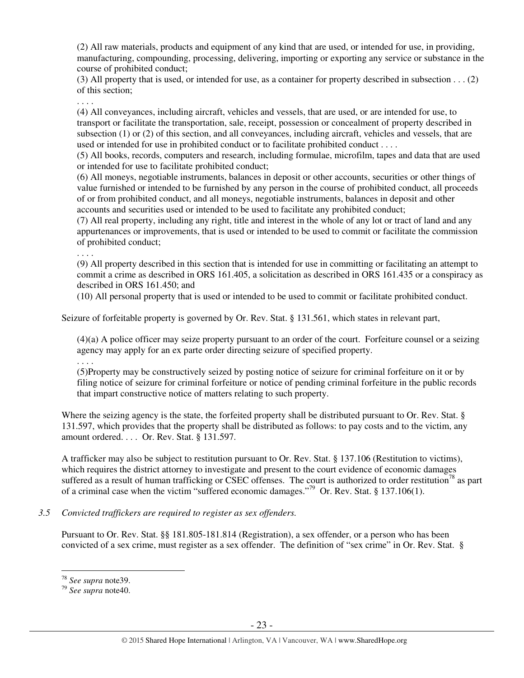(2) All raw materials, products and equipment of any kind that are used, or intended for use, in providing, manufacturing, compounding, processing, delivering, importing or exporting any service or substance in the course of prohibited conduct;

(3) All property that is used, or intended for use, as a container for property described in subsection . . . (2) of this section;

. . . .

(4) All conveyances, including aircraft, vehicles and vessels, that are used, or are intended for use, to transport or facilitate the transportation, sale, receipt, possession or concealment of property described in subsection (1) or (2) of this section, and all conveyances, including aircraft, vehicles and vessels, that are used or intended for use in prohibited conduct or to facilitate prohibited conduct . . . .

(5) All books, records, computers and research, including formulae, microfilm, tapes and data that are used or intended for use to facilitate prohibited conduct;

(6) All moneys, negotiable instruments, balances in deposit or other accounts, securities or other things of value furnished or intended to be furnished by any person in the course of prohibited conduct, all proceeds of or from prohibited conduct, and all moneys, negotiable instruments, balances in deposit and other accounts and securities used or intended to be used to facilitate any prohibited conduct;

(7) All real property, including any right, title and interest in the whole of any lot or tract of land and any appurtenances or improvements, that is used or intended to be used to commit or facilitate the commission of prohibited conduct;

. . . .

(9) All property described in this section that is intended for use in committing or facilitating an attempt to commit a crime as described in ORS 161.405, a solicitation as described in ORS 161.435 or a conspiracy as described in ORS 161.450; and

(10) All personal property that is used or intended to be used to commit or facilitate prohibited conduct.

Seizure of forfeitable property is governed by Or. Rev. Stat. § 131.561, which states in relevant part,

(4)(a) A police officer may seize property pursuant to an order of the court. Forfeiture counsel or a seizing agency may apply for an ex parte order directing seizure of specified property.

. . . .

(5)Property may be constructively seized by posting notice of seizure for criminal forfeiture on it or by filing notice of seizure for criminal forfeiture or notice of pending criminal forfeiture in the public records that impart constructive notice of matters relating to such property.

Where the seizing agency is the state, the forfeited property shall be distributed pursuant to Or. Rev. Stat. § 131.597, which provides that the property shall be distributed as follows: to pay costs and to the victim, any amount ordered. . . . Or. Rev. Stat. § 131.597.

A trafficker may also be subject to restitution pursuant to Or. Rev. Stat. § 137.106 (Restitution to victims), which requires the district attorney to investigate and present to the court evidence of economic damages suffered as a result of human trafficking or CSEC offenses. The court is authorized to order restitution<sup>78</sup> as part of a criminal case when the victim "suffered economic damages."<sup>79</sup> Or. Rev. Stat. § 137.106(1).

#### *3.5 Convicted traffickers are required to register as sex offenders.*

Pursuant to Or. Rev. Stat. §§ 181.805-181.814 (Registration), a sex offender, or a person who has been convicted of a sex crime, must register as a sex offender. The definition of "sex crime" in Or. Rev. Stat. §

l <sup>78</sup> *See supra* note39.

<sup>79</sup> *See supra* note40.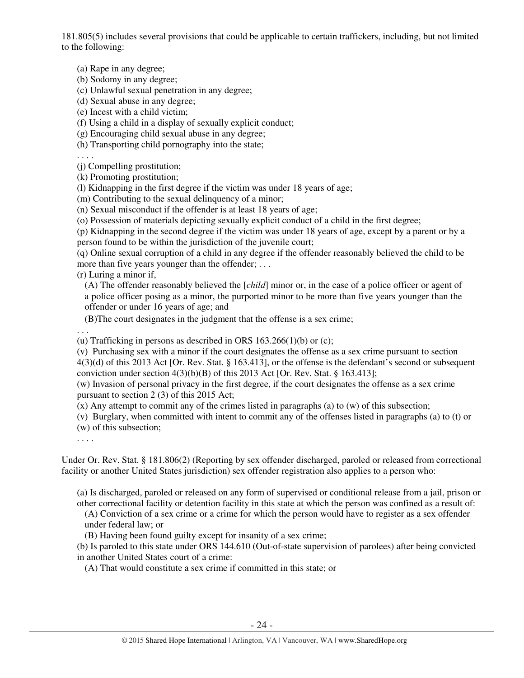181.805(5) includes several provisions that could be applicable to certain traffickers, including, but not limited to the following:

(a) Rape in any degree;

(b) Sodomy in any degree;

(c) Unlawful sexual penetration in any degree;

(d) Sexual abuse in any degree;

(e) Incest with a child victim;

(f) Using a child in a display of sexually explicit conduct;

(g) Encouraging child sexual abuse in any degree;

(h) Transporting child pornography into the state;

. . . .

(j) Compelling prostitution;

(k) Promoting prostitution;

(l) Kidnapping in the first degree if the victim was under 18 years of age;

(m) Contributing to the sexual delinquency of a minor;

(n) Sexual misconduct if the offender is at least 18 years of age;

(o) Possession of materials depicting sexually explicit conduct of a child in the first degree;

(p) Kidnapping in the second degree if the victim was under 18 years of age, except by a parent or by a person found to be within the jurisdiction of the juvenile court;

(q) Online sexual corruption of a child in any degree if the offender reasonably believed the child to be more than five years younger than the offender; ...

(r) Luring a minor if,

(A) The offender reasonably believed the [*child*] minor or, in the case of a police officer or agent of a police officer posing as a minor, the purported minor to be more than five years younger than the offender or under 16 years of age; and

(B)The court designates in the judgment that the offense is a sex crime;

. . .

(u) Trafficking in persons as described in ORS  $163.266(1)(b)$  or (c);

(v) Purchasing sex with a minor if the court designates the offense as a sex crime pursuant to section 4(3)(d) of this 2013 Act [Or. Rev. Stat. § 163.413], or the offense is the defendant's second or subsequent conviction under section  $4(3)(b)(B)$  of this 2013 Act [Or. Rev. Stat. § 163.413];

(w) Invasion of personal privacy in the first degree, if the court designates the offense as a sex crime pursuant to section 2 (3) of this 2015 Act;

(x) Any attempt to commit any of the crimes listed in paragraphs (a) to (w) of this subsection;

(v) Burglary, when committed with intent to commit any of the offenses listed in paragraphs (a) to (t) or (w) of this subsection;

. . . .

Under Or. Rev. Stat. § 181.806(2) (Reporting by sex offender discharged, paroled or released from correctional facility or another United States jurisdiction) sex offender registration also applies to a person who:

(a) Is discharged, paroled or released on any form of supervised or conditional release from a jail, prison or other correctional facility or detention facility in this state at which the person was confined as a result of:

(A) Conviction of a sex crime or a crime for which the person would have to register as a sex offender under federal law; or

(B) Having been found guilty except for insanity of a sex crime;

(b) Is paroled to this state under ORS 144.610 (Out-of-state supervision of parolees) after being convicted in another United States court of a crime:

(A) That would constitute a sex crime if committed in this state; or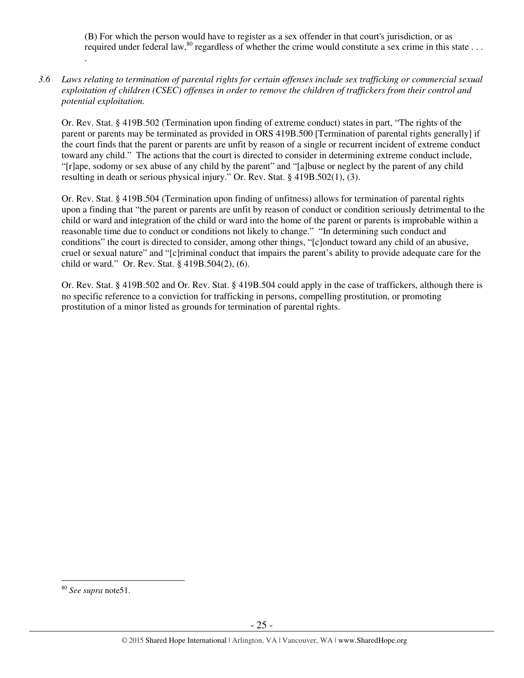(B) For which the person would have to register as a sex offender in that court's jurisdiction, or as required under federal law,  $80$  regardless of whether the crime would constitute a sex crime in this state  $\dots$ 

*3.6 Laws relating to termination of parental rights for certain offenses include sex trafficking or commercial sexual exploitation of children (CSEC) offenses in order to remove the children of traffickers from their control and potential exploitation.* 

Or. Rev. Stat. § 419B.502 (Termination upon finding of extreme conduct) states in part, "The rights of the parent or parents may be terminated as provided in ORS 419B.500 [Termination of parental rights generally] if the court finds that the parent or parents are unfit by reason of a single or recurrent incident of extreme conduct toward any child." The actions that the court is directed to consider in determining extreme conduct include, "[r]ape, sodomy or sex abuse of any child by the parent" and "[a]buse or neglect by the parent of any child resulting in death or serious physical injury." Or. Rev. Stat. § 419B.502(1), (3).

Or. Rev. Stat. § 419B.504 (Termination upon finding of unfitness) allows for termination of parental rights upon a finding that "the parent or parents are unfit by reason of conduct or condition seriously detrimental to the child or ward and integration of the child or ward into the home of the parent or parents is improbable within a reasonable time due to conduct or conditions not likely to change." "In determining such conduct and conditions" the court is directed to consider, among other things, "[c]onduct toward any child of an abusive, cruel or sexual nature" and "[c]riminal conduct that impairs the parent's ability to provide adequate care for the child or ward." Or. Rev. Stat. § 419B.504(2), (6).

Or. Rev. Stat. § 419B.502 and Or. Rev. Stat. § 419B.504 could apply in the case of traffickers, although there is no specific reference to a conviction for trafficking in persons, compelling prostitution, or promoting prostitution of a minor listed as grounds for termination of parental rights.

.

 $\overline{a}$ <sup>80</sup> *See supra* note51.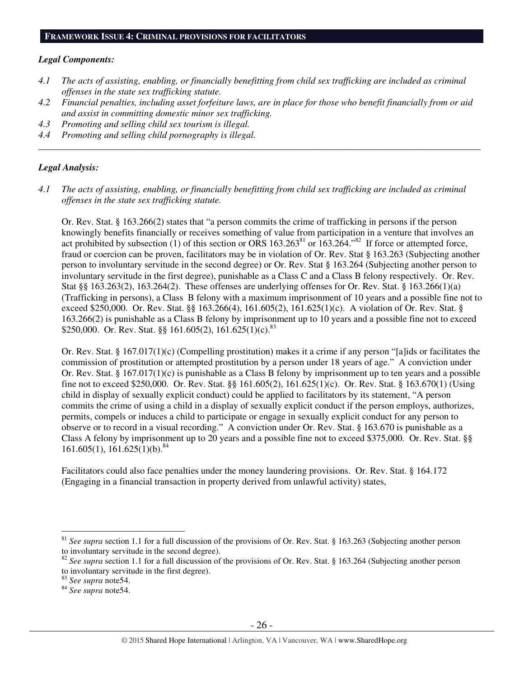#### **FRAMEWORK ISSUE 4: CRIMINAL PROVISIONS FOR FACILITATORS**

#### *Legal Components:*

- *4.1 The acts of assisting, enabling, or financially benefitting from child sex trafficking are included as criminal offenses in the state sex trafficking statute.*
- *4.2 Financial penalties, including asset forfeiture laws, are in place for those who benefit financially from or aid and assist in committing domestic minor sex trafficking.*

*\_\_\_\_\_\_\_\_\_\_\_\_\_\_\_\_\_\_\_\_\_\_\_\_\_\_\_\_\_\_\_\_\_\_\_\_\_\_\_\_\_\_\_\_\_\_\_\_\_\_\_\_\_\_\_\_\_\_\_\_\_\_\_\_\_\_\_\_\_\_\_\_\_\_\_\_\_\_\_\_\_\_\_\_\_\_\_\_\_\_\_\_\_\_* 

- *4.3 Promoting and selling child sex tourism is illegal.*
- *4.4 Promoting and selling child pornography is illegal.*

#### *Legal Analysis:*

*4.1 The acts of assisting, enabling, or financially benefitting from child sex trafficking are included as criminal offenses in the state sex trafficking statute.* 

Or. Rev. Stat. § 163.266(2) states that "a person commits the crime of trafficking in persons if the person knowingly benefits financially or receives something of value from participation in a venture that involves an act prohibited by subsection (1) of this section or ORS  $163.263^{81}$  or  $163.264$ ."<sup>82</sup> If force or attempted force, fraud or coercion can be proven, facilitators may be in violation of Or. Rev. Stat § 163.263 (Subjecting another person to involuntary servitude in the second degree) or Or. Rev. Stat § 163.264 (Subjecting another person to involuntary servitude in the first degree), punishable as a Class C and a Class B felony respectively. Or. Rev. Stat §§ 163.263(2), 163.264(2). These offenses are underlying offenses for Or. Rev. Stat. § 163.266(1)(a) (Trafficking in persons), a Class B felony with a maximum imprisonment of 10 years and a possible fine not to exceed \$250,000. Or. Rev. Stat. §§ 163.266(4), 161.605(2), 161.625(1)(c). A violation of Or. Rev. Stat. § 163.266(2) is punishable as a Class B felony by imprisonment up to 10 years and a possible fine not to exceed \$250,000. Or. Rev. Stat. §§ 161.605(2), 161.625(1)(c).<sup>83</sup>

Or. Rev. Stat. § 167.017(1)(c) (Compelling prostitution) makes it a crime if any person "[a]ids or facilitates the commission of prostitution or attempted prostitution by a person under 18 years of age." A conviction under Or. Rev. Stat. §  $167.017(1)(c)$  is punishable as a Class B felony by imprisonment up to ten years and a possible fine not to exceed \$250,000. Or. Rev. Stat. §§ 161.605(2), 161.625(1)(c). Or. Rev. Stat. § 163.670(1) (Using child in display of sexually explicit conduct) could be applied to facilitators by its statement, "A person commits the crime of using a child in a display of sexually explicit conduct if the person employs, authorizes, permits, compels or induces a child to participate or engage in sexually explicit conduct for any person to observe or to record in a visual recording." A conviction under Or. Rev. Stat. § 163.670 is punishable as a Class A felony by imprisonment up to 20 years and a possible fine not to exceed \$375,000. Or. Rev. Stat. §§  $161.605(1)$ ,  $161.625(1)(b)$ .<sup>84</sup>

Facilitators could also face penalties under the money laundering provisions. Or. Rev. Stat. § 164.172 (Engaging in a financial transaction in property derived from unlawful activity) states,

<sup>&</sup>lt;sup>81</sup> See supra section 1.1 for a full discussion of the provisions of Or. Rev. Stat. § 163.263 (Subjecting another person to involuntary servitude in the second degree).

<sup>&</sup>lt;sup>82</sup> See supra section 1.1 for a full discussion of the provisions of Or. Rev. Stat. § 163.264 (Subjecting another person to involuntary servitude in the first degree).

<sup>83</sup> *See supra* note54.

<sup>84</sup> *See supra* note54.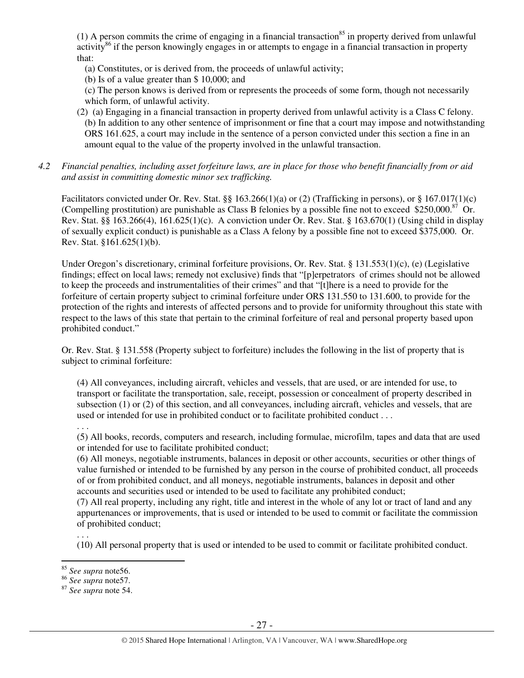(1) A person commits the crime of engaging in a financial transaction<sup>85</sup> in property derived from unlawful  $\arct{activity}^{86}$  if the person knowingly engages in or attempts to engage in a financial transaction in property that:

- (a) Constitutes, or is derived from, the proceeds of unlawful activity;
- (b) Is of a value greater than \$ 10,000; and

(c) The person knows is derived from or represents the proceeds of some form, though not necessarily which form, of unlawful activity.

- (2) (a) Engaging in a financial transaction in property derived from unlawful activity is a Class C felony. (b) In addition to any other sentence of imprisonment or fine that a court may impose and notwithstanding ORS 161.625, a court may include in the sentence of a person convicted under this section a fine in an amount equal to the value of the property involved in the unlawful transaction.
- *4.2 Financial penalties, including asset forfeiture laws, are in place for those who benefit financially from or aid and assist in committing domestic minor sex trafficking.*

Facilitators convicted under Or. Rev. Stat. §§ 163.266(1)(a) or (2) (Trafficking in persons), or § 167.017(1)(c) (Compelling prostitution) are punishable as Class B felonies by a possible fine not to exceed  $$250,000.<sup>87</sup>$  Or. Rev. Stat. §§ 163.266(4), 161.625(1)(c). A conviction under Or. Rev. Stat. § 163.670(1) (Using child in display of sexually explicit conduct) is punishable as a Class A felony by a possible fine not to exceed \$375,000. Or. Rev. Stat. §161.625(1)(b).

Under Oregon's discretionary, criminal forfeiture provisions, Or. Rev. Stat. § 131.553(1)(c), (e) (Legislative findings; effect on local laws; remedy not exclusive) finds that "[p]erpetrators of crimes should not be allowed to keep the proceeds and instrumentalities of their crimes" and that "[t]here is a need to provide for the forfeiture of certain property subject to criminal forfeiture under ORS 131.550 to 131.600, to provide for the protection of the rights and interests of affected persons and to provide for uniformity throughout this state with respect to the laws of this state that pertain to the criminal forfeiture of real and personal property based upon prohibited conduct."

Or. Rev. Stat. § 131.558 (Property subject to forfeiture) includes the following in the list of property that is subject to criminal forfeiture:

(4) All conveyances, including aircraft, vehicles and vessels, that are used, or are intended for use, to transport or facilitate the transportation, sale, receipt, possession or concealment of property described in subsection (1) or (2) of this section, and all conveyances, including aircraft, vehicles and vessels, that are used or intended for use in prohibited conduct or to facilitate prohibited conduct . . .

# . . .

(5) All books, records, computers and research, including formulae, microfilm, tapes and data that are used or intended for use to facilitate prohibited conduct;

(6) All moneys, negotiable instruments, balances in deposit or other accounts, securities or other things of value furnished or intended to be furnished by any person in the course of prohibited conduct, all proceeds of or from prohibited conduct, and all moneys, negotiable instruments, balances in deposit and other accounts and securities used or intended to be used to facilitate any prohibited conduct;

(7) All real property, including any right, title and interest in the whole of any lot or tract of land and any appurtenances or improvements, that is used or intended to be used to commit or facilitate the commission of prohibited conduct;

(10) All personal property that is used or intended to be used to commit or facilitate prohibited conduct.

. . .

<sup>85</sup> *See supra* note56.

<sup>86</sup> *See supra* note57.

<sup>87</sup> *See supra* note 54.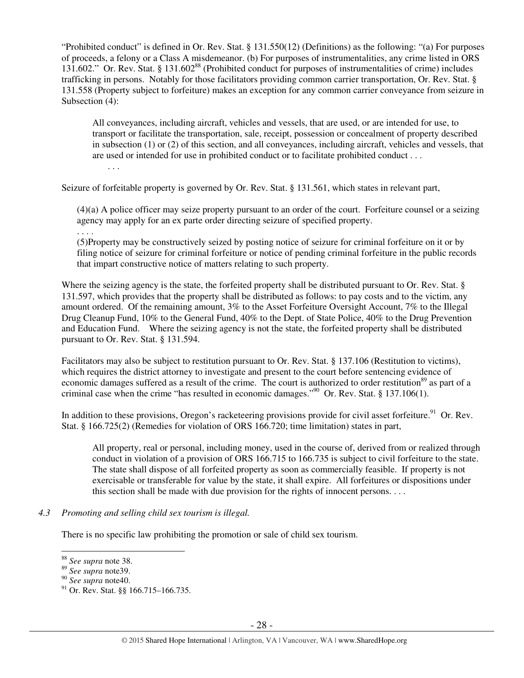"Prohibited conduct" is defined in Or. Rev. Stat. § 131.550(12) (Definitions) as the following: "(a) For purposes of proceeds, a felony or a Class A misdemeanor. (b) For purposes of instrumentalities, any crime listed in ORS 131.602." Or. Rev. Stat. § 131.602<sup>88</sup> (Prohibited conduct for purposes of instrumentalities of crime) includes trafficking in persons. Notably for those facilitators providing common carrier transportation, Or. Rev. Stat. § 131.558 (Property subject to forfeiture) makes an exception for any common carrier conveyance from seizure in Subsection (4):

All conveyances, including aircraft, vehicles and vessels, that are used, or are intended for use, to transport or facilitate the transportation, sale, receipt, possession or concealment of property described in subsection (1) or (2) of this section, and all conveyances, including aircraft, vehicles and vessels, that are used or intended for use in prohibited conduct or to facilitate prohibited conduct . . .

Seizure of forfeitable property is governed by Or. Rev. Stat. § 131.561, which states in relevant part,

(4)(a) A police officer may seize property pursuant to an order of the court. Forfeiture counsel or a seizing agency may apply for an ex parte order directing seizure of specified property.

. . . .

. . .

(5)Property may be constructively seized by posting notice of seizure for criminal forfeiture on it or by filing notice of seizure for criminal forfeiture or notice of pending criminal forfeiture in the public records that impart constructive notice of matters relating to such property.

Where the seizing agency is the state, the forfeited property shall be distributed pursuant to Or. Rev. Stat. § 131.597, which provides that the property shall be distributed as follows: to pay costs and to the victim, any amount ordered. Of the remaining amount, 3% to the Asset Forfeiture Oversight Account, 7% to the Illegal Drug Cleanup Fund, 10% to the General Fund, 40% to the Dept. of State Police, 40% to the Drug Prevention and Education Fund. Where the seizing agency is not the state, the forfeited property shall be distributed pursuant to Or. Rev. Stat. § 131.594.

Facilitators may also be subject to restitution pursuant to Or. Rev. Stat. § 137.106 (Restitution to victims), which requires the district attorney to investigate and present to the court before sentencing evidence of economic damages suffered as a result of the crime. The court is authorized to order restitution<sup>89</sup> as part of a criminal case when the crime "has resulted in economic damages."<sup>90</sup> Or. Rev. Stat. § 137.106(1).

In addition to these provisions, Oregon's racketeering provisions provide for civil asset forfeiture.<sup>91</sup> Or. Rev. Stat. § 166.725(2) (Remedies for violation of ORS 166.720; time limitation) states in part,

All property, real or personal, including money, used in the course of, derived from or realized through conduct in violation of a provision of ORS 166.715 to 166.735 is subject to civil forfeiture to the state. The state shall dispose of all forfeited property as soon as commercially feasible. If property is not exercisable or transferable for value by the state, it shall expire. All forfeitures or dispositions under this section shall be made with due provision for the rights of innocent persons. . . .

#### *4.3 Promoting and selling child sex tourism is illegal.*

There is no specific law prohibiting the promotion or sale of child sex tourism.

<sup>88</sup> *See supra* note 38.

<sup>89</sup> *See supra* note39.

<sup>90</sup> *See supra* note40.

<sup>&</sup>lt;sup>91</sup> Or. Rev. Stat. §§ 166.715–166.735.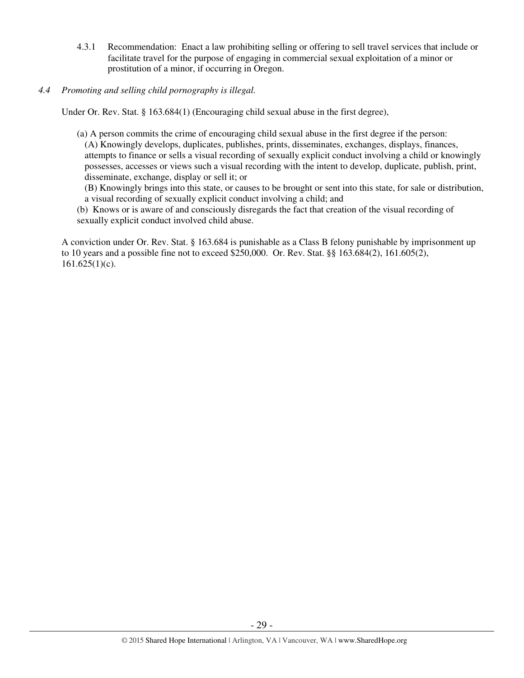- 4.3.1 Recommendation: Enact a law prohibiting selling or offering to sell travel services that include or facilitate travel for the purpose of engaging in commercial sexual exploitation of a minor or prostitution of a minor, if occurring in Oregon.
- *4.4 Promoting and selling child pornography is illegal.*

Under Or. Rev. Stat. § 163.684(1) (Encouraging child sexual abuse in the first degree),

(a) A person commits the crime of encouraging child sexual abuse in the first degree if the person: (A) Knowingly develops, duplicates, publishes, prints, disseminates, exchanges, displays, finances, attempts to finance or sells a visual recording of sexually explicit conduct involving a child or knowingly possesses, accesses or views such a visual recording with the intent to develop, duplicate, publish, print, disseminate, exchange, display or sell it; or

(B) Knowingly brings into this state, or causes to be brought or sent into this state, for sale or distribution, a visual recording of sexually explicit conduct involving a child; and

(b) Knows or is aware of and consciously disregards the fact that creation of the visual recording of sexually explicit conduct involved child abuse.

A conviction under Or. Rev. Stat. § 163.684 is punishable as a Class B felony punishable by imprisonment up to 10 years and a possible fine not to exceed \$250,000. Or. Rev. Stat. §§ 163.684(2), 161.605(2),  $161.625(1)(c)$ .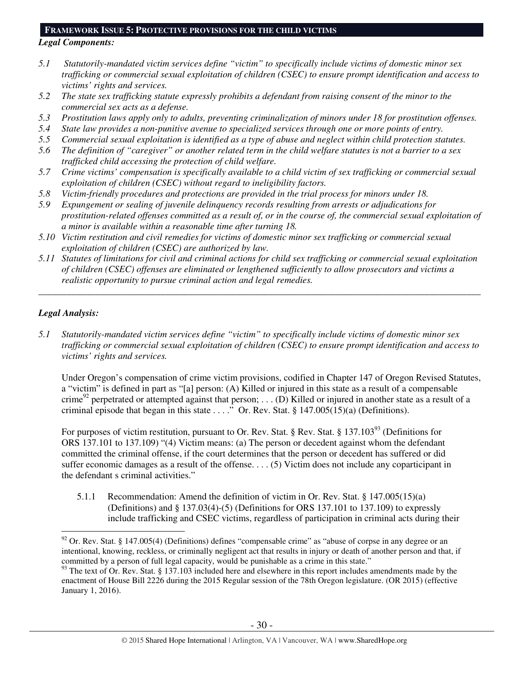## **FRAMEWORK ISSUE 5: PROTECTIVE PROVISIONS FOR THE CHILD VICTIMS**

#### *Legal Components:*

- *5.1 Statutorily-mandated victim services define "victim" to specifically include victims of domestic minor sex trafficking or commercial sexual exploitation of children (CSEC) to ensure prompt identification and access to victims' rights and services.*
- *5.2 The state sex trafficking statute expressly prohibits a defendant from raising consent of the minor to the commercial sex acts as a defense.*
- *5.3 Prostitution laws apply only to adults, preventing criminalization of minors under 18 for prostitution offenses.*
- *5.4 State law provides a non-punitive avenue to specialized services through one or more points of entry.*
- *5.5 Commercial sexual exploitation is identified as a type of abuse and neglect within child protection statutes.*
- *5.6 The definition of "caregiver" or another related term in the child welfare statutes is not a barrier to a sex trafficked child accessing the protection of child welfare.*
- *5.7 Crime victims' compensation is specifically available to a child victim of sex trafficking or commercial sexual exploitation of children (CSEC) without regard to ineligibility factors.*
- *5.8 Victim-friendly procedures and protections are provided in the trial process for minors under 18.*
- *5.9 Expungement or sealing of juvenile delinquency records resulting from arrests or adjudications for prostitution-related offenses committed as a result of, or in the course of, the commercial sexual exploitation of a minor is available within a reasonable time after turning 18.*
- *5.10 Victim restitution and civil remedies for victims of domestic minor sex trafficking or commercial sexual exploitation of children (CSEC) are authorized by law.*
- *5.11 Statutes of limitations for civil and criminal actions for child sex trafficking or commercial sexual exploitation of children (CSEC) offenses are eliminated or lengthened sufficiently to allow prosecutors and victims a realistic opportunity to pursue criminal action and legal remedies.*

*\_\_\_\_\_\_\_\_\_\_\_\_\_\_\_\_\_\_\_\_\_\_\_\_\_\_\_\_\_\_\_\_\_\_\_\_\_\_\_\_\_\_\_\_\_\_\_\_\_\_\_\_\_\_\_\_\_\_\_\_\_\_\_\_\_\_\_\_\_\_\_\_\_\_\_\_\_\_\_\_\_\_\_\_\_\_\_\_\_\_\_\_\_\_* 

# *Legal Analysis:*

 $\overline{a}$ 

*5.1 Statutorily-mandated victim services define "victim" to specifically include victims of domestic minor sex trafficking or commercial sexual exploitation of children (CSEC) to ensure prompt identification and access to victims' rights and services.* 

Under Oregon's compensation of crime victim provisions, codified in Chapter 147 of Oregon Revised Statutes, a "victim" is defined in part as "[a] person: (A) Killed or injured in this state as a result of a compensable crime<sup>92</sup> perpetrated or attempted against that person; ... (D) Killed or injured in another state as a result of a criminal episode that began in this state  $\dots$ ." Or. Rev. Stat. § 147.005(15)(a) (Definitions).

For purposes of victim restitution, pursuant to Or. Rev. Stat. § Rev. Stat. § 137.103<sup>93</sup> (Definitions for ORS 137.101 to 137.109) "(4) Victim means: (a) The person or decedent against whom the defendant committed the criminal offense, if the court determines that the person or decedent has suffered or did suffer economic damages as a result of the offense. . . . (5) Victim does not include any coparticipant in the defendant s criminal activities."

5.1.1 Recommendation: Amend the definition of victim in Or. Rev. Stat. § 147.005(15)(a) (Definitions) and § 137.03(4)-(5) (Definitions for ORS 137.101 to 137.109) to expressly include trafficking and CSEC victims, regardless of participation in criminal acts during their

 $92$  Or. Rev. Stat. § 147.005(4) (Definitions) defines "compensable crime" as "abuse of corpse in any degree or an intentional, knowing, reckless, or criminally negligent act that results in injury or death of another person and that, if committed by a person of full legal capacity, would be punishable as a crime in this state."

<sup>&</sup>lt;sup>93</sup> The text of Or. Rev. Stat. § 137.103 included here and elsewhere in this report includes amendments made by the enactment of House Bill 2226 during the 2015 Regular session of the 78th Oregon legislature. (OR 2015) (effective January 1, 2016).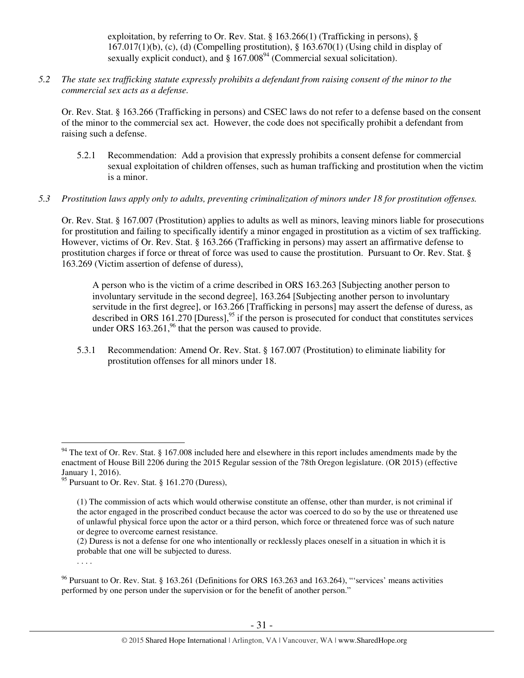exploitation, by referring to Or. Rev. Stat. § 163.266(1) (Trafficking in persons), §  $167.017(1)(b)$ , (c), (d) (Compelling prostitution), § 163.670(1) (Using child in display of sexually explicit conduct), and  $\S 167.008<sup>94</sup>$  (Commercial sexual solicitation).

*5.2 The state sex trafficking statute expressly prohibits a defendant from raising consent of the minor to the commercial sex acts as a defense.* 

Or. Rev. Stat. § 163.266 (Trafficking in persons) and CSEC laws do not refer to a defense based on the consent of the minor to the commercial sex act. However, the code does not specifically prohibit a defendant from raising such a defense.

- 5.2.1 Recommendation: Add a provision that expressly prohibits a consent defense for commercial sexual exploitation of children offenses, such as human trafficking and prostitution when the victim is a minor.
- *5.3 Prostitution laws apply only to adults, preventing criminalization of minors under 18 for prostitution offenses.*

Or. Rev. Stat. § 167.007 (Prostitution) applies to adults as well as minors, leaving minors liable for prosecutions for prostitution and failing to specifically identify a minor engaged in prostitution as a victim of sex trafficking. However, victims of Or. Rev. Stat. § 163.266 (Trafficking in persons) may assert an affirmative defense to prostitution charges if force or threat of force was used to cause the prostitution. Pursuant to Or. Rev. Stat. § 163.269 (Victim assertion of defense of duress),

A person who is the victim of a crime described in ORS 163.263 [Subjecting another person to involuntary servitude in the second degree], 163.264 [Subjecting another person to involuntary servitude in the first degree], or 163.266 [Trafficking in persons] may assert the defense of duress, as described in ORS 161.270 [Duress],  $^{95}$  if the person is prosecuted for conduct that constitutes services under ORS  $163.261<sup>96</sup>$  that the person was caused to provide.

5.3.1 Recommendation: Amend Or. Rev. Stat. § 167.007 (Prostitution) to eliminate liability for prostitution offenses for all minors under 18.

 $\overline{a}$ 

. . . .

 $94$  The text of Or. Rev. Stat. § 167.008 included here and elsewhere in this report includes amendments made by the enactment of House Bill 2206 during the 2015 Regular session of the 78th Oregon legislature. (OR 2015) (effective January 1, 2016).

<sup>95</sup> Pursuant to Or. Rev. Stat.  $\S$  161.270 (Duress),

<sup>(1)</sup> The commission of acts which would otherwise constitute an offense, other than murder, is not criminal if the actor engaged in the proscribed conduct because the actor was coerced to do so by the use or threatened use of unlawful physical force upon the actor or a third person, which force or threatened force was of such nature or degree to overcome earnest resistance.

<sup>(2)</sup> Duress is not a defense for one who intentionally or recklessly places oneself in a situation in which it is probable that one will be subjected to duress.

<sup>96</sup> Pursuant to Or. Rev. Stat. § 163.261 (Definitions for ORS 163.263 and 163.264), "'services' means activities performed by one person under the supervision or for the benefit of another person."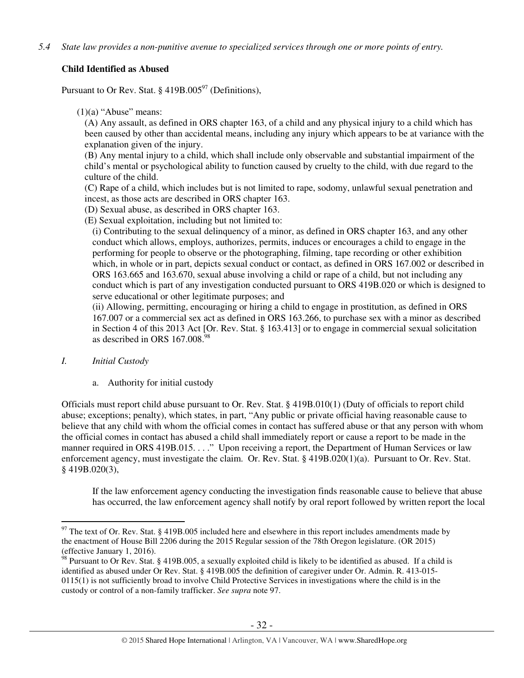# **Child Identified as Abused**

Pursuant to Or Rev. Stat. § 419B.005 $\degree$ 7 (Definitions),

 $(1)(a)$  "Abuse" means:

(A) Any assault, as defined in ORS chapter 163, of a child and any physical injury to a child which has been caused by other than accidental means, including any injury which appears to be at variance with the explanation given of the injury.

(B) Any mental injury to a child, which shall include only observable and substantial impairment of the child's mental or psychological ability to function caused by cruelty to the child, with due regard to the culture of the child.

(C) Rape of a child, which includes but is not limited to rape, sodomy, unlawful sexual penetration and incest, as those acts are described in ORS chapter 163.

(D) Sexual abuse, as described in ORS chapter 163.

(E) Sexual exploitation, including but not limited to:

(i) Contributing to the sexual delinquency of a minor, as defined in ORS chapter 163, and any other conduct which allows, employs, authorizes, permits, induces or encourages a child to engage in the performing for people to observe or the photographing, filming, tape recording or other exhibition which, in whole or in part, depicts sexual conduct or contact, as defined in ORS 167.002 or described in ORS 163.665 and 163.670, sexual abuse involving a child or rape of a child, but not including any conduct which is part of any investigation conducted pursuant to ORS 419B.020 or which is designed to serve educational or other legitimate purposes; and

(ii) Allowing, permitting, encouraging or hiring a child to engage in prostitution, as defined in ORS 167.007 or a commercial sex act as defined in ORS 163.266, to purchase sex with a minor as described in Section 4 of this 2013 Act [Or. Rev. Stat. § 163.413] or to engage in commercial sexual solicitation as described in ORS  $167.008.<sup>98</sup>$ 

## *I. Initial Custody*

a. Authority for initial custody

Officials must report child abuse pursuant to Or. Rev. Stat. § 419B.010(1) (Duty of officials to report child abuse; exceptions; penalty), which states, in part, "Any public or private official having reasonable cause to believe that any child with whom the official comes in contact has suffered abuse or that any person with whom the official comes in contact has abused a child shall immediately report or cause a report to be made in the manner required in ORS 419B.015. . . ." Upon receiving a report, the Department of Human Services or law enforcement agency, must investigate the claim. Or. Rev. Stat. § 419B.020(1)(a). Pursuant to Or. Rev. Stat. § 419B.020(3),

If the law enforcement agency conducting the investigation finds reasonable cause to believe that abuse has occurred, the law enforcement agency shall notify by oral report followed by written report the local

 $\overline{a}$  $97$  The text of Or. Rev. Stat. § 419B.005 included here and elsewhere in this report includes amendments made by the enactment of House Bill 2206 during the 2015 Regular session of the 78th Oregon legislature. (OR 2015) (effective January 1, 2016).

 $\frac{98}{98}$  Pursuant to Or Rev. Stat. § 419B.005, a sexually exploited child is likely to be identified as abused. If a child is identified as abused under Or Rev. Stat. § 419B.005 the definition of caregiver under Or. Admin. R. 413-015- 0115(1) is not sufficiently broad to involve Child Protective Services in investigations where the child is in the custody or control of a non-family trafficker. *See supra* note 97.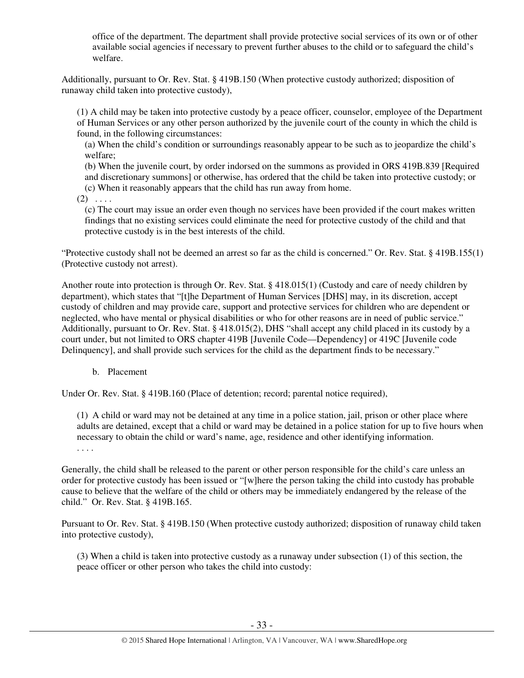office of the department. The department shall provide protective social services of its own or of other available social agencies if necessary to prevent further abuses to the child or to safeguard the child's welfare.

Additionally, pursuant to Or. Rev. Stat. § 419B.150 (When protective custody authorized; disposition of runaway child taken into protective custody),

(1) A child may be taken into protective custody by a peace officer, counselor, employee of the Department of Human Services or any other person authorized by the juvenile court of the county in which the child is found, in the following circumstances:

(a) When the child's condition or surroundings reasonably appear to be such as to jeopardize the child's welfare;

(b) When the juvenile court, by order indorsed on the summons as provided in ORS 419B.839 [Required and discretionary summons] or otherwise, has ordered that the child be taken into protective custody; or (c) When it reasonably appears that the child has run away from home.

 $(2) \ldots$ 

(c) The court may issue an order even though no services have been provided if the court makes written findings that no existing services could eliminate the need for protective custody of the child and that protective custody is in the best interests of the child.

"Protective custody shall not be deemed an arrest so far as the child is concerned." Or. Rev. Stat. § 419B.155(1) (Protective custody not arrest).

Another route into protection is through Or. Rev. Stat. § 418.015(1) (Custody and care of needy children by department), which states that "[t]he Department of Human Services [DHS] may, in its discretion, accept custody of children and may provide care, support and protective services for children who are dependent or neglected, who have mental or physical disabilities or who for other reasons are in need of public service." Additionally, pursuant to Or. Rev. Stat. § 418.015(2), DHS "shall accept any child placed in its custody by a court under, but not limited to ORS chapter 419B [Juvenile Code—Dependency] or 419C [Juvenile code Delinquency], and shall provide such services for the child as the department finds to be necessary."

b. Placement

Under Or. Rev. Stat. § 419B.160 (Place of detention; record; parental notice required),

(1) A child or ward may not be detained at any time in a police station, jail, prison or other place where adults are detained, except that a child or ward may be detained in a police station for up to five hours when necessary to obtain the child or ward's name, age, residence and other identifying information.

. . . .

Generally, the child shall be released to the parent or other person responsible for the child's care unless an order for protective custody has been issued or "[w]here the person taking the child into custody has probable cause to believe that the welfare of the child or others may be immediately endangered by the release of the child." Or. Rev. Stat. § 419B.165.

Pursuant to Or. Rev. Stat. § 419B.150 (When protective custody authorized; disposition of runaway child taken into protective custody),

(3) When a child is taken into protective custody as a runaway under subsection (1) of this section, the peace officer or other person who takes the child into custody: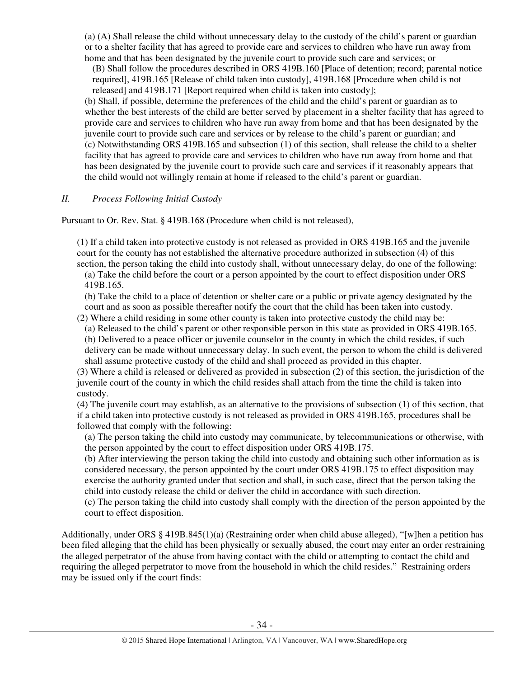(a) (A) Shall release the child without unnecessary delay to the custody of the child's parent or guardian or to a shelter facility that has agreed to provide care and services to children who have run away from home and that has been designated by the juvenile court to provide such care and services; or

(B) Shall follow the procedures described in ORS 419B.160 [Place of detention; record; parental notice required], 419B.165 [Release of child taken into custody], 419B.168 [Procedure when child is not released] and 419B.171 [Report required when child is taken into custody];

(b) Shall, if possible, determine the preferences of the child and the child's parent or guardian as to whether the best interests of the child are better served by placement in a shelter facility that has agreed to provide care and services to children who have run away from home and that has been designated by the juvenile court to provide such care and services or by release to the child's parent or guardian; and (c) Notwithstanding ORS 419B.165 and subsection (1) of this section, shall release the child to a shelter facility that has agreed to provide care and services to children who have run away from home and that has been designated by the juvenile court to provide such care and services if it reasonably appears that the child would not willingly remain at home if released to the child's parent or guardian.

## *II. Process Following Initial Custody*

Pursuant to Or. Rev. Stat. § 419B.168 (Procedure when child is not released),

(1) If a child taken into protective custody is not released as provided in ORS 419B.165 and the juvenile court for the county has not established the alternative procedure authorized in subsection (4) of this section, the person taking the child into custody shall, without unnecessary delay, do one of the following:

(a) Take the child before the court or a person appointed by the court to effect disposition under ORS 419B.165.

(b) Take the child to a place of detention or shelter care or a public or private agency designated by the court and as soon as possible thereafter notify the court that the child has been taken into custody.

(2) Where a child residing in some other county is taken into protective custody the child may be:

(a) Released to the child's parent or other responsible person in this state as provided in ORS 419B.165. (b) Delivered to a peace officer or juvenile counselor in the county in which the child resides, if such delivery can be made without unnecessary delay. In such event, the person to whom the child is delivered shall assume protective custody of the child and shall proceed as provided in this chapter.

(3) Where a child is released or delivered as provided in subsection (2) of this section, the jurisdiction of the juvenile court of the county in which the child resides shall attach from the time the child is taken into custody.

(4) The juvenile court may establish, as an alternative to the provisions of subsection (1) of this section, that if a child taken into protective custody is not released as provided in ORS 419B.165, procedures shall be followed that comply with the following:

(a) The person taking the child into custody may communicate, by telecommunications or otherwise, with the person appointed by the court to effect disposition under ORS 419B.175.

(b) After interviewing the person taking the child into custody and obtaining such other information as is considered necessary, the person appointed by the court under ORS 419B.175 to effect disposition may exercise the authority granted under that section and shall, in such case, direct that the person taking the child into custody release the child or deliver the child in accordance with such direction.

(c) The person taking the child into custody shall comply with the direction of the person appointed by the court to effect disposition.

Additionally, under ORS § 419B.845(1)(a) (Restraining order when child abuse alleged), "[w]hen a petition has been filed alleging that the child has been physically or sexually abused, the court may enter an order restraining the alleged perpetrator of the abuse from having contact with the child or attempting to contact the child and requiring the alleged perpetrator to move from the household in which the child resides." Restraining orders may be issued only if the court finds: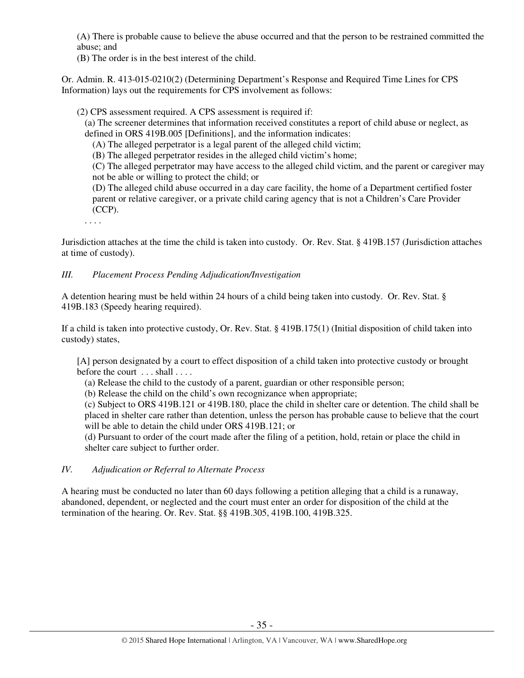(A) There is probable cause to believe the abuse occurred and that the person to be restrained committed the abuse; and

(B) The order is in the best interest of the child.

Or. Admin. R. 413-015-0210(2) (Determining Department's Response and Required Time Lines for CPS Information) lays out the requirements for CPS involvement as follows:

(2) CPS assessment required. A CPS assessment is required if:

(a) The screener determines that information received constitutes a report of child abuse or neglect, as defined in ORS 419B.005 [Definitions], and the information indicates:

(A) The alleged perpetrator is a legal parent of the alleged child victim;

(B) The alleged perpetrator resides in the alleged child victim's home;

(C) The alleged perpetrator may have access to the alleged child victim, and the parent or caregiver may not be able or willing to protect the child; or

(D) The alleged child abuse occurred in a day care facility, the home of a Department certified foster parent or relative caregiver, or a private child caring agency that is not a Children's Care Provider (CCP).

. . . .

Jurisdiction attaches at the time the child is taken into custody. Or. Rev. Stat. § 419B.157 (Jurisdiction attaches at time of custody).

## *III. Placement Process Pending Adjudication/Investigation*

A detention hearing must be held within 24 hours of a child being taken into custody. Or. Rev. Stat. § 419B.183 (Speedy hearing required).

If a child is taken into protective custody, Or. Rev. Stat. § 419B.175(1) (Initial disposition of child taken into custody) states,

[A] person designated by a court to effect disposition of a child taken into protective custody or brought before the court ... shall ....

(a) Release the child to the custody of a parent, guardian or other responsible person;

(b) Release the child on the child's own recognizance when appropriate;

(c) Subject to ORS 419B.121 or 419B.180, place the child in shelter care or detention. The child shall be placed in shelter care rather than detention, unless the person has probable cause to believe that the court will be able to detain the child under ORS 419B.121; or

(d) Pursuant to order of the court made after the filing of a petition, hold, retain or place the child in shelter care subject to further order.

## *IV. Adjudication or Referral to Alternate Process*

A hearing must be conducted no later than 60 days following a petition alleging that a child is a runaway, abandoned, dependent, or neglected and the court must enter an order for disposition of the child at the termination of the hearing. Or. Rev. Stat. §§ 419B.305, 419B.100, 419B.325.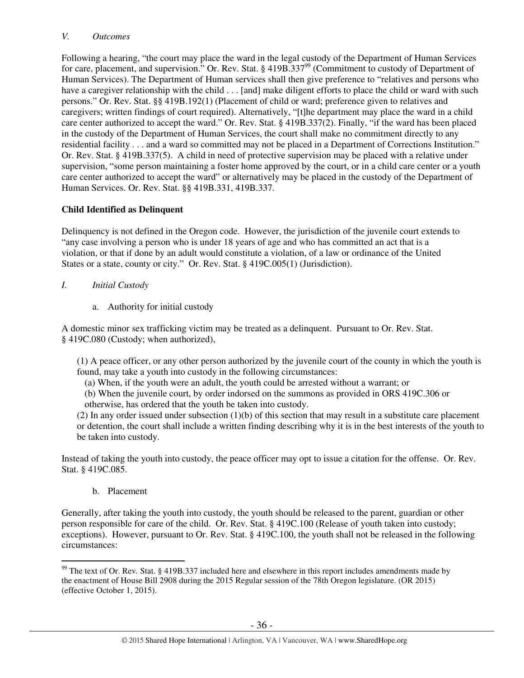## *V. Outcomes*

Following a hearing, "the court may place the ward in the legal custody of the Department of Human Services for care, placement, and supervision." Or. Rev. Stat. § 419B.337<sup>99</sup> (Commitment to custody of Department of Human Services). The Department of Human services shall then give preference to "relatives and persons who have a caregiver relationship with the child . . . [and] make diligent efforts to place the child or ward with such persons." Or. Rev. Stat. §§ 419B.192(1) (Placement of child or ward; preference given to relatives and caregivers; written findings of court required). Alternatively, "[t]he department may place the ward in a child care center authorized to accept the ward." Or. Rev. Stat. § 419B.337(2). Finally, "if the ward has been placed in the custody of the Department of Human Services, the court shall make no commitment directly to any residential facility . . . and a ward so committed may not be placed in a Department of Corrections Institution." Or. Rev. Stat. § 419B.337(5). A child in need of protective supervision may be placed with a relative under supervision, "some person maintaining a foster home approved by the court, or in a child care center or a youth care center authorized to accept the ward" or alternatively may be placed in the custody of the Department of Human Services. Or. Rev. Stat. §§ 419B.331, 419B.337.

# **Child Identified as Delinquent**

Delinquency is not defined in the Oregon code. However, the jurisdiction of the juvenile court extends to "any case involving a person who is under 18 years of age and who has committed an act that is a violation, or that if done by an adult would constitute a violation, of a law or ordinance of the United States or a state, county or city." Or. Rev. Stat. § 419C.005(1) (Jurisdiction).

- *I. Initial Custody* 
	- a. Authority for initial custody

A domestic minor sex trafficking victim may be treated as a delinquent. Pursuant to Or. Rev. Stat. § 419C.080 (Custody; when authorized),

(1) A peace officer, or any other person authorized by the juvenile court of the county in which the youth is found, may take a youth into custody in the following circumstances:

(a) When, if the youth were an adult, the youth could be arrested without a warrant; or

(b) When the juvenile court, by order indorsed on the summons as provided in ORS 419C.306 or otherwise, has ordered that the youth be taken into custody.

(2) In any order issued under subsection  $(1)(b)$  of this section that may result in a substitute care placement or detention, the court shall include a written finding describing why it is in the best interests of the youth to be taken into custody.

Instead of taking the youth into custody, the peace officer may opt to issue a citation for the offense. Or. Rev. Stat. § 419C.085.

b. Placement

Generally, after taking the youth into custody, the youth should be released to the parent, guardian or other person responsible for care of the child. Or. Rev. Stat. § 419C.100 (Release of youth taken into custody; exceptions). However, pursuant to Or. Rev. Stat. § 419C.100, the youth shall not be released in the following circumstances:

 $\overline{a}$  $99$  The text of Or. Rev. Stat. § 419B.337 included here and elsewhere in this report includes amendments made by the enactment of House Bill 2908 during the 2015 Regular session of the 78th Oregon legislature. (OR 2015) (effective October 1, 2015).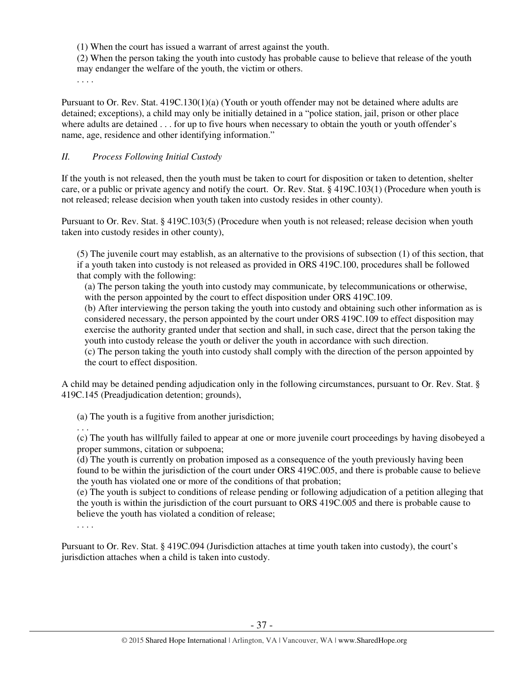(1) When the court has issued a warrant of arrest against the youth.

(2) When the person taking the youth into custody has probable cause to believe that release of the youth may endanger the welfare of the youth, the victim or others.

. . . .

Pursuant to Or. Rev. Stat. 419C.130(1)(a) (Youth or youth offender may not be detained where adults are detained; exceptions), a child may only be initially detained in a "police station, jail, prison or other place where adults are detained . . . for up to five hours when necessary to obtain the youth or youth offender's name, age, residence and other identifying information."

## *II. Process Following Initial Custody*

If the youth is not released, then the youth must be taken to court for disposition or taken to detention, shelter care, or a public or private agency and notify the court. Or. Rev. Stat. § 419C.103(1) (Procedure when youth is not released; release decision when youth taken into custody resides in other county).

Pursuant to Or. Rev. Stat. § 419C.103(5) (Procedure when youth is not released; release decision when youth taken into custody resides in other county),

(5) The juvenile court may establish, as an alternative to the provisions of subsection (1) of this section, that if a youth taken into custody is not released as provided in ORS 419C.100, procedures shall be followed that comply with the following:

(a) The person taking the youth into custody may communicate, by telecommunications or otherwise, with the person appointed by the court to effect disposition under ORS 419C.109.

(b) After interviewing the person taking the youth into custody and obtaining such other information as is considered necessary, the person appointed by the court under ORS 419C.109 to effect disposition may exercise the authority granted under that section and shall, in such case, direct that the person taking the youth into custody release the youth or deliver the youth in accordance with such direction.

(c) The person taking the youth into custody shall comply with the direction of the person appointed by the court to effect disposition.

A child may be detained pending adjudication only in the following circumstances, pursuant to Or. Rev. Stat. § 419C.145 (Preadjudication detention; grounds),

(a) The youth is a fugitive from another jurisdiction;

. . .

(c) The youth has willfully failed to appear at one or more juvenile court proceedings by having disobeyed a proper summons, citation or subpoena;

(d) The youth is currently on probation imposed as a consequence of the youth previously having been found to be within the jurisdiction of the court under ORS 419C.005, and there is probable cause to believe the youth has violated one or more of the conditions of that probation;

(e) The youth is subject to conditions of release pending or following adjudication of a petition alleging that the youth is within the jurisdiction of the court pursuant to ORS 419C.005 and there is probable cause to believe the youth has violated a condition of release;

. . . .

Pursuant to Or. Rev. Stat. § 419C.094 (Jurisdiction attaches at time youth taken into custody), the court's jurisdiction attaches when a child is taken into custody.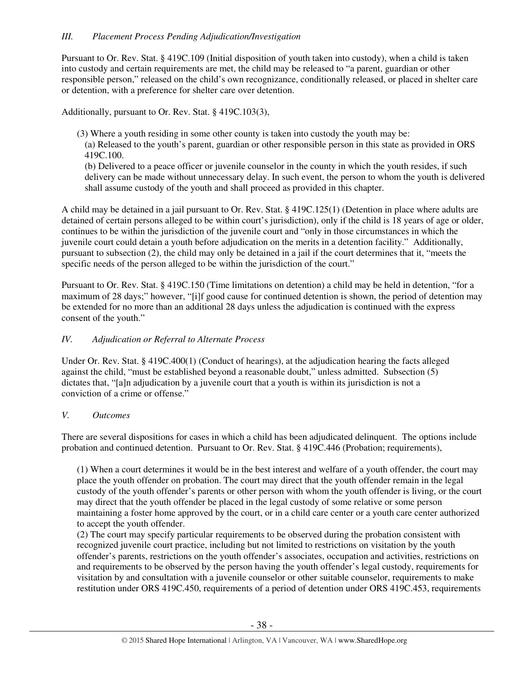## *III. Placement Process Pending Adjudication/Investigation*

Pursuant to Or. Rev. Stat. § 419C.109 (Initial disposition of youth taken into custody), when a child is taken into custody and certain requirements are met, the child may be released to "a parent, guardian or other responsible person," released on the child's own recognizance, conditionally released, or placed in shelter care or detention, with a preference for shelter care over detention.

Additionally, pursuant to Or. Rev. Stat. § 419C.103(3),

- (3) Where a youth residing in some other county is taken into custody the youth may be:
	- (a) Released to the youth's parent, guardian or other responsible person in this state as provided in ORS 419C.100.

(b) Delivered to a peace officer or juvenile counselor in the county in which the youth resides, if such delivery can be made without unnecessary delay. In such event, the person to whom the youth is delivered shall assume custody of the youth and shall proceed as provided in this chapter.

A child may be detained in a jail pursuant to Or. Rev. Stat. § 419C.125(1) (Detention in place where adults are detained of certain persons alleged to be within court's jurisdiction), only if the child is 18 years of age or older, continues to be within the jurisdiction of the juvenile court and "only in those circumstances in which the juvenile court could detain a youth before adjudication on the merits in a detention facility." Additionally, pursuant to subsection (2), the child may only be detained in a jail if the court determines that it, "meets the specific needs of the person alleged to be within the jurisdiction of the court."

Pursuant to Or. Rev. Stat. § 419C.150 (Time limitations on detention) a child may be held in detention, "for a maximum of 28 days;" however, "[i]f good cause for continued detention is shown, the period of detention may be extended for no more than an additional 28 days unless the adjudication is continued with the express consent of the youth."

## *IV. Adjudication or Referral to Alternate Process*

Under Or. Rev. Stat. § 419C.400(1) (Conduct of hearings), at the adjudication hearing the facts alleged against the child, "must be established beyond a reasonable doubt," unless admitted. Subsection (5) dictates that, "[a]n adjudication by a juvenile court that a youth is within its jurisdiction is not a conviction of a crime or offense."

#### *V. Outcomes*

There are several dispositions for cases in which a child has been adjudicated delinquent. The options include probation and continued detention. Pursuant to Or. Rev. Stat. § 419C.446 (Probation; requirements),

(1) When a court determines it would be in the best interest and welfare of a youth offender, the court may place the youth offender on probation. The court may direct that the youth offender remain in the legal custody of the youth offender's parents or other person with whom the youth offender is living, or the court may direct that the youth offender be placed in the legal custody of some relative or some person maintaining a foster home approved by the court, or in a child care center or a youth care center authorized to accept the youth offender.

(2) The court may specify particular requirements to be observed during the probation consistent with recognized juvenile court practice, including but not limited to restrictions on visitation by the youth offender's parents, restrictions on the youth offender's associates, occupation and activities, restrictions on and requirements to be observed by the person having the youth offender's legal custody, requirements for visitation by and consultation with a juvenile counselor or other suitable counselor, requirements to make restitution under ORS 419C.450, requirements of a period of detention under ORS 419C.453, requirements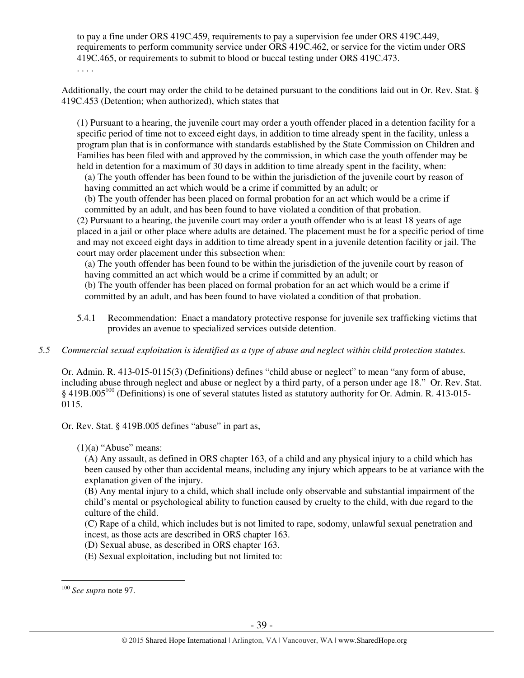to pay a fine under ORS 419C.459, requirements to pay a supervision fee under ORS 419C.449, requirements to perform community service under ORS 419C.462, or service for the victim under ORS 419C.465, or requirements to submit to blood or buccal testing under ORS 419C.473.

. . . .

Additionally, the court may order the child to be detained pursuant to the conditions laid out in Or. Rev. Stat. § 419C.453 (Detention; when authorized), which states that

(1) Pursuant to a hearing, the juvenile court may order a youth offender placed in a detention facility for a specific period of time not to exceed eight days, in addition to time already spent in the facility, unless a program plan that is in conformance with standards established by the State Commission on Children and Families has been filed with and approved by the commission, in which case the youth offender may be held in detention for a maximum of 30 days in addition to time already spent in the facility, when:

(a) The youth offender has been found to be within the jurisdiction of the juvenile court by reason of having committed an act which would be a crime if committed by an adult; or

(b) The youth offender has been placed on formal probation for an act which would be a crime if committed by an adult, and has been found to have violated a condition of that probation.

(2) Pursuant to a hearing, the juvenile court may order a youth offender who is at least 18 years of age placed in a jail or other place where adults are detained. The placement must be for a specific period of time and may not exceed eight days in addition to time already spent in a juvenile detention facility or jail. The court may order placement under this subsection when:

(a) The youth offender has been found to be within the jurisdiction of the juvenile court by reason of having committed an act which would be a crime if committed by an adult; or

(b) The youth offender has been placed on formal probation for an act which would be a crime if committed by an adult, and has been found to have violated a condition of that probation.

- 5.4.1 Recommendation: Enact a mandatory protective response for juvenile sex trafficking victims that provides an avenue to specialized services outside detention.
- *5.5 Commercial sexual exploitation is identified as a type of abuse and neglect within child protection statutes.*

Or. Admin. R. 413-015-0115(3) (Definitions) defines "child abuse or neglect" to mean "any form of abuse, including abuse through neglect and abuse or neglect by a third party, of a person under age 18." Or. Rev. Stat. § 419B.005<sup>100</sup> (Definitions) is one of several statutes listed as statutory authority for Or. Admin. R. 413-015-0115.

Or. Rev. Stat. § 419B.005 defines "abuse" in part as,

 $(1)(a)$  "Abuse" means:

(A) Any assault, as defined in ORS chapter 163, of a child and any physical injury to a child which has been caused by other than accidental means, including any injury which appears to be at variance with the explanation given of the injury.

(B) Any mental injury to a child, which shall include only observable and substantial impairment of the child's mental or psychological ability to function caused by cruelty to the child, with due regard to the culture of the child.

(C) Rape of a child, which includes but is not limited to rape, sodomy, unlawful sexual penetration and incest, as those acts are described in ORS chapter 163.

(D) Sexual abuse, as described in ORS chapter 163.

(E) Sexual exploitation, including but not limited to:

 $\overline{a}$ <sup>100</sup> *See supra* note 97.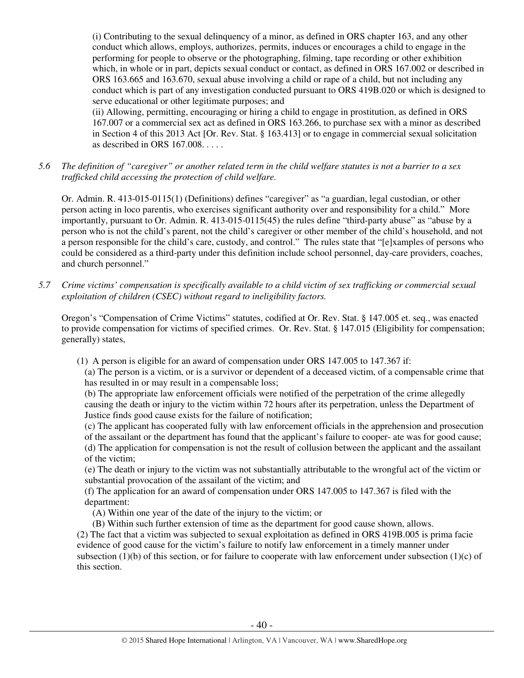(i) Contributing to the sexual delinquency of a minor, as defined in ORS chapter 163, and any other conduct which allows, employs, authorizes, permits, induces or encourages a child to engage in the performing for people to observe or the photographing, filming, tape recording or other exhibition which, in whole or in part, depicts sexual conduct or contact, as defined in ORS 167.002 or described in ORS 163.665 and 163.670, sexual abuse involving a child or rape of a child, but not including any conduct which is part of any investigation conducted pursuant to ORS 419B.020 or which is designed to serve educational or other legitimate purposes; and

(ii) Allowing, permitting, encouraging or hiring a child to engage in prostitution, as defined in ORS 167.007 or a commercial sex act as defined in ORS 163.266, to purchase sex with a minor as described in Section 4 of this 2013 Act [Or. Rev. Stat. § 163.413] or to engage in commercial sexual solicitation as described in ORS 167.008. . . . .

*5.6 The definition of "caregiver" or another related term in the child welfare statutes is not a barrier to a sex trafficked child accessing the protection of child welfare.* 

Or. Admin. R. 413-015-0115(1) (Definitions) defines "caregiver" as "a guardian, legal custodian, or other person acting in loco parentis, who exercises significant authority over and responsibility for a child." More importantly, pursuant to Or. Admin. R. 413-015-0115(45) the rules define "third-party abuse" as "abuse by a person who is not the child's parent, not the child's caregiver or other member of the child's household, and not a person responsible for the child's care, custody, and control." The rules state that "[e]xamples of persons who could be considered as a third-party under this definition include school personnel, day-care providers, coaches, and church personnel."

*5.7 Crime victims' compensation is specifically available to a child victim of sex trafficking or commercial sexual exploitation of children (CSEC) without regard to ineligibility factors.* 

Oregon's "Compensation of Crime Victims" statutes, codified at Or. Rev. Stat. § 147.005 et. seq., was enacted to provide compensation for victims of specified crimes. Or. Rev. Stat. § 147.015 (Eligibility for compensation; generally) states,

(1) A person is eligible for an award of compensation under ORS 147.005 to 147.367 if:

(a) The person is a victim, or is a survivor or dependent of a deceased victim, of a compensable crime that has resulted in or may result in a compensable loss;

(b) The appropriate law enforcement officials were notified of the perpetration of the crime allegedly causing the death or injury to the victim within 72 hours after its perpetration, unless the Department of Justice finds good cause exists for the failure of notification;

(c) The applicant has cooperated fully with law enforcement officials in the apprehension and prosecution of the assailant or the department has found that the applicant's failure to cooper- ate was for good cause; (d) The application for compensation is not the result of collusion between the applicant and the assailant of the victim;

(e) The death or injury to the victim was not substantially attributable to the wrongful act of the victim or substantial provocation of the assailant of the victim; and

(f) The application for an award of compensation under ORS 147.005 to 147.367 is filed with the department:

(A) Within one year of the date of the injury to the victim; or

(B) Within such further extension of time as the department for good cause shown, allows.

(2) The fact that a victim was subjected to sexual exploitation as defined in ORS 419B.005 is prima facie evidence of good cause for the victim's failure to notify law enforcement in a timely manner under subsection (1)(b) of this section, or for failure to cooperate with law enforcement under subsection (1)(c) of this section.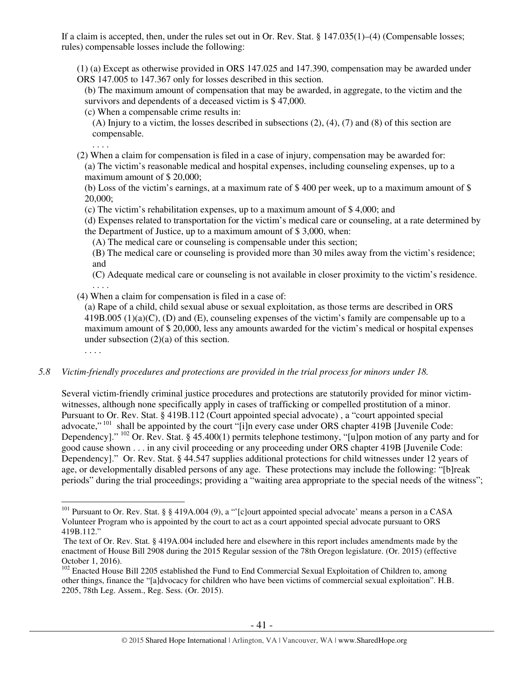If a claim is accepted, then, under the rules set out in Or. Rev. Stat. § 147.035(1)–(4) (Compensable losses; rules) compensable losses include the following:

(1) (a) Except as otherwise provided in ORS 147.025 and 147.390, compensation may be awarded under ORS 147.005 to 147.367 only for losses described in this section.

(b) The maximum amount of compensation that may be awarded, in aggregate, to the victim and the survivors and dependents of a deceased victim is \$ 47,000.

(c) When a compensable crime results in:

(A) Injury to a victim, the losses described in subsections (2), (4), (7) and (8) of this section are compensable.

. . . .

. . . .

(2) When a claim for compensation is filed in a case of injury, compensation may be awarded for: (a) The victim's reasonable medical and hospital expenses, including counseling expenses, up to a maximum amount of \$ 20,000;

(b) Loss of the victim's earnings, at a maximum rate of \$ 400 per week, up to a maximum amount of \$ 20,000;

(c) The victim's rehabilitation expenses, up to a maximum amount of \$ 4,000; and

(d) Expenses related to transportation for the victim's medical care or counseling, at a rate determined by the Department of Justice, up to a maximum amount of \$ 3,000, when:

(A) The medical care or counseling is compensable under this section;

(B) The medical care or counseling is provided more than 30 miles away from the victim's residence; and

(C) Adequate medical care or counseling is not available in closer proximity to the victim's residence. . . . .

(4) When a claim for compensation is filed in a case of:

(a) Rape of a child, child sexual abuse or sexual exploitation, as those terms are described in ORS 419B.005 (1)(a)(C), (D) and (E), counseling expenses of the victim's family are compensable up to a maximum amount of \$ 20,000, less any amounts awarded for the victim's medical or hospital expenses under subsection (2)(a) of this section.

## *5.8 Victim-friendly procedures and protections are provided in the trial process for minors under 18.*

Several victim-friendly criminal justice procedures and protections are statutorily provided for minor victimwitnesses, although none specifically apply in cases of trafficking or compelled prostitution of a minor. Pursuant to Or. Rev. Stat. § 419B.112 (Court appointed special advocate) , a "court appointed special advocate,"<sup>101</sup> shall be appointed by the court "[i]n every case under ORS chapter 419B [Juvenile Code: Dependency]." <sup>102</sup> Or. Rev. Stat. § 45.400(1) permits telephone testimony, "[u]pon motion of any party and for good cause shown . . . in any civil proceeding or any proceeding under ORS chapter 419B [Juvenile Code: Dependency]." Or. Rev. Stat. § 44.547 supplies additional protections for child witnesses under 12 years of age, or developmentally disabled persons of any age. These protections may include the following: "[b]reak periods" during the trial proceedings; providing a "waiting area appropriate to the special needs of the witness";

 $\overline{a}$ <sup>101</sup> Pursuant to Or. Rev. Stat. § § 419A.004 (9), a "'[c]ourt appointed special advocate' means a person in a CASA Volunteer Program who is appointed by the court to act as a court appointed special advocate pursuant to ORS 419B.112."

The text of Or. Rev. Stat. § 419A.004 included here and elsewhere in this report includes amendments made by the enactment of House Bill 2908 during the 2015 Regular session of the 78th Oregon legislature. (Or. 2015) (effective October 1, 2016).

<sup>&</sup>lt;sup>102</sup> Enacted House Bill 2205 established the Fund to End Commercial Sexual Exploitation of Children to, among other things, finance the "[a]dvocacy for children who have been victims of commercial sexual exploitation". H.B. 2205, 78th Leg. Assem., Reg. Sess. (Or. 2015).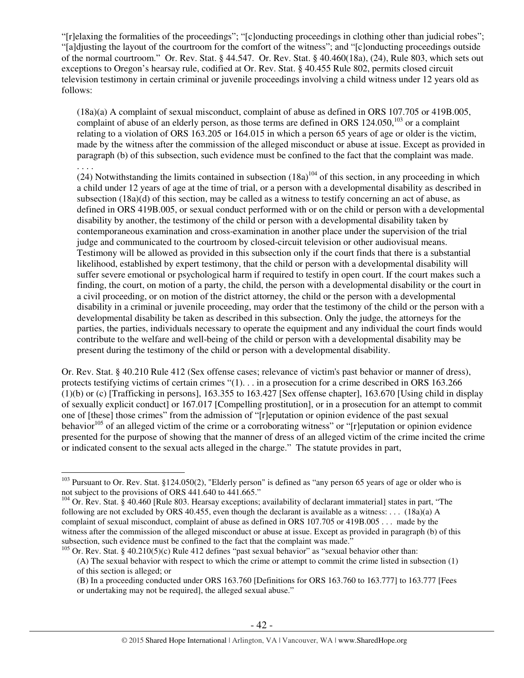"[r]elaxing the formalities of the proceedings"; "[c]onducting proceedings in clothing other than judicial robes"; "[a]djusting the layout of the courtroom for the comfort of the witness"; and "[c]onducting proceedings outside of the normal courtroom." Or. Rev. Stat. § 44.547. Or. Rev. Stat. § 40.460(18a), (24), Rule 803, which sets out exceptions to Oregon's hearsay rule, codified at Or. Rev. Stat. § 40.455 Rule 802, permits closed circuit television testimony in certain criminal or juvenile proceedings involving a child witness under 12 years old as follows:

(18a)(a) A complaint of sexual misconduct, complaint of abuse as defined in ORS 107.705 or 419B.005, complaint of abuse of an elderly person, as those terms are defined in ORS  $124.050$ ,<sup>103</sup> or a complaint relating to a violation of ORS 163.205 or 164.015 in which a person 65 years of age or older is the victim, made by the witness after the commission of the alleged misconduct or abuse at issue. Except as provided in paragraph (b) of this subsection, such evidence must be confined to the fact that the complaint was made.

. . . .

 $\overline{a}$ 

(24) Notwithstanding the limits contained in subsection  $(18a)^{104}$  of this section, in any proceeding in which a child under 12 years of age at the time of trial, or a person with a developmental disability as described in subsection (18a)(d) of this section, may be called as a witness to testify concerning an act of abuse, as defined in ORS 419B.005, or sexual conduct performed with or on the child or person with a developmental disability by another, the testimony of the child or person with a developmental disability taken by contemporaneous examination and cross-examination in another place under the supervision of the trial judge and communicated to the courtroom by closed-circuit television or other audiovisual means. Testimony will be allowed as provided in this subsection only if the court finds that there is a substantial likelihood, established by expert testimony, that the child or person with a developmental disability will suffer severe emotional or psychological harm if required to testify in open court. If the court makes such a finding, the court, on motion of a party, the child, the person with a developmental disability or the court in a civil proceeding, or on motion of the district attorney, the child or the person with a developmental disability in a criminal or juvenile proceeding, may order that the testimony of the child or the person with a developmental disability be taken as described in this subsection. Only the judge, the attorneys for the parties, the parties, individuals necessary to operate the equipment and any individual the court finds would contribute to the welfare and well-being of the child or person with a developmental disability may be present during the testimony of the child or person with a developmental disability.

Or. Rev. Stat. § 40.210 Rule 412 (Sex offense cases; relevance of victim's past behavior or manner of dress), protects testifying victims of certain crimes "(1). . . in a prosecution for a crime described in ORS 163.266 (1)(b) or (c) [Trafficking in persons], 163.355 to 163.427 [Sex offense chapter], 163.670 [Using child in display of sexually explicit conduct] or 167.017 [Compelling prostitution], or in a prosecution for an attempt to commit one of [these] those crimes" from the admission of "[r]eputation or opinion evidence of the past sexual behavior<sup>105</sup> of an alleged victim of the crime or a corroborating witness" or "[r]eputation or opinion evidence presented for the purpose of showing that the manner of dress of an alleged victim of the crime incited the crime or indicated consent to the sexual acts alleged in the charge." The statute provides in part,

<sup>&</sup>lt;sup>103</sup> Pursuant to Or. Rev. Stat. §124.050(2), "Elderly person" is defined as "any person 65 years of age or older who is not subject to the provisions of ORS 441.640 to 441.665."

 $104$  Or. Rev. Stat. § 40.460 [Rule 803. Hearsay exceptions; availability of declarant immaterial] states in part, "The following are not excluded by ORS 40.455, even though the declarant is available as a witness: . . .  $(18a)(a)$  A complaint of sexual misconduct, complaint of abuse as defined in ORS 107.705 or 419B.005 . . . made by the witness after the commission of the alleged misconduct or abuse at issue. Except as provided in paragraph (b) of this subsection, such evidence must be confined to the fact that the complaint was made."

<sup>&</sup>lt;sup>105</sup> Or. Rev. Stat. § 40.210(5)(c) Rule 412 defines "past sexual behavior" as "sexual behavior other than:

<sup>(</sup>A) The sexual behavior with respect to which the crime or attempt to commit the crime listed in subsection (1) of this section is alleged; or

<sup>(</sup>B) In a proceeding conducted under ORS 163.760 [Definitions for ORS 163.760 to 163.777] to 163.777 [Fees or undertaking may not be required], the alleged sexual abuse."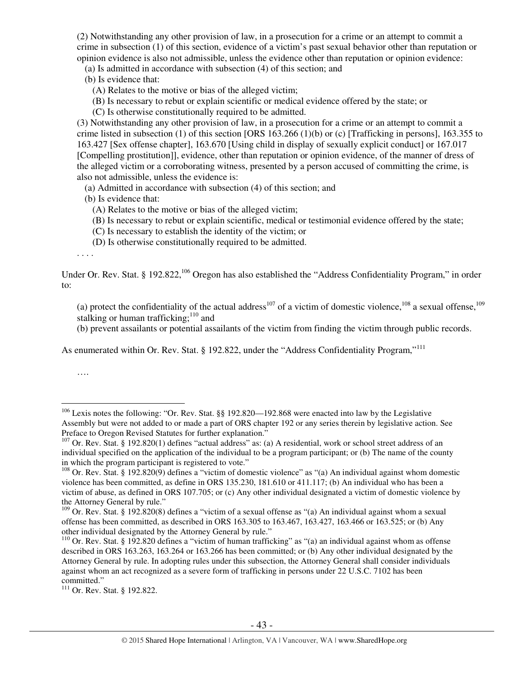(2) Notwithstanding any other provision of law, in a prosecution for a crime or an attempt to commit a crime in subsection (1) of this section, evidence of a victim's past sexual behavior other than reputation or opinion evidence is also not admissible, unless the evidence other than reputation or opinion evidence:

(a) Is admitted in accordance with subsection (4) of this section; and

(b) Is evidence that:

(A) Relates to the motive or bias of the alleged victim;

(B) Is necessary to rebut or explain scientific or medical evidence offered by the state; or

(C) Is otherwise constitutionally required to be admitted.

(3) Notwithstanding any other provision of law, in a prosecution for a crime or an attempt to commit a crime listed in subsection (1) of this section [ORS 163.266 (1)(b) or (c) [Trafficking in persons], 163.355 to 163.427 [Sex offense chapter], 163.670 [Using child in display of sexually explicit conduct] or 167.017 [Compelling prostitution]], evidence, other than reputation or opinion evidence, of the manner of dress of the alleged victim or a corroborating witness, presented by a person accused of committing the crime, is also not admissible, unless the evidence is:

(a) Admitted in accordance with subsection (4) of this section; and

(b) Is evidence that:

(A) Relates to the motive or bias of the alleged victim;

(B) Is necessary to rebut or explain scientific, medical or testimonial evidence offered by the state;

(C) Is necessary to establish the identity of the victim; or

(D) Is otherwise constitutionally required to be admitted.

. . . .

Under Or. Rev. Stat. § 192.822,<sup>106</sup> Oregon has also established the "Address Confidentiality Program," in order to:

(a) protect the confidentiality of the actual address<sup>107</sup> of a victim of domestic violence,<sup>108</sup> a sexual offense,<sup>109</sup> stalking or human trafficking; $110$  and

(b) prevent assailants or potential assailants of the victim from finding the victim through public records.

As enumerated within Or. Rev. Stat. § 192.822, under the "Address Confidentiality Program,"<sup>111</sup>

….

<sup>&</sup>lt;sup>106</sup> Lexis notes the following: "Or. Rev. Stat. §§ 192.820—192.868 were enacted into law by the Legislative Assembly but were not added to or made a part of ORS chapter 192 or any series therein by legislative action. See Preface to Oregon Revised Statutes for further explanation."

 $107$  Or. Rev. Stat. § 192.820(1) defines "actual address" as: (a) A residential, work or school street address of an individual specified on the application of the individual to be a program participant; or (b) The name of the county in which the program participant is registered to vote."

<sup>&</sup>lt;sup>108</sup> Or. Rev. Stat. § 192.820(9) defines a "victim of domestic violence" as "(a) An individual against whom domestic violence has been committed, as define in ORS 135.230, 181.610 or 411.117; (b) An individual who has been a victim of abuse, as defined in ORS 107.705; or (c) Any other individual designated a victim of domestic violence by the Attorney General by rule."

<sup>&</sup>lt;sup>109</sup> Or. Rev. Stat. § 192.820(8) defines a "victim of a sexual offense as "(a) An individual against whom a sexual  $^{109}$ offense has been committed, as described in ORS 163.305 to 163.467, 163.427, 163.466 or 163.525; or (b) Any other individual designated by the Attorney General by rule."

<sup>&</sup>lt;sup>110</sup> Or. Rev. Stat. § 192.820 defines a "victim of human trafficking" as "(a) an individual against whom as offense described in ORS 163.263, 163.264 or 163.266 has been committed; or (b) Any other individual designated by the Attorney General by rule. In adopting rules under this subsection, the Attorney General shall consider individuals against whom an act recognized as a severe form of trafficking in persons under 22 U.S.C. 7102 has been committed."

<sup>&</sup>lt;sup>111</sup> Or. Rev. Stat. § 192.822.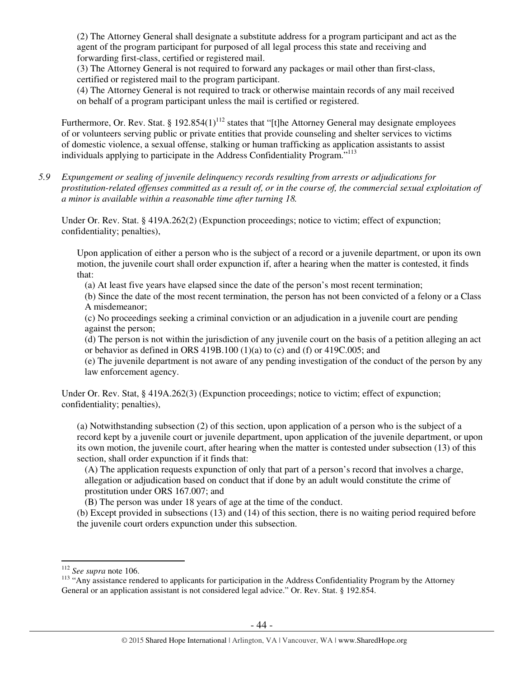(2) The Attorney General shall designate a substitute address for a program participant and act as the agent of the program participant for purposed of all legal process this state and receiving and forwarding first-class, certified or registered mail.

(3) The Attorney General is not required to forward any packages or mail other than first-class, certified or registered mail to the program participant.

(4) The Attorney General is not required to track or otherwise maintain records of any mail received on behalf of a program participant unless the mail is certified or registered.

Furthermore, Or. Rev. Stat. § 192.854(1)<sup>112</sup> states that "[t]he Attorney General may designate employees of or volunteers serving public or private entities that provide counseling and shelter services to victims of domestic violence, a sexual offense, stalking or human trafficking as application assistants to assist individuals applying to participate in the Address Confidentiality Program."<sup>113</sup>

*5.9 Expungement or sealing of juvenile delinquency records resulting from arrests or adjudications for prostitution-related offenses committed as a result of, or in the course of, the commercial sexual exploitation of a minor is available within a reasonable time after turning 18.* 

Under Or. Rev. Stat. § 419A.262(2) (Expunction proceedings; notice to victim; effect of expunction; confidentiality; penalties),

Upon application of either a person who is the subject of a record or a juvenile department, or upon its own motion, the juvenile court shall order expunction if, after a hearing when the matter is contested, it finds that:

(a) At least five years have elapsed since the date of the person's most recent termination;

(b) Since the date of the most recent termination, the person has not been convicted of a felony or a Class A misdemeanor;

(c) No proceedings seeking a criminal conviction or an adjudication in a juvenile court are pending against the person;

(d) The person is not within the jurisdiction of any juvenile court on the basis of a petition alleging an act or behavior as defined in ORS 419B.100 (1)(a) to (c) and (f) or 419C.005; and

(e) The juvenile department is not aware of any pending investigation of the conduct of the person by any law enforcement agency.

Under Or. Rev. Stat, § 419A.262(3) (Expunction proceedings; notice to victim; effect of expunction; confidentiality; penalties),

(a) Notwithstanding subsection (2) of this section, upon application of a person who is the subject of a record kept by a juvenile court or juvenile department, upon application of the juvenile department, or upon its own motion, the juvenile court, after hearing when the matter is contested under subsection (13) of this section, shall order expunction if it finds that:

(A) The application requests expunction of only that part of a person's record that involves a charge, allegation or adjudication based on conduct that if done by an adult would constitute the crime of prostitution under ORS 167.007; and

(B) The person was under 18 years of age at the time of the conduct.

(b) Except provided in subsections (13) and (14) of this section, there is no waiting period required before the juvenile court orders expunction under this subsection.

<sup>112</sup> *See supra* note 106.

<sup>&</sup>lt;sup>113</sup> "Any assistance rendered to applicants for participation in the Address Confidentiality Program by the Attorney General or an application assistant is not considered legal advice." Or. Rev. Stat. § 192.854.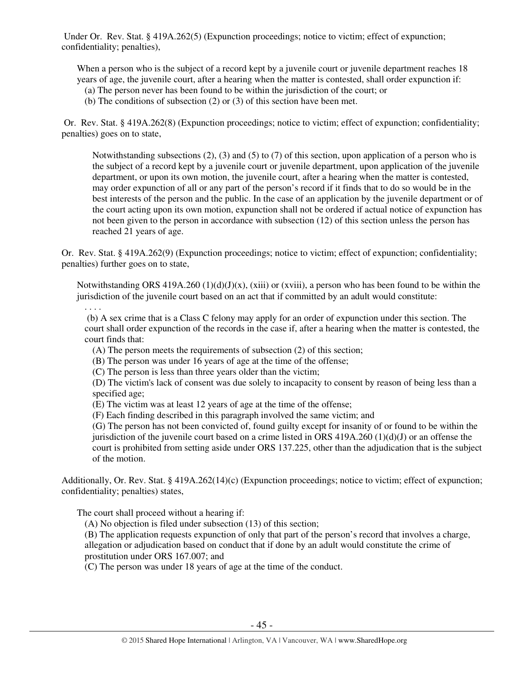Under Or. Rev. Stat. § 419A.262(5) (Expunction proceedings; notice to victim; effect of expunction; confidentiality; penalties),

When a person who is the subject of a record kept by a juvenile court or juvenile department reaches 18 years of age, the juvenile court, after a hearing when the matter is contested, shall order expunction if:

- (a) The person never has been found to be within the jurisdiction of the court; or
- (b) The conditions of subsection (2) or (3) of this section have been met.

 Or. Rev. Stat. § 419A.262(8) (Expunction proceedings; notice to victim; effect of expunction; confidentiality; penalties) goes on to state,

Notwithstanding subsections (2), (3) and (5) to (7) of this section, upon application of a person who is the subject of a record kept by a juvenile court or juvenile department, upon application of the juvenile department, or upon its own motion, the juvenile court, after a hearing when the matter is contested, may order expunction of all or any part of the person's record if it finds that to do so would be in the best interests of the person and the public. In the case of an application by the juvenile department or of the court acting upon its own motion, expunction shall not be ordered if actual notice of expunction has not been given to the person in accordance with subsection (12) of this section unless the person has reached 21 years of age.

Or. Rev. Stat. § 419A.262(9) (Expunction proceedings; notice to victim; effect of expunction; confidentiality; penalties) further goes on to state,

Notwithstanding ORS 419A.260 (1)(d)(J)(x), (xiii) or (xviii), a person who has been found to be within the jurisdiction of the juvenile court based on an act that if committed by an adult would constitute:

 (b) A sex crime that is a Class C felony may apply for an order of expunction under this section. The court shall order expunction of the records in the case if, after a hearing when the matter is contested, the court finds that:

(A) The person meets the requirements of subsection (2) of this section;

(B) The person was under 16 years of age at the time of the offense;

(C) The person is less than three years older than the victim;

(D) The victim's lack of consent was due solely to incapacity to consent by reason of being less than a specified age;

(E) The victim was at least 12 years of age at the time of the offense;

(F) Each finding described in this paragraph involved the same victim; and

(G) The person has not been convicted of, found guilty except for insanity of or found to be within the jurisdiction of the juvenile court based on a crime listed in ORS  $419A.260 (1)(d)(J)$  or an offense the court is prohibited from setting aside under ORS 137.225, other than the adjudication that is the subject of the motion.

Additionally, Or. Rev. Stat. § 419A.262(14)(c) (Expunction proceedings; notice to victim; effect of expunction; confidentiality; penalties) states,

The court shall proceed without a hearing if:

. . . .

(A) No objection is filed under subsection (13) of this section;

(B) The application requests expunction of only that part of the person's record that involves a charge, allegation or adjudication based on conduct that if done by an adult would constitute the crime of prostitution under ORS 167.007; and

(C) The person was under 18 years of age at the time of the conduct.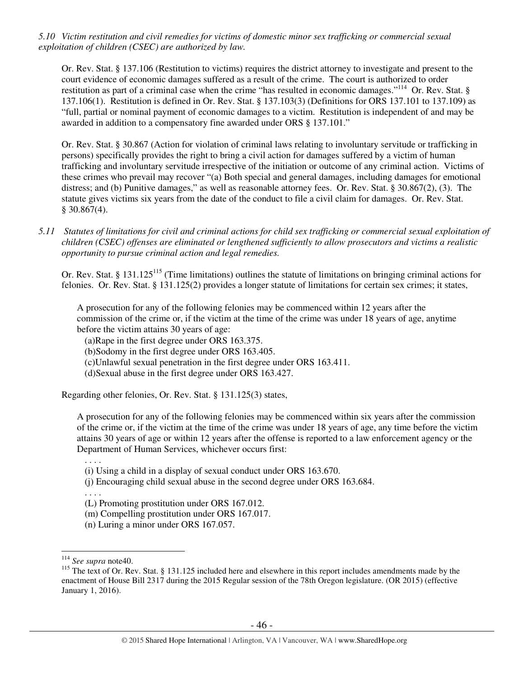*5.10 Victim restitution and civil remedies for victims of domestic minor sex trafficking or commercial sexual exploitation of children (CSEC) are authorized by law.* 

Or. Rev. Stat. § 137.106 (Restitution to victims) requires the district attorney to investigate and present to the court evidence of economic damages suffered as a result of the crime. The court is authorized to order restitution as part of a criminal case when the crime "has resulted in economic damages."<sup>114</sup> Or. Rev. Stat. § 137.106(1). Restitution is defined in Or. Rev. Stat. § 137.103(3) (Definitions for ORS 137.101 to 137.109) as "full, partial or nominal payment of economic damages to a victim. Restitution is independent of and may be awarded in addition to a compensatory fine awarded under ORS § 137.101."

Or. Rev. Stat. § 30.867 (Action for violation of criminal laws relating to involuntary servitude or trafficking in persons) specifically provides the right to bring a civil action for damages suffered by a victim of human trafficking and involuntary servitude irrespective of the initiation or outcome of any criminal action. Victims of these crimes who prevail may recover "(a) Both special and general damages, including damages for emotional distress; and (b) Punitive damages," as well as reasonable attorney fees. Or. Rev. Stat. § 30.867(2), (3). The statute gives victims six years from the date of the conduct to file a civil claim for damages. Or. Rev. Stat.  $§$  30.867(4).

*5.11 Statutes of limitations for civil and criminal actions for child sex trafficking or commercial sexual exploitation of children (CSEC) offenses are eliminated or lengthened sufficiently to allow prosecutors and victims a realistic opportunity to pursue criminal action and legal remedies.* 

Or. Rev. Stat. § 131.125<sup>115</sup> (Time limitations) outlines the statute of limitations on bringing criminal actions for felonies. Or. Rev. Stat. § 131.125(2) provides a longer statute of limitations for certain sex crimes; it states,

A prosecution for any of the following felonies may be commenced within 12 years after the commission of the crime or, if the victim at the time of the crime was under 18 years of age, anytime before the victim attains 30 years of age:

(a)Rape in the first degree under ORS 163.375.

(b)Sodomy in the first degree under ORS 163.405.

(c)Unlawful sexual penetration in the first degree under ORS 163.411.

(d)Sexual abuse in the first degree under ORS 163.427.

Regarding other felonies, Or. Rev. Stat. § 131.125(3) states,

A prosecution for any of the following felonies may be commenced within six years after the commission of the crime or, if the victim at the time of the crime was under 18 years of age, any time before the victim attains 30 years of age or within 12 years after the offense is reported to a law enforcement agency or the Department of Human Services, whichever occurs first:

. . . .

. . . .

- (i) Using a child in a display of sexual conduct under ORS 163.670.
- (j) Encouraging child sexual abuse in the second degree under ORS 163.684.
- (L) Promoting prostitution under ORS 167.012.
- (m) Compelling prostitution under ORS 167.017.
- (n) Luring a minor under ORS 167.057.

<sup>114</sup> *See supra* note40.

<sup>&</sup>lt;sup>115</sup> The text of Or. Rev. Stat. § 131.125 included here and elsewhere in this report includes amendments made by the enactment of House Bill 2317 during the 2015 Regular session of the 78th Oregon legislature. (OR 2015) (effective January 1, 2016).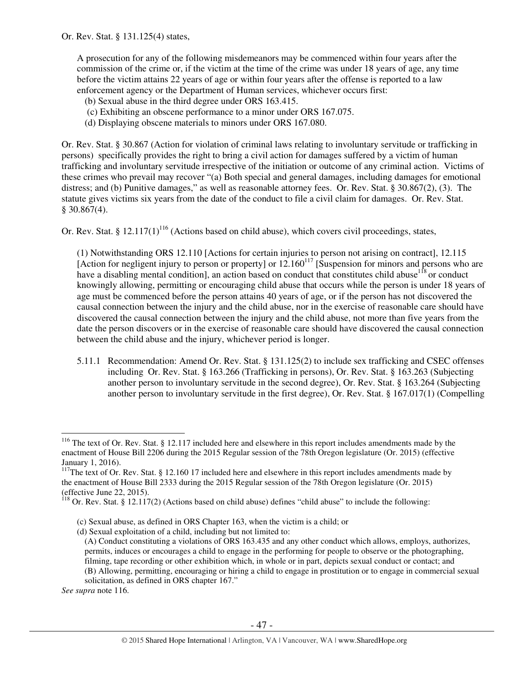A prosecution for any of the following misdemeanors may be commenced within four years after the commission of the crime or, if the victim at the time of the crime was under 18 years of age, any time before the victim attains 22 years of age or within four years after the offense is reported to a law enforcement agency or the Department of Human services, whichever occurs first:

- (b) Sexual abuse in the third degree under ORS 163.415.
- (c) Exhibiting an obscene performance to a minor under ORS 167.075.
- (d) Displaying obscene materials to minors under ORS 167.080.

Or. Rev. Stat. § 30.867 (Action for violation of criminal laws relating to involuntary servitude or trafficking in persons) specifically provides the right to bring a civil action for damages suffered by a victim of human trafficking and involuntary servitude irrespective of the initiation or outcome of any criminal action. Victims of these crimes who prevail may recover "(a) Both special and general damages, including damages for emotional distress; and (b) Punitive damages," as well as reasonable attorney fees. Or. Rev. Stat. § 30.867(2), (3). The statute gives victims six years from the date of the conduct to file a civil claim for damages. Or. Rev. Stat. § 30.867(4).

Or. Rev. Stat. § 12.117(1)<sup>116</sup> (Actions based on child abuse), which covers civil proceedings, states,

(1) Notwithstanding ORS 12.110 [Actions for certain injuries to person not arising on contract], 12.115 [Action for negligent injury to person or property] or  $12.160^{117}$  [Suspension for minors and persons who are have a disabling mental condition], an action based on conduct that constitutes child abuse<sup>118</sup> or conduct knowingly allowing, permitting or encouraging child abuse that occurs while the person is under 18 years of age must be commenced before the person attains 40 years of age, or if the person has not discovered the causal connection between the injury and the child abuse, nor in the exercise of reasonable care should have discovered the causal connection between the injury and the child abuse, not more than five years from the date the person discovers or in the exercise of reasonable care should have discovered the causal connection between the child abuse and the injury, whichever period is longer.

5.11.1 Recommendation: Amend Or. Rev. Stat. § 131.125(2) to include sex trafficking and CSEC offenses including Or. Rev. Stat. § 163.266 (Trafficking in persons), Or. Rev. Stat. § 163.263 (Subjecting another person to involuntary servitude in the second degree), Or. Rev. Stat. § 163.264 (Subjecting another person to involuntary servitude in the first degree), Or. Rev. Stat. § 167.017(1) (Compelling

*See supra* note 116.

 $116$  The text of Or. Rev. Stat. § 12.117 included here and elsewhere in this report includes amendments made by the enactment of House Bill 2206 during the 2015 Regular session of the 78th Oregon legislature (Or. 2015) (effective January 1, 2016).

 $117$ The text of Or. Rev. Stat. § 12.160 17 included here and elsewhere in this report includes amendments made by the enactment of House Bill 2333 during the 2015 Regular session of the 78th Oregon legislature (Or. 2015) (effective June 22, 2015).

 $118$  Or. Rev. Stat. § 12.117(2) (Actions based on child abuse) defines "child abuse" to include the following:

<sup>(</sup>c) Sexual abuse, as defined in ORS Chapter 163, when the victim is a child; or

<sup>(</sup>d) Sexual exploitation of a child, including but not limited to:

<sup>(</sup>A) Conduct constituting a violations of ORS 163.435 and any other conduct which allows, employs, authorizes, permits, induces or encourages a child to engage in the performing for people to observe or the photographing, filming, tape recording or other exhibition which, in whole or in part, depicts sexual conduct or contact; and (B) Allowing, permitting, encouraging or hiring a child to engage in prostitution or to engage in commercial sexual

solicitation, as defined in ORS chapter 167."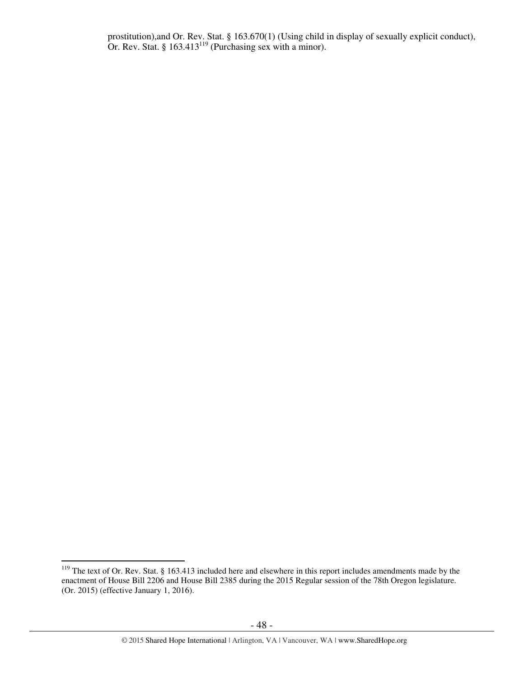prostitution),and Or. Rev. Stat. § 163.670(1) (Using child in display of sexually explicit conduct), Or. Rev. Stat. §  $163.413^{119}$  (Purchasing sex with a minor).

 $\overline{a}$  $119$  The text of Or. Rev. Stat. § 163.413 included here and elsewhere in this report includes amendments made by the enactment of House Bill 2206 and House Bill 2385 during the 2015 Regular session of the 78th Oregon legislature. (Or. 2015) (effective January 1, 2016).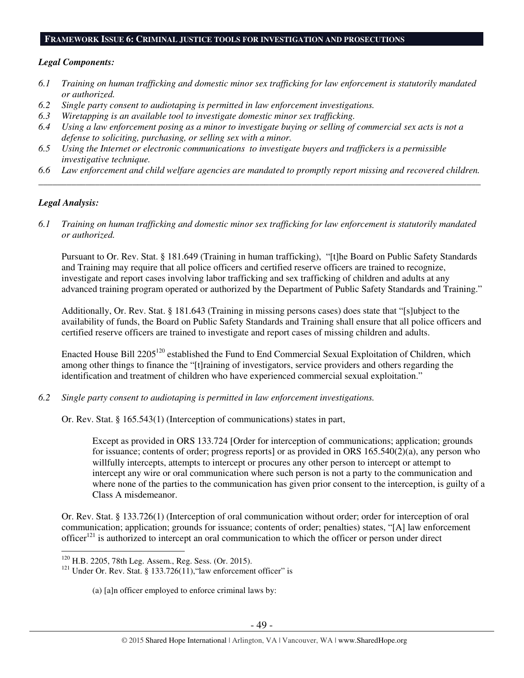#### **FRAMEWORK ISSUE 6: CRIMINAL JUSTICE TOOLS FOR INVESTIGATION AND PROSECUTIONS**

#### *Legal Components:*

- *6.1 Training on human trafficking and domestic minor sex trafficking for law enforcement is statutorily mandated or authorized.*
- *6.2 Single party consent to audiotaping is permitted in law enforcement investigations.*
- *6.3 Wiretapping is an available tool to investigate domestic minor sex trafficking.*
- *6.4 Using a law enforcement posing as a minor to investigate buying or selling of commercial sex acts is not a defense to soliciting, purchasing, or selling sex with a minor.*
- *6.5 Using the Internet or electronic communications to investigate buyers and traffickers is a permissible investigative technique.*
- *6.6 Law enforcement and child welfare agencies are mandated to promptly report missing and recovered children. \_\_\_\_\_\_\_\_\_\_\_\_\_\_\_\_\_\_\_\_\_\_\_\_\_\_\_\_\_\_\_\_\_\_\_\_\_\_\_\_\_\_\_\_\_\_\_\_\_\_\_\_\_\_\_\_\_\_\_\_\_\_\_\_\_\_\_\_\_\_\_\_\_\_\_\_\_\_\_\_\_\_\_\_\_\_\_\_\_\_\_\_\_\_*

#### *Legal Analysis:*

 $\overline{a}$ 

*6.1 Training on human trafficking and domestic minor sex trafficking for law enforcement is statutorily mandated or authorized.* 

Pursuant to Or. Rev. Stat. § 181.649 (Training in human trafficking), "[t]he Board on Public Safety Standards and Training may require that all police officers and certified reserve officers are trained to recognize, investigate and report cases involving labor trafficking and sex trafficking of children and adults at any advanced training program operated or authorized by the Department of Public Safety Standards and Training."

Additionally, Or. Rev. Stat. § 181.643 (Training in missing persons cases) does state that "[s]ubject to the availability of funds, the Board on Public Safety Standards and Training shall ensure that all police officers and certified reserve officers are trained to investigate and report cases of missing children and adults.

Enacted House Bill 2205<sup>120</sup> established the Fund to End Commercial Sexual Exploitation of Children, which among other things to finance the "[t]raining of investigators, service providers and others regarding the identification and treatment of children who have experienced commercial sexual exploitation."

*6.2 Single party consent to audiotaping is permitted in law enforcement investigations.* 

Or. Rev. Stat. § 165.543(1) (Interception of communications) states in part,

Except as provided in ORS 133.724 [Order for interception of communications; application; grounds for issuance; contents of order; progress reports] or as provided in ORS 165.540(2)(a), any person who willfully intercepts, attempts to intercept or procures any other person to intercept or attempt to intercept any wire or oral communication where such person is not a party to the communication and where none of the parties to the communication has given prior consent to the interception, is guilty of a Class A misdemeanor.

Or. Rev. Stat. § 133.726(1) (Interception of oral communication without order; order for interception of oral communication; application; grounds for issuance; contents of order; penalties) states, "[A] law enforcement officer<sup>121</sup> is authorized to intercept an oral communication to which the officer or person under direct

(a) [a]n officer employed to enforce criminal laws by:

<sup>120</sup> H.B. 2205, 78th Leg. Assem., Reg. Sess. (Or. 2015).

<sup>&</sup>lt;sup>121</sup> Under Or. Rev. Stat. § 133.726(11), "law enforcement officer" is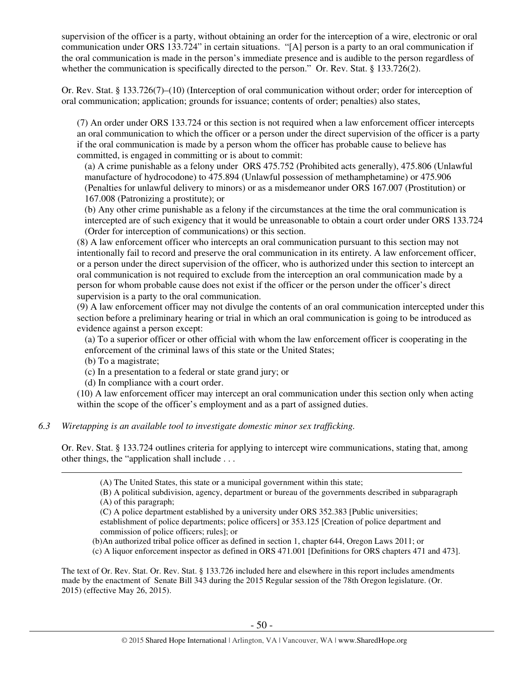supervision of the officer is a party, without obtaining an order for the interception of a wire, electronic or oral communication under ORS 133.724" in certain situations. "[A] person is a party to an oral communication if the oral communication is made in the person's immediate presence and is audible to the person regardless of whether the communication is specifically directed to the person." Or. Rev. Stat. § 133.726(2).

Or. Rev. Stat. § 133.726(7)–(10) (Interception of oral communication without order; order for interception of oral communication; application; grounds for issuance; contents of order; penalties) also states,

(7) An order under ORS 133.724 or this section is not required when a law enforcement officer intercepts an oral communication to which the officer or a person under the direct supervision of the officer is a party if the oral communication is made by a person whom the officer has probable cause to believe has committed, is engaged in committing or is about to commit:

(a) A crime punishable as a felony under ORS 475.752 (Prohibited acts generally), 475.806 (Unlawful manufacture of hydrocodone) to 475.894 (Unlawful possession of methamphetamine) or 475.906 (Penalties for unlawful delivery to minors) or as a misdemeanor under ORS 167.007 (Prostitution) or 167.008 (Patronizing a prostitute); or

(b) Any other crime punishable as a felony if the circumstances at the time the oral communication is intercepted are of such exigency that it would be unreasonable to obtain a court order under ORS 133.724 (Order for interception of communications) or this section.

(8) A law enforcement officer who intercepts an oral communication pursuant to this section may not intentionally fail to record and preserve the oral communication in its entirety. A law enforcement officer, or a person under the direct supervision of the officer, who is authorized under this section to intercept an oral communication is not required to exclude from the interception an oral communication made by a person for whom probable cause does not exist if the officer or the person under the officer's direct supervision is a party to the oral communication.

(9) A law enforcement officer may not divulge the contents of an oral communication intercepted under this section before a preliminary hearing or trial in which an oral communication is going to be introduced as evidence against a person except:

(a) To a superior officer or other official with whom the law enforcement officer is cooperating in the enforcement of the criminal laws of this state or the United States;

(b) To a magistrate;

 $\overline{a}$ 

- (c) In a presentation to a federal or state grand jury; or
- (d) In compliance with a court order.

(10) A law enforcement officer may intercept an oral communication under this section only when acting within the scope of the officer's employment and as a part of assigned duties.

## *6.3 Wiretapping is an available tool to investigate domestic minor sex trafficking.*

Or. Rev. Stat. § 133.724 outlines criteria for applying to intercept wire communications, stating that, among other things, the "application shall include . . .

(C) A police department established by a university under ORS 352.383 [Public universities; establishment of police departments; police officers] or 353.125 [Creation of police department and commission of police officers; rules]; or

- (b)An authorized tribal police officer as defined in section 1, chapter 644, Oregon Laws 2011; or
- (c) A liquor enforcement inspector as defined in ORS 471.001 [Definitions for ORS chapters 471 and 473].

The text of Or. Rev. Stat. Or. Rev. Stat. § 133.726 included here and elsewhere in this report includes amendments made by the enactment of Senate Bill 343 during the 2015 Regular session of the 78th Oregon legislature. (Or. 2015) (effective May 26, 2015).

<sup>(</sup>A) The United States, this state or a municipal government within this state;

<sup>(</sup>B) A political subdivision, agency, department or bureau of the governments described in subparagraph (A) of this paragraph;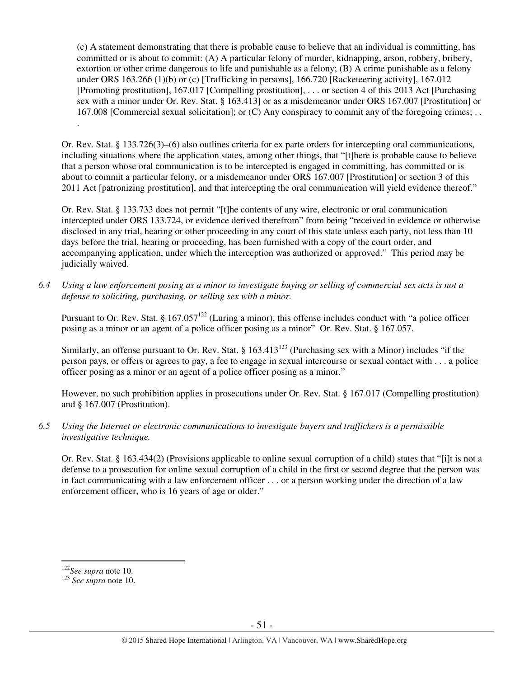(c) A statement demonstrating that there is probable cause to believe that an individual is committing, has committed or is about to commit: (A) A particular felony of murder, kidnapping, arson, robbery, bribery, extortion or other crime dangerous to life and punishable as a felony; (B) A crime punishable as a felony under ORS 163.266 (1)(b) or (c) [Trafficking in persons], 166.720 [Racketeering activity], 167.012 [Promoting prostitution], 167.017 [Compelling prostitution], . . . or section 4 of this 2013 Act [Purchasing sex with a minor under Or. Rev. Stat. § 163.413] or as a misdemeanor under ORS 167.007 [Prostitution] or 167.008 [Commercial sexual solicitation]; or (C) Any conspiracy to commit any of the foregoing crimes; . . .

Or. Rev. Stat. § 133.726(3)–(6) also outlines criteria for ex parte orders for intercepting oral communications, including situations where the application states, among other things, that "[t]here is probable cause to believe that a person whose oral communication is to be intercepted is engaged in committing, has committed or is about to commit a particular felony, or a misdemeanor under ORS 167.007 [Prostitution] or section 3 of this 2011 Act [patronizing prostitution], and that intercepting the oral communication will yield evidence thereof."

Or. Rev. Stat. § 133.733 does not permit "[t]he contents of any wire, electronic or oral communication intercepted under ORS 133.724, or evidence derived therefrom" from being "received in evidence or otherwise disclosed in any trial, hearing or other proceeding in any court of this state unless each party, not less than 10 days before the trial, hearing or proceeding, has been furnished with a copy of the court order, and accompanying application, under which the interception was authorized or approved." This period may be judicially waived.

*6.4 Using a law enforcement posing as a minor to investigate buying or selling of commercial sex acts is not a defense to soliciting, purchasing, or selling sex with a minor.* 

Pursuant to Or. Rev. Stat. § 167.057<sup>122</sup> (Luring a minor), this offense includes conduct with "a police officer posing as a minor or an agent of a police officer posing as a minor" Or. Rev. Stat. § 167.057.

Similarly, an offense pursuant to Or. Rev. Stat. §  $163.413^{123}$  (Purchasing sex with a Minor) includes "if the person pays, or offers or agrees to pay, a fee to engage in sexual intercourse or sexual contact with . . . a police officer posing as a minor or an agent of a police officer posing as a minor."

However, no such prohibition applies in prosecutions under Or. Rev. Stat. § 167.017 (Compelling prostitution) and § 167.007 (Prostitution).

*6.5 Using the Internet or electronic communications to investigate buyers and traffickers is a permissible investigative technique.* 

Or. Rev. Stat. § 163.434(2) (Provisions applicable to online sexual corruption of a child) states that "[i]t is not a defense to a prosecution for online sexual corruption of a child in the first or second degree that the person was in fact communicating with a law enforcement officer . . . or a person working under the direction of a law enforcement officer, who is 16 years of age or older."

<sup>122</sup>*See supra* note 10.

<sup>123</sup> *See supra* note 10.